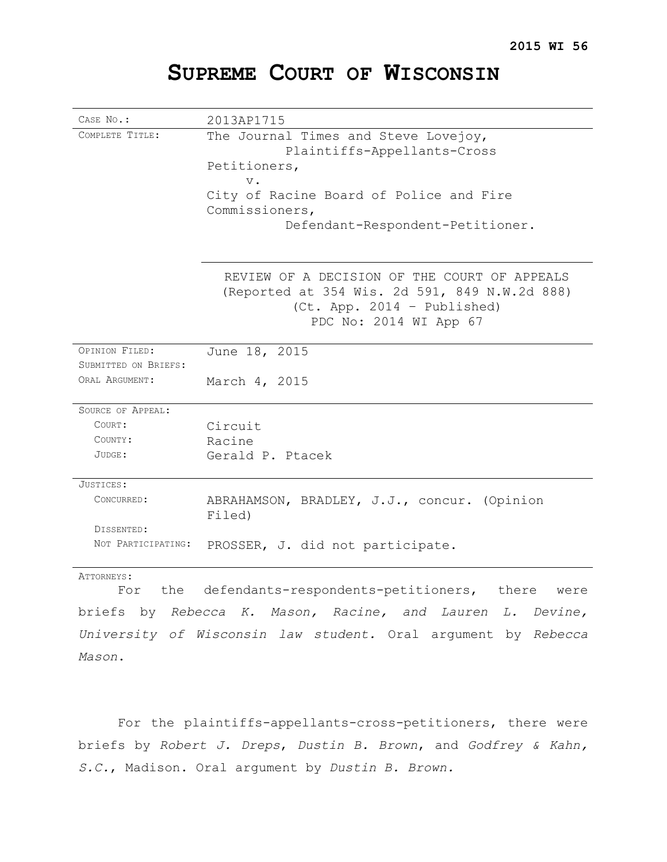# **SUPREME COURT OF WISCONSIN**

| CASE No.:                | 2013AP1715                                                                                                                                             |
|--------------------------|--------------------------------------------------------------------------------------------------------------------------------------------------------|
| COMPLETE TITLE:          | The Journal Times and Steve Lovejoy,                                                                                                                   |
|                          | Plaintiffs-Appellants-Cross                                                                                                                            |
|                          | Petitioners,                                                                                                                                           |
|                          | $V$ .                                                                                                                                                  |
|                          | City of Racine Board of Police and Fire                                                                                                                |
|                          | Commissioners,                                                                                                                                         |
|                          | Defendant-Respondent-Petitioner.                                                                                                                       |
|                          |                                                                                                                                                        |
|                          | REVIEW OF A DECISION OF THE COURT OF APPEALS<br>(Reported at 354 Wis. 2d 591, 849 N.W.2d 888)<br>(Ct. App. 2014 - Published)<br>PDC No: 2014 WI App 67 |
| OPINION FILED:           | June 18, 2015                                                                                                                                          |
| SUBMITTED ON BRIEFS:     |                                                                                                                                                        |
| ORAL ARGUMENT:           | March 4, 2015                                                                                                                                          |
|                          |                                                                                                                                                        |
| <b>SOURCE OF APPEAL:</b> |                                                                                                                                                        |
| COURT:                   | Circuit                                                                                                                                                |
| COUNTY:                  | Racine                                                                                                                                                 |
| $JUDGE$ :                | Gerald P. Ptacek                                                                                                                                       |
| JUSTICES:                |                                                                                                                                                        |
| CONCURRED:               | ABRAHAMSON, BRADLEY, J.J., concur. (Opinion<br>Filed)                                                                                                  |
| DISSENTED:               |                                                                                                                                                        |
| NOT PARTICIPATING:       | PROSSER, J. did not participate.                                                                                                                       |
| ATTORNEYS .              |                                                                                                                                                        |

ATTORNEYS:

For the defendants-respondents-petitioners, there were briefs by *Rebecca K. Mason, Racine, and Lauren L. Devine, University of Wisconsin law student.* Oral argument by *Rebecca Mason*.

For the plaintiffs-appellants-cross-petitioners, there were briefs by *Robert J. Dreps*, *Dustin B. Brown*, and *Godfrey & Kahn, S.C.*, Madison. Oral argument by *Dustin B. Brown.*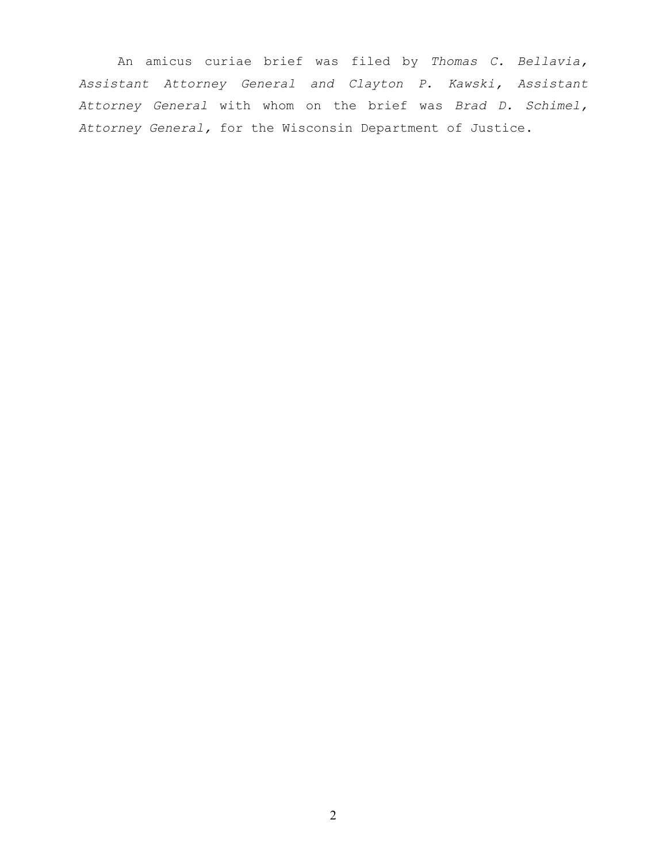An amicus curiae brief was filed by *Thomas C. Bellavia, Assistant Attorney General and Clayton P. Kawski, Assistant Attorney General* with whom on the brief was *Brad D. Schimel, Attorney General,* for the Wisconsin Department of Justice.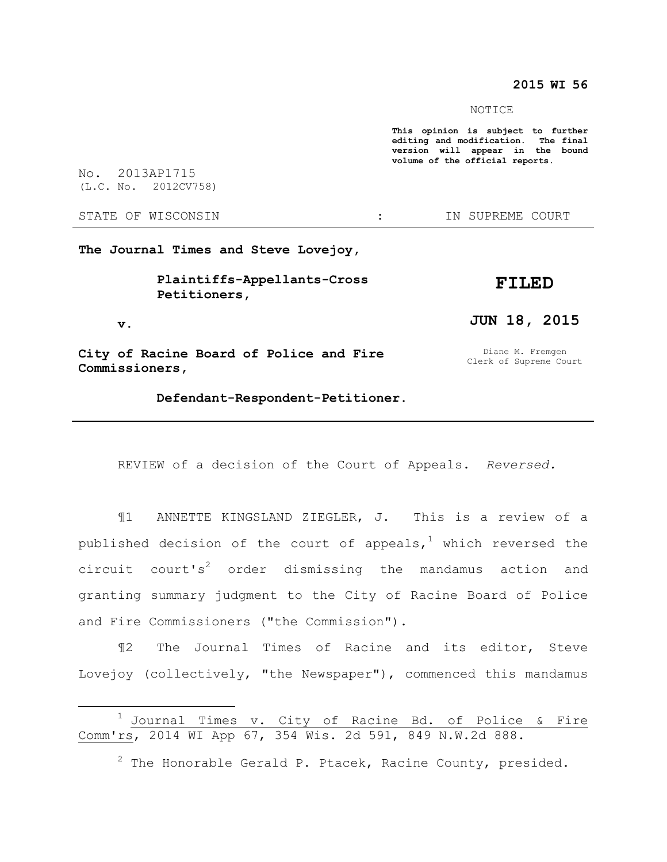#### **2015 WI 56**

NOTICE

**This opinion is subject to further editing and modification. The final version will appear in the bound volume of the official reports.** 

No. 2013AP1715 (L.C. No. 2012CV758)

STATE OF WISCONSIN THE STATE OF WISCONSIN THE STATE OF STATE OF STATE OF STATE OF STATE OF STATE OF STATE OF STATE OF STATE OF STATE OF STATE OF STATE OF STATE OF STATE OF STATE OF STATE OF STATE OF STATE OF STATE OF STATE

 **v.** 

 $\overline{a}$ 

**The Journal Times and Steve Lovejoy,** 

 **Plaintiffs-Appellants-Cross Petitioners,** 

**FILED** 

**JUN 18, 2015** 

**City of Racine Board of Police and Fire Commissioners,** 

Diane M. Fremgen Clerk of Supreme Court

 **Defendant-Respondent-Petitioner.** 

REVIEW of a decision of the Court of Appeals. *Reversed.*

¶1 ANNETTE KINGSLAND ZIEGLER, J. This is a review of a published decision of the court of appeals,<sup>1</sup> which reversed the circuit court's<sup>2</sup> order dismissing the mandamus action and granting summary judgment to the City of Racine Board of Police and Fire Commissioners ("the Commission").

¶2 The Journal Times of Racine and its editor, Steve Lovejoy (collectively, "the Newspaper"), commenced this mandamus

 $^1$  Journal Times v. City of Racine Bd. of Police & Fire Comm'rs, 2014 WI App 67, 354 Wis. 2d 591, 849 N.W.2d 888.

 $2$  The Honorable Gerald P. Ptacek, Racine County, presided.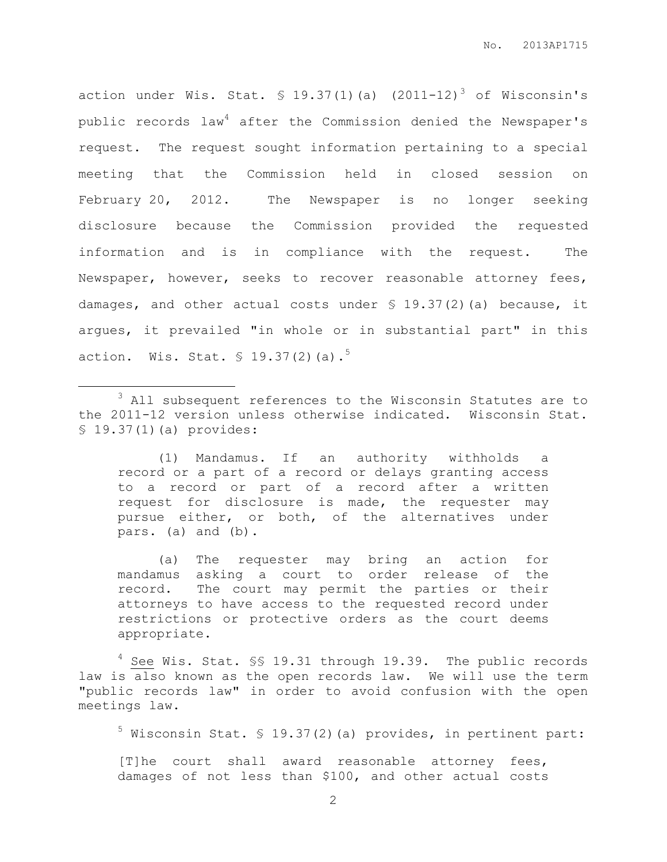action under Wis. Stat.  $\text{\$ }19.37(1)$  (a) (2011-12)<sup>3</sup> of Wisconsin's public records law<sup>4</sup> after the Commission denied the Newspaper's request. The request sought information pertaining to a special meeting that the Commission held in closed session on February 20, 2012. The Newspaper is no longer seeking disclosure because the Commission provided the requested information and is in compliance with the request. The Newspaper, however, seeks to recover reasonable attorney fees, damages, and other actual costs under § 19.37(2)(a) because, it argues, it prevailed "in whole or in substantial part" in this action. Wis. Stat.  $\frac{1}{5}$  19.37(2)(a).<sup>5</sup>

<sup>3</sup> All subsequent references to the Wisconsin Statutes are to the 2011-12 version unless otherwise indicated. Wisconsin Stat. § 19.37(1)(a) provides:

 $\overline{a}$ 

(1) Mandamus. If an authority withholds a record or a part of a record or delays granting access to a record or part of a record after a written request for disclosure is made, the requester may pursue either, or both, of the alternatives under pars. (a) and (b).

(a) The requester may bring an action for mandamus asking a court to order release of the record. The court may permit the parties or their attorneys to have access to the requested record under restrictions or protective orders as the court deems appropriate.

<sup>4</sup> See Wis. Stat. \$\$ 19.31 through 19.39. The public records law is also known as the open records law. We will use the term "public records law" in order to avoid confusion with the open meetings law.

 $^5$  Wisconsin Stat. § 19.37(2)(a) provides, in pertinent part:

[T]he court shall award reasonable attorney fees, damages of not less than \$100, and other actual costs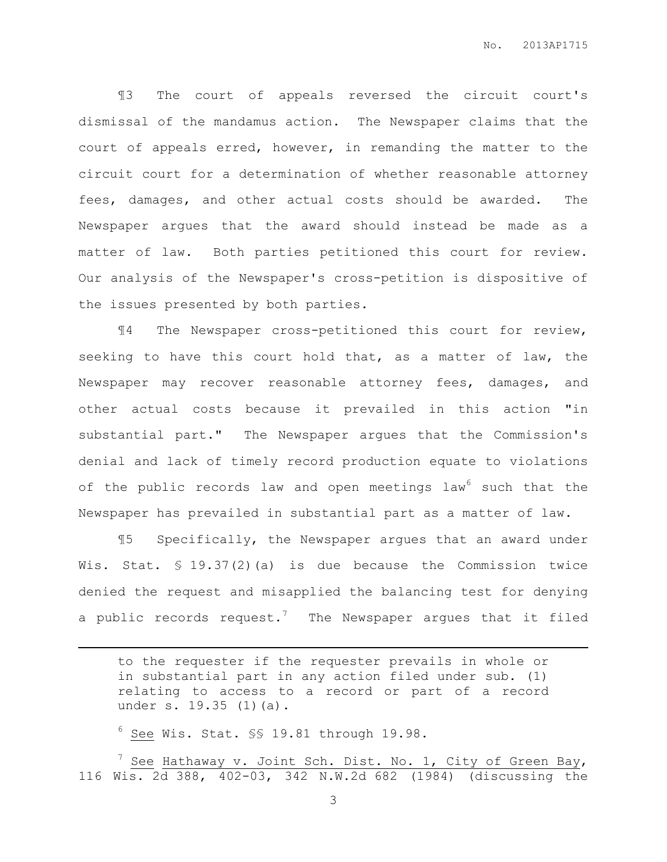¶3 The court of appeals reversed the circuit court's dismissal of the mandamus action. The Newspaper claims that the court of appeals erred, however, in remanding the matter to the circuit court for a determination of whether reasonable attorney fees, damages, and other actual costs should be awarded. The Newspaper argues that the award should instead be made as a matter of law. Both parties petitioned this court for review. Our analysis of the Newspaper's cross-petition is dispositive of the issues presented by both parties.

¶4 The Newspaper cross-petitioned this court for review, seeking to have this court hold that, as a matter of law, the Newspaper may recover reasonable attorney fees, damages, and other actual costs because it prevailed in this action "in substantial part." The Newspaper argues that the Commission's denial and lack of timely record production equate to violations of the public records law and open meetings law<sup>6</sup> such that the Newspaper has prevailed in substantial part as a matter of law.

¶5 Specifically, the Newspaper argues that an award under Wis. Stat. § 19.37(2)(a) is due because the Commission twice denied the request and misapplied the balancing test for denying a public records request.<sup>7</sup> The Newspaper argues that it filed

 $6$  See Wis. Stat.  $\S$ \$ 19.81 through 19.98.

 $\overline{a}$ 

 $'$  See Hathaway v. Joint Sch. Dist. No. 1, City of Green Bay, 116 Wis. 2d 388, 402-03, 342 N.W.2d 682 (1984) (discussing the

to the requester if the requester prevails in whole or in substantial part in any action filed under sub. (1) relating to access to a record or part of a record under s. 19.35 (1)(a).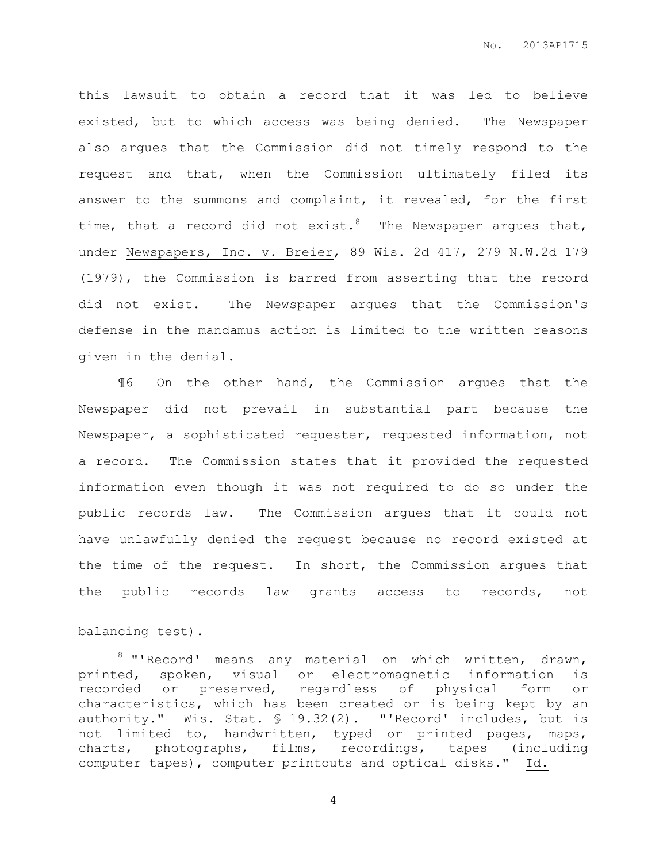this lawsuit to obtain a record that it was led to believe existed, but to which access was being denied. The Newspaper also argues that the Commission did not timely respond to the request and that, when the Commission ultimately filed its answer to the summons and complaint, it revealed, for the first time, that a record did not exist.<sup>8</sup> The Newspaper argues that, under Newspapers, Inc. v. Breier, 89 Wis. 2d 417, 279 N.W.2d 179 (1979), the Commission is barred from asserting that the record did not exist. The Newspaper argues that the Commission's defense in the mandamus action is limited to the written reasons given in the denial.

¶6 On the other hand, the Commission argues that the Newspaper did not prevail in substantial part because the Newspaper, a sophisticated requester, requested information, not a record. The Commission states that it provided the requested information even though it was not required to do so under the public records law. The Commission argues that it could not have unlawfully denied the request because no record existed at the time of the request. In short, the Commission argues that the public records law grants access to records, not

balancing test).

 $\overline{a}$ 

<sup>8</sup> "'Record' means any material on which written, drawn, printed, spoken, visual or electromagnetic information is recorded or preserved, regardless of physical form or characteristics, which has been created or is being kept by an authority." Wis. Stat. § 19.32(2). "'Record' includes, but is not limited to, handwritten, typed or printed pages, maps, charts, photographs, films, recordings, tapes (including computer tapes), computer printouts and optical disks." Id.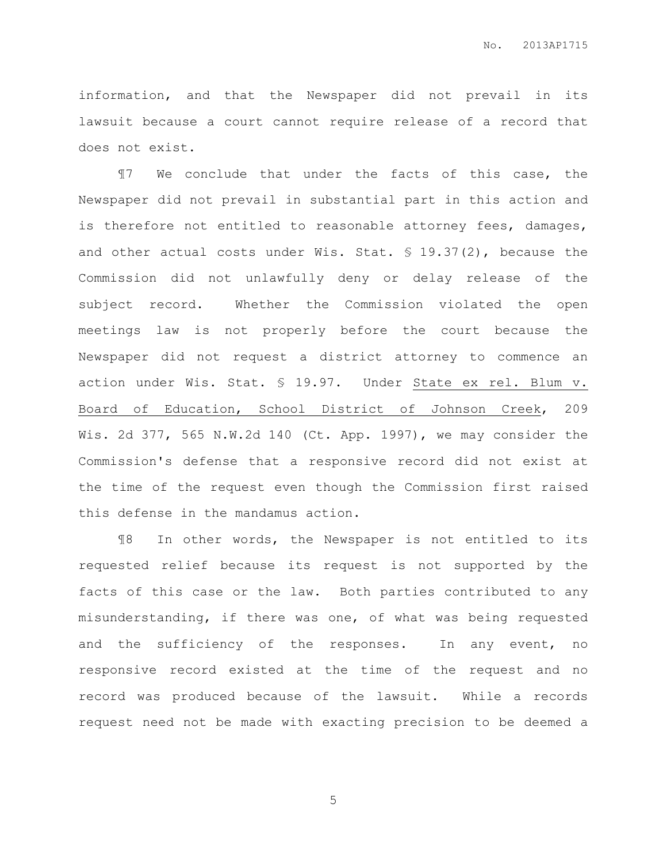information, and that the Newspaper did not prevail in its lawsuit because a court cannot require release of a record that does not exist.

¶7 We conclude that under the facts of this case, the Newspaper did not prevail in substantial part in this action and is therefore not entitled to reasonable attorney fees, damages, and other actual costs under Wis. Stat. § 19.37(2), because the Commission did not unlawfully deny or delay release of the subject record. Whether the Commission violated the open meetings law is not properly before the court because the Newspaper did not request a district attorney to commence an action under Wis. Stat. § 19.97. Under State ex rel. Blum v. Board of Education, School District of Johnson Creek, 209 Wis. 2d 377, 565 N.W.2d 140 (Ct. App. 1997), we may consider the Commission's defense that a responsive record did not exist at the time of the request even though the Commission first raised this defense in the mandamus action.

¶8 In other words, the Newspaper is not entitled to its requested relief because its request is not supported by the facts of this case or the law. Both parties contributed to any misunderstanding, if there was one, of what was being requested and the sufficiency of the responses. In any event, no responsive record existed at the time of the request and no record was produced because of the lawsuit. While a records request need not be made with exacting precision to be deemed a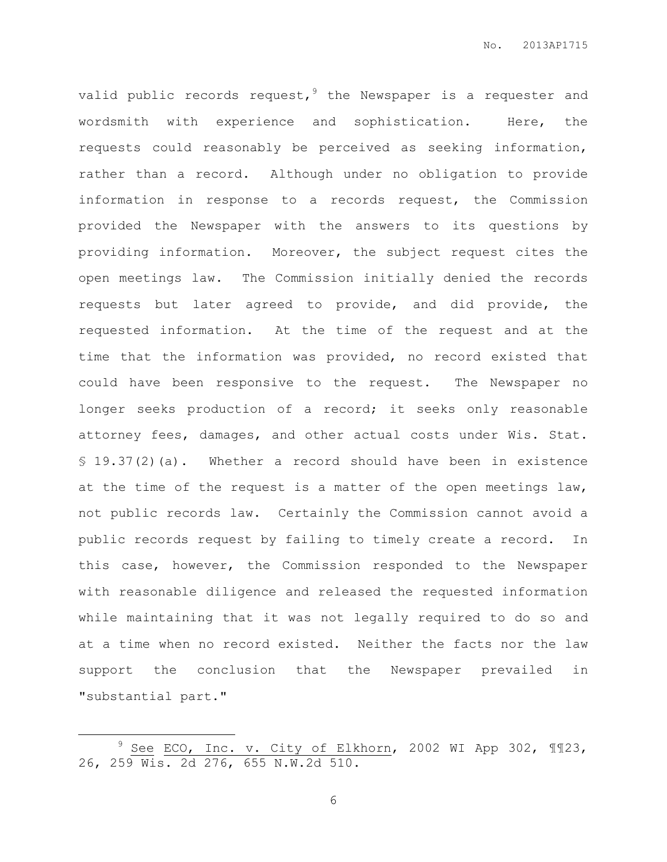valid public records request,  $9$  the Newspaper is a requester and wordsmith with experience and sophistication. Here, the requests could reasonably be perceived as seeking information, rather than a record. Although under no obligation to provide information in response to a records request, the Commission provided the Newspaper with the answers to its questions by providing information. Moreover, the subject request cites the open meetings law. The Commission initially denied the records requests but later agreed to provide, and did provide, the requested information. At the time of the request and at the time that the information was provided, no record existed that could have been responsive to the request. The Newspaper no longer seeks production of a record; it seeks only reasonable attorney fees, damages, and other actual costs under Wis. Stat. § 19.37(2)(a). Whether a record should have been in existence at the time of the request is a matter of the open meetings law, not public records law. Certainly the Commission cannot avoid a public records request by failing to timely create a record. In this case, however, the Commission responded to the Newspaper with reasonable diligence and released the requested information while maintaining that it was not legally required to do so and at a time when no record existed. Neither the facts nor the law support the conclusion that the Newspaper prevailed in "substantial part."

 $\overline{a}$ 

 $9$  See ECO, Inc. v. City of Elkhorn, 2002 WI App 302,  $\P$  $123$ , 26, 259 Wis. 2d 276, 655 N.W.2d 510.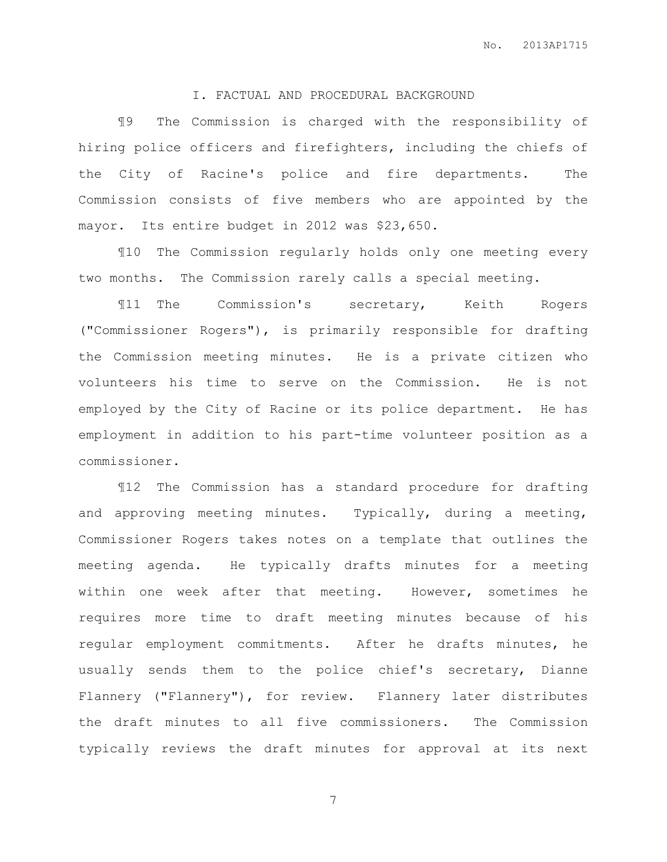## I. FACTUAL AND PROCEDURAL BACKGROUND

¶9 The Commission is charged with the responsibility of hiring police officers and firefighters, including the chiefs of the City of Racine's police and fire departments. The Commission consists of five members who are appointed by the mayor. Its entire budget in 2012 was \$23,650.

¶10 The Commission regularly holds only one meeting every two months. The Commission rarely calls a special meeting.

¶11 The Commission's secretary, Keith Rogers ("Commissioner Rogers"), is primarily responsible for drafting the Commission meeting minutes. He is a private citizen who volunteers his time to serve on the Commission. He is not employed by the City of Racine or its police department. He has employment in addition to his part-time volunteer position as a commissioner.

¶12 The Commission has a standard procedure for drafting and approving meeting minutes. Typically, during a meeting, Commissioner Rogers takes notes on a template that outlines the meeting agenda. He typically drafts minutes for a meeting within one week after that meeting. However, sometimes he requires more time to draft meeting minutes because of his regular employment commitments. After he drafts minutes, he usually sends them to the police chief's secretary, Dianne Flannery ("Flannery"), for review. Flannery later distributes the draft minutes to all five commissioners. The Commission typically reviews the draft minutes for approval at its next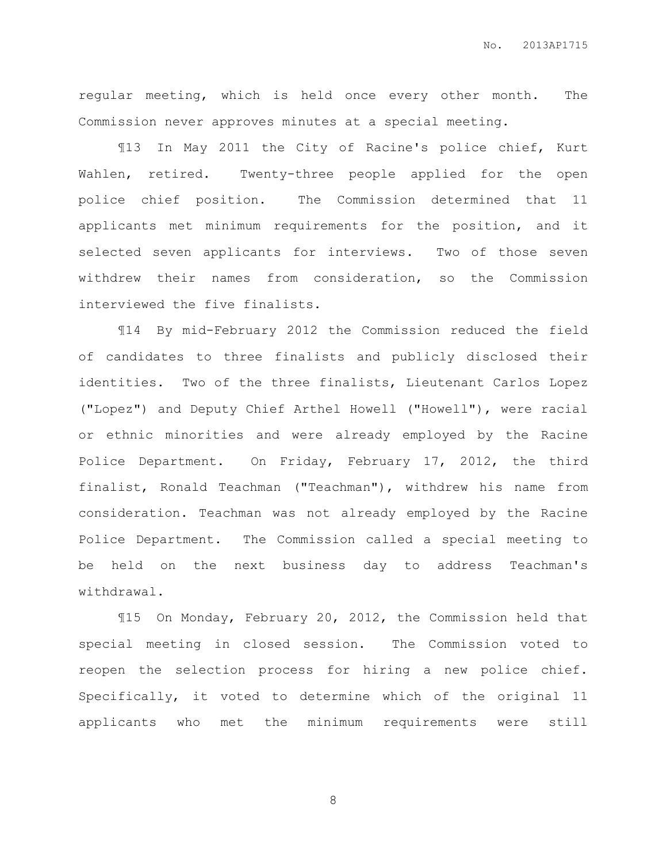regular meeting, which is held once every other month. The Commission never approves minutes at a special meeting.

¶13 In May 2011 the City of Racine's police chief, Kurt Wahlen, retired. Twenty-three people applied for the open police chief position. The Commission determined that 11 applicants met minimum requirements for the position, and it selected seven applicants for interviews. Two of those seven withdrew their names from consideration, so the Commission interviewed the five finalists.

¶14 By mid-February 2012 the Commission reduced the field of candidates to three finalists and publicly disclosed their identities. Two of the three finalists, Lieutenant Carlos Lopez ("Lopez") and Deputy Chief Arthel Howell ("Howell"), were racial or ethnic minorities and were already employed by the Racine Police Department. On Friday, February 17, 2012, the third finalist, Ronald Teachman ("Teachman"), withdrew his name from consideration. Teachman was not already employed by the Racine Police Department. The Commission called a special meeting to be held on the next business day to address Teachman's withdrawal.

¶15 On Monday, February 20, 2012, the Commission held that special meeting in closed session. The Commission voted to reopen the selection process for hiring a new police chief. Specifically, it voted to determine which of the original 11 applicants who met the minimum requirements were still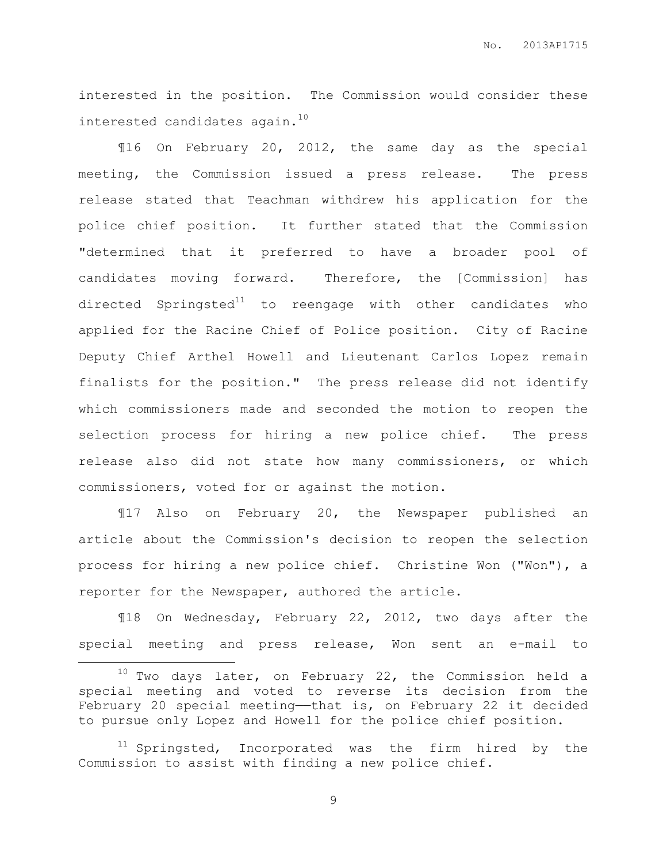interested in the position. The Commission would consider these interested candidates again.<sup>10</sup>

¶16 On February 20, 2012, the same day as the special meeting, the Commission issued a press release. The press release stated that Teachman withdrew his application for the police chief position. It further stated that the Commission "determined that it preferred to have a broader pool of candidates moving forward. Therefore, the [Commission] has directed Springsted $11$  to reengage with other candidates who applied for the Racine Chief of Police position. City of Racine Deputy Chief Arthel Howell and Lieutenant Carlos Lopez remain finalists for the position." The press release did not identify which commissioners made and seconded the motion to reopen the selection process for hiring a new police chief. The press release also did not state how many commissioners, or which commissioners, voted for or against the motion.

¶17 Also on February 20, the Newspaper published an article about the Commission's decision to reopen the selection process for hiring a new police chief. Christine Won ("Won"), a reporter for the Newspaper, authored the article.

¶18 On Wednesday, February 22, 2012, two days after the special meeting and press release, Won sent an e-mail to

l.

 $10$  Two days later, on February 22, the Commission held a special meeting and voted to reverse its decision from the February 20 special meeting—that is, on February 22 it decided to pursue only Lopez and Howell for the police chief position.

<sup>&</sup>lt;sup>11</sup> Springsted, Incorporated was the firm hired by the Commission to assist with finding a new police chief.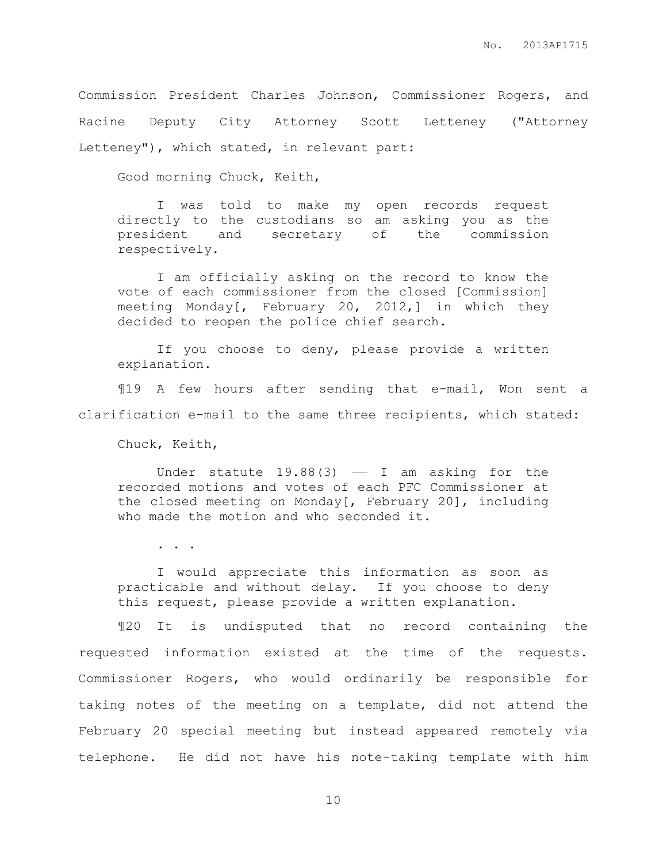Commission President Charles Johnson, Commissioner Rogers, and Racine Deputy City Attorney Scott Letteney ("Attorney Letteney"), which stated, in relevant part:

Good morning Chuck, Keith,

I was told to make my open records request directly to the custodians so am asking you as the president and secretary of the commission respectively.

I am officially asking on the record to know the vote of each commissioner from the closed [Commission] meeting Monday $\begin{bmatrix} r & February & 20, 2012, \end{bmatrix}$  in which they decided to reopen the police chief search.

If you choose to deny, please provide a written explanation.

¶19 A few hours after sending that e-mail, Won sent a clarification e-mail to the same three recipients, which stated:

Chuck, Keith,

Under statute  $19.88(3)$  - I am asking for the recorded motions and votes of each PFC Commissioner at the closed meeting on Monday[, February 20], including who made the motion and who seconded it.

. . .

I would appreciate this information as soon as practicable and without delay. If you choose to deny this request, please provide a written explanation.

¶20 It is undisputed that no record containing the requested information existed at the time of the requests. Commissioner Rogers, who would ordinarily be responsible for taking notes of the meeting on a template, did not attend the February 20 special meeting but instead appeared remotely via telephone. He did not have his note-taking template with him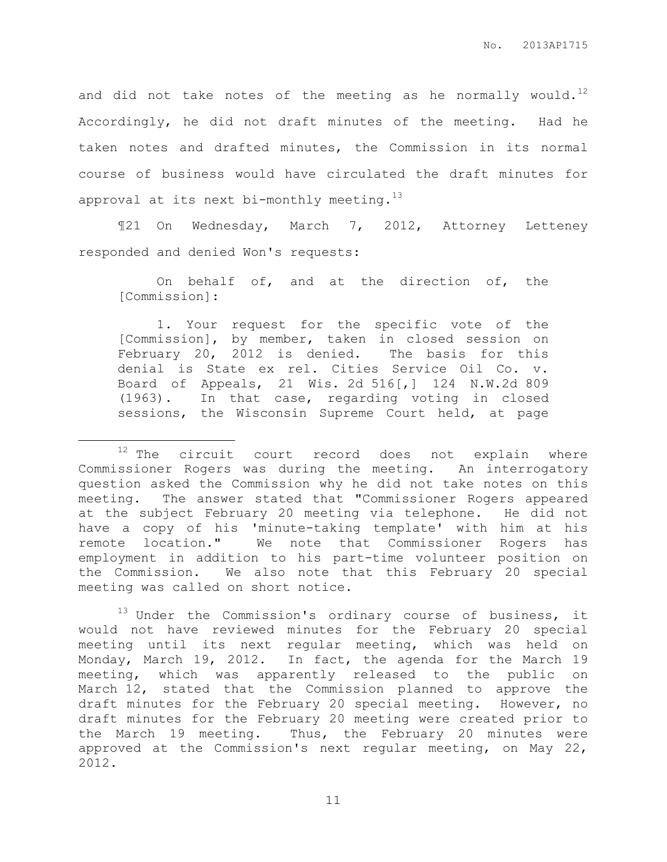and did not take notes of the meeting as he normally would.<sup>12</sup> Accordingly, he did not draft minutes of the meeting. Had he taken notes and drafted minutes, the Commission in its normal course of business would have circulated the draft minutes for approval at its next bi-monthly meeting.<sup>13</sup>

¶21 On Wednesday, March 7, 2012, Attorney Letteney responded and denied Won's requests:

On behalf of, and at the direction of, the [Commission]:

1. Your request for the specific vote of the [Commission], by member, taken in closed session on February 20, 2012 is denied. The basis for this denial is State ex rel. Cities Service Oil Co. v. Board of Appeals, 21 Wis. 2d 516[,] 124 N.W.2d 809 (1963). In that case, regarding voting in closed sessions, the Wisconsin Supreme Court held, at page

 $\overline{a}$ 

 $13$  Under the Commission's ordinary course of business, it would not have reviewed minutes for the February 20 special meeting until its next regular meeting, which was held on Monday, March 19, 2012. In fact, the agenda for the March 19 meeting, which was apparently released to the public on March 12, stated that the Commission planned to approve the draft minutes for the February 20 special meeting. However, no draft minutes for the February 20 meeting were created prior to the March 19 meeting. Thus, the February 20 minutes were approved at the Commission's next regular meeting, on May 22, 2012.

 $12$  The circuit court record does not explain where Commissioner Rogers was during the meeting. An interrogatory question asked the Commission why he did not take notes on this meeting. The answer stated that "Commissioner Rogers appeared at the subject February 20 meeting via telephone. He did not have a copy of his 'minute-taking template' with him at his remote location." We note that Commissioner Rogers has employment in addition to his part-time volunteer position on the Commission. We also note that this February 20 special meeting was called on short notice.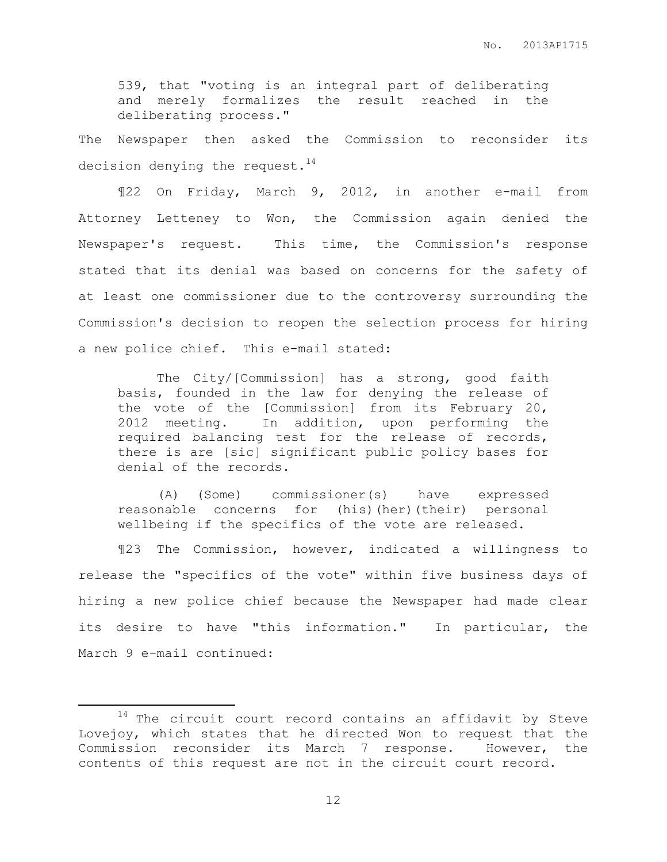539, that "voting is an integral part of deliberating and merely formalizes the result reached in the deliberating process."

The Newspaper then asked the Commission to reconsider its decision denying the request. $^{14}$ 

¶22 On Friday, March 9, 2012, in another e-mail from Attorney Letteney to Won, the Commission again denied the Newspaper's request. This time, the Commission's response stated that its denial was based on concerns for the safety of at least one commissioner due to the controversy surrounding the Commission's decision to reopen the selection process for hiring a new police chief. This e-mail stated:

The City/[Commission] has a strong, good faith basis, founded in the law for denying the release of the vote of the [Commission] from its February 20, 2012 meeting. In addition, upon performing the required balancing test for the release of records, there is are [sic] significant public policy bases for denial of the records.

(A) (Some) commissioner(s) have expressed reasonable concerns for (his)(her)(their) personal wellbeing if the specifics of the vote are released.

¶23 The Commission, however, indicated a willingness to release the "specifics of the vote" within five business days of hiring a new police chief because the Newspaper had made clear its desire to have "this information." In particular, the March 9 e-mail continued:

 $\overline{a}$ 

 $14$  The circuit court record contains an affidavit by Steve Lovejoy, which states that he directed Won to request that the Commission reconsider its March 7 response. However, the contents of this request are not in the circuit court record.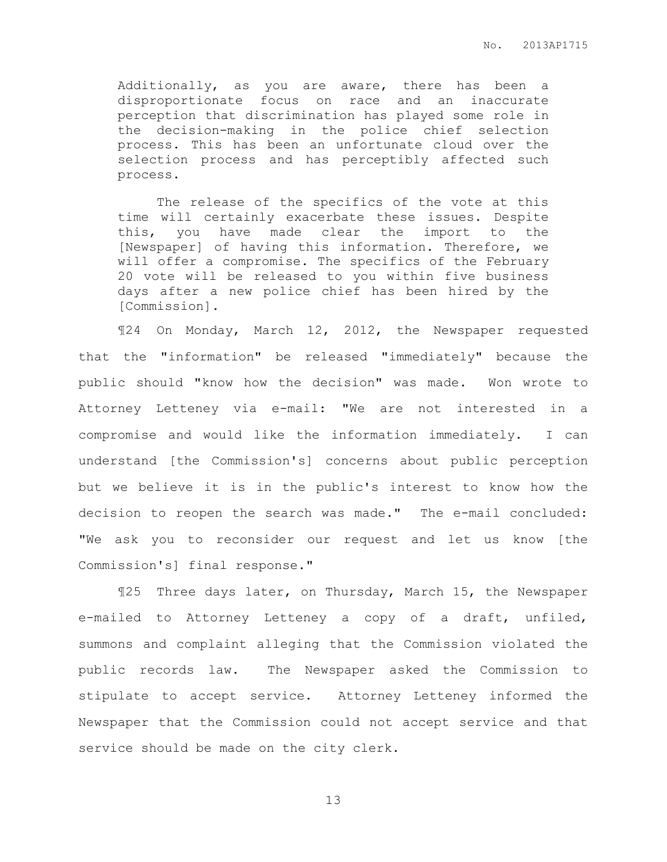Additionally, as you are aware, there has been a disproportionate focus on race and an inaccurate perception that discrimination has played some role in the decision-making in the police chief selection process. This has been an unfortunate cloud over the selection process and has perceptibly affected such process.

The release of the specifics of the vote at this time will certainly exacerbate these issues. Despite this, you have made clear the import to the [Newspaper] of having this information. Therefore, we will offer a compromise. The specifics of the February 20 vote will be released to you within five business days after a new police chief has been hired by the [Commission].

¶24 On Monday, March 12, 2012, the Newspaper requested that the "information" be released "immediately" because the public should "know how the decision" was made. Won wrote to Attorney Letteney via e-mail: "We are not interested in a compromise and would like the information immediately. I can understand [the Commission's] concerns about public perception but we believe it is in the public's interest to know how the decision to reopen the search was made." The e-mail concluded: "We ask you to reconsider our request and let us know [the Commission's] final response."

¶25 Three days later, on Thursday, March 15, the Newspaper e-mailed to Attorney Letteney a copy of a draft, unfiled, summons and complaint alleging that the Commission violated the public records law. The Newspaper asked the Commission to stipulate to accept service. Attorney Letteney informed the Newspaper that the Commission could not accept service and that service should be made on the city clerk.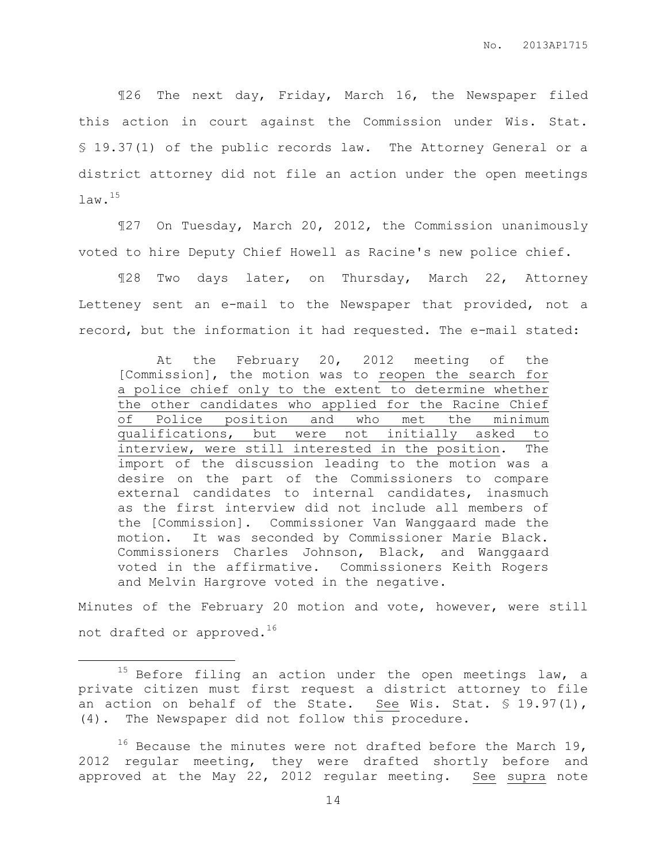¶26 The next day, Friday, March 16, the Newspaper filed this action in court against the Commission under Wis. Stat. § 19.37(1) of the public records law. The Attorney General or a district attorney did not file an action under the open meetings law.<sup>15</sup>

¶27 On Tuesday, March 20, 2012, the Commission unanimously voted to hire Deputy Chief Howell as Racine's new police chief.

¶28 Two days later, on Thursday, March 22, Attorney Letteney sent an e-mail to the Newspaper that provided, not a record, but the information it had requested. The e-mail stated:

At the February 20, 2012 meeting of the [Commission], the motion was to reopen the search for a police chief only to the extent to determine whether the other candidates who applied for the Racine Chief of Police position and who met the minimum qualifications, but were not initially asked to interview, were still interested in the position. The import of the discussion leading to the motion was a desire on the part of the Commissioners to compare external candidates to internal candidates, inasmuch as the first interview did not include all members of the [Commission]. Commissioner Van Wanggaard made the motion. It was seconded by Commissioner Marie Black. Commissioners Charles Johnson, Black, and Wanggaard voted in the affirmative. Commissioners Keith Rogers and Melvin Hargrove voted in the negative.

Minutes of the February 20 motion and vote, however, were still not drafted or approved.<sup>16</sup>

 $\overline{a}$ 

 $15$  Before filing an action under the open meetings law, a private citizen must first request a district attorney to file an action on behalf of the State. See Wis. Stat.  $\frac{1}{5}$  19.97(1), (4). The Newspaper did not follow this procedure.

 $16$  Because the minutes were not drafted before the March 19, 2012 regular meeting, they were drafted shortly before and approved at the May 22, 2012 regular meeting. See supra note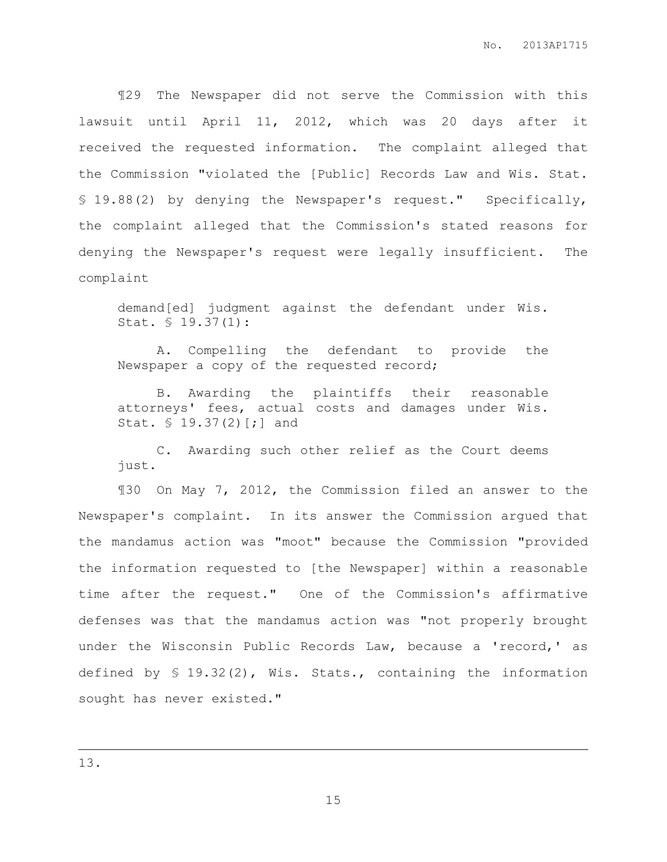¶29 The Newspaper did not serve the Commission with this lawsuit until April 11, 2012, which was 20 days after it received the requested information. The complaint alleged that the Commission "violated the [Public] Records Law and Wis. Stat. § 19.88(2) by denying the Newspaper's request." Specifically, the complaint alleged that the Commission's stated reasons for denying the Newspaper's request were legally insufficient. The complaint

demand[ed] judgment against the defendant under Wis. Stat. § 19.37(1):

A. Compelling the defendant to provide the Newspaper a copy of the requested record;

B. Awarding the plaintiffs their reasonable attorneys' fees, actual costs and damages under Wis. Stat. § 19.37(2)[;] and

C. Awarding such other relief as the Court deems just.

¶30 On May 7, 2012, the Commission filed an answer to the Newspaper's complaint. In its answer the Commission argued that the mandamus action was "moot" because the Commission "provided the information requested to [the Newspaper] within a reasonable time after the request." One of the Commission's affirmative defenses was that the mandamus action was "not properly brought under the Wisconsin Public Records Law, because a 'record,' as defined by § 19.32(2), Wis. Stats., containing the information sought has never existed."

 $\overline{a}$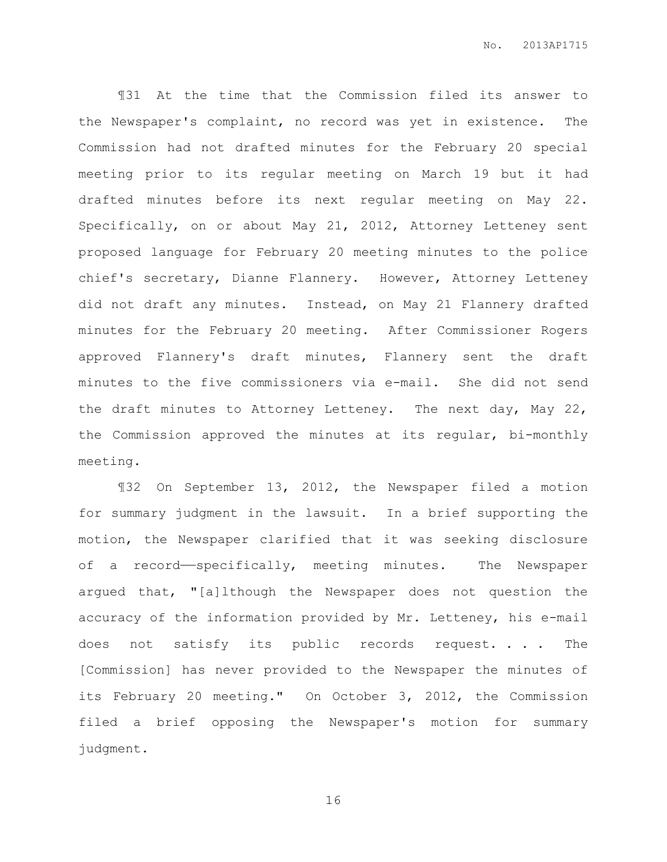¶31 At the time that the Commission filed its answer to the Newspaper's complaint, no record was yet in existence. The Commission had not drafted minutes for the February 20 special meeting prior to its regular meeting on March 19 but it had drafted minutes before its next regular meeting on May 22. Specifically, on or about May 21, 2012, Attorney Letteney sent proposed language for February 20 meeting minutes to the police chief's secretary, Dianne Flannery. However, Attorney Letteney did not draft any minutes. Instead, on May 21 Flannery drafted minutes for the February 20 meeting. After Commissioner Rogers approved Flannery's draft minutes, Flannery sent the draft minutes to the five commissioners via e-mail. She did not send the draft minutes to Attorney Letteney. The next day, May 22, the Commission approved the minutes at its regular, bi-monthly meeting.

¶32 On September 13, 2012, the Newspaper filed a motion for summary judgment in the lawsuit. In a brief supporting the motion, the Newspaper clarified that it was seeking disclosure of a record—specifically, meeting minutes. The Newspaper argued that, "[a]lthough the Newspaper does not question the accuracy of the information provided by Mr. Letteney, his e-mail does not satisfy its public records request. . . The [Commission] has never provided to the Newspaper the minutes of its February 20 meeting." On October 3, 2012, the Commission filed a brief opposing the Newspaper's motion for summary judgment.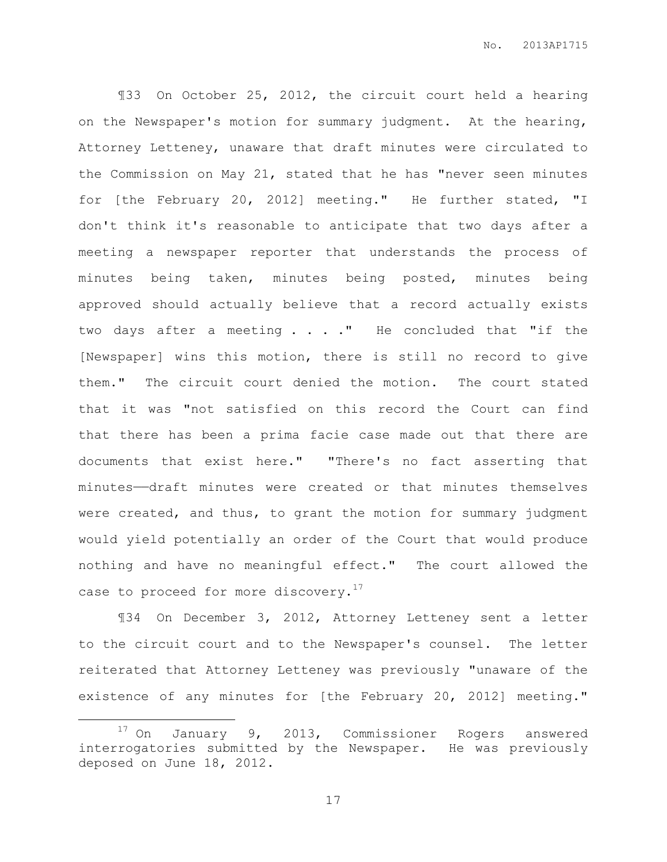¶33 On October 25, 2012, the circuit court held a hearing on the Newspaper's motion for summary judgment. At the hearing, Attorney Letteney, unaware that draft minutes were circulated to the Commission on May 21, stated that he has "never seen minutes for [the February 20, 2012] meeting." He further stated, "I don't think it's reasonable to anticipate that two days after a meeting a newspaper reporter that understands the process of minutes being taken, minutes being posted, minutes being approved should actually believe that a record actually exists two days after a meeting . . . ." He concluded that "if the [Newspaper] wins this motion, there is still no record to give them." The circuit court denied the motion. The court stated that it was "not satisfied on this record the Court can find that there has been a prima facie case made out that there are documents that exist here." "There's no fact asserting that minutes——draft minutes were created or that minutes themselves were created, and thus, to grant the motion for summary judgment would yield potentially an order of the Court that would produce nothing and have no meaningful effect." The court allowed the case to proceed for more discovery.<sup>17</sup>

¶34 On December 3, 2012, Attorney Letteney sent a letter to the circuit court and to the Newspaper's counsel. The letter reiterated that Attorney Letteney was previously "unaware of the existence of any minutes for [the February 20, 2012] meeting."

 $\overline{a}$ 

<sup>17</sup> On January 9, 2013, Commissioner Rogers answered interrogatories submitted by the Newspaper. He was previously deposed on June 18, 2012.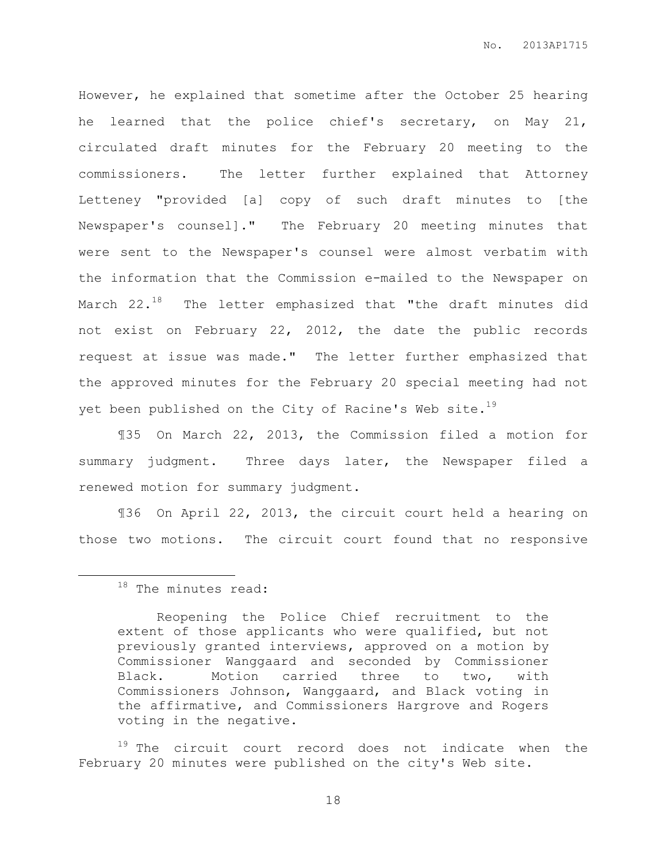However, he explained that sometime after the October 25 hearing he learned that the police chief's secretary, on May 21, circulated draft minutes for the February 20 meeting to the commissioners. The letter further explained that Attorney Letteney "provided [a] copy of such draft minutes to [the Newspaper's counsel]." The February 20 meeting minutes that were sent to the Newspaper's counsel were almost verbatim with the information that the Commission e-mailed to the Newspaper on March  $22.^{18}$  The letter emphasized that "the draft minutes did not exist on February 22, 2012, the date the public records request at issue was made." The letter further emphasized that the approved minutes for the February 20 special meeting had not yet been published on the City of Racine's Web site.<sup>19</sup>

¶35 On March 22, 2013, the Commission filed a motion for summary judgment. Three days later, the Newspaper filed a renewed motion for summary judgment.

¶36 On April 22, 2013, the circuit court held a hearing on those two motions. The circuit court found that no responsive

 $\overline{a}$ 

 $19$  The circuit court record does not indicate when the February 20 minutes were published on the city's Web site.

 $18$  The minutes read:

Reopening the Police Chief recruitment to the extent of those applicants who were qualified, but not previously granted interviews, approved on a motion by Commissioner Wanggaard and seconded by Commissioner Black. Motion carried three to two, with Commissioners Johnson, Wanggaard, and Black voting in the affirmative, and Commissioners Hargrove and Rogers voting in the negative.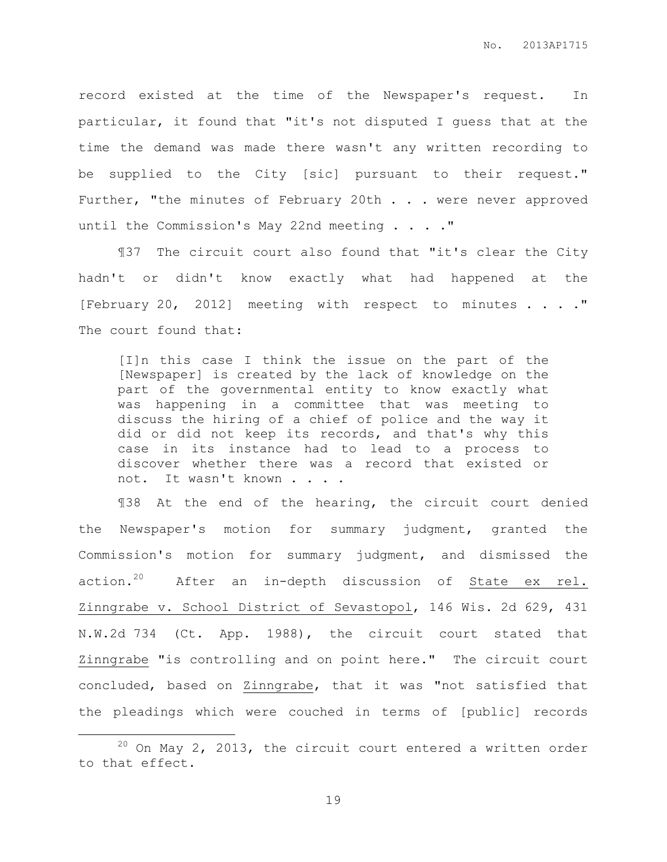record existed at the time of the Newspaper's request. In particular, it found that "it's not disputed I guess that at the time the demand was made there wasn't any written recording to be supplied to the City [sic] pursuant to their request." Further, "the minutes of February 20th . . . were never approved until the Commission's May 22nd meeting . . . ."

¶37 The circuit court also found that "it's clear the City hadn't or didn't know exactly what had happened at the [February 20, 2012] meeting with respect to minutes . . . ." The court found that:

[I]n this case I think the issue on the part of the [Newspaper] is created by the lack of knowledge on the part of the governmental entity to know exactly what was happening in a committee that was meeting to discuss the hiring of a chief of police and the way it did or did not keep its records, and that's why this case in its instance had to lead to a process to discover whether there was a record that existed or not. It wasn't known . . . .

¶38 At the end of the hearing, the circuit court denied the Newspaper's motion for summary judgment, granted the Commission's motion for summary judgment, and dismissed the action.<sup>20</sup> After an in-depth discussion of State ex rel. Zinngrabe v. School District of Sevastopol, 146 Wis. 2d 629, 431 N.W.2d 734 (Ct. App. 1988), the circuit court stated that Zinngrabe "is controlling and on point here." The circuit court concluded, based on Zinngrabe, that it was "not satisfied that the pleadings which were couched in terms of [public] records

 $\overline{a}$ 

 $20$  On May 2, 2013, the circuit court entered a written order to that effect.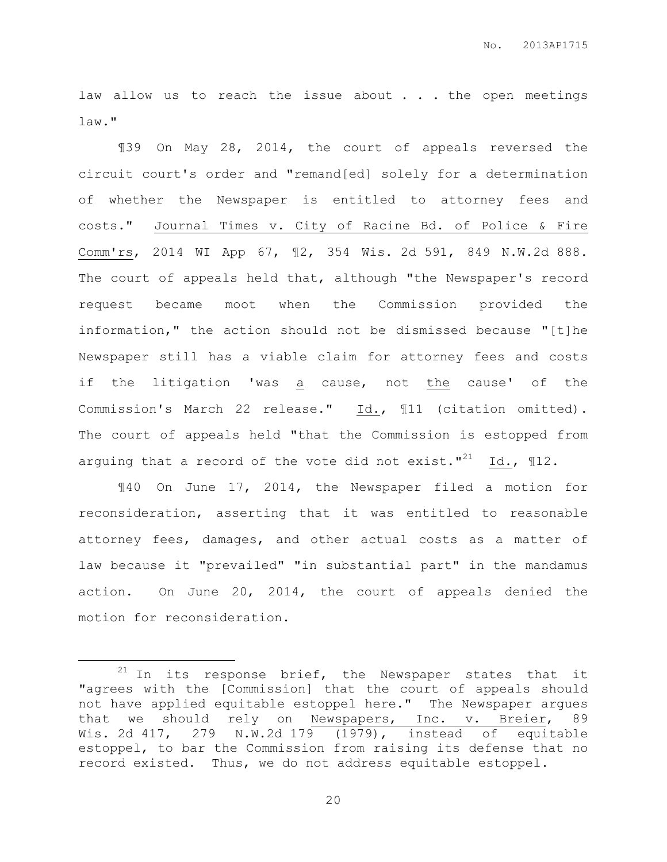law allow us to reach the issue about . . . the open meetings law."

¶39 On May 28, 2014, the court of appeals reversed the circuit court's order and "remand[ed] solely for a determination of whether the Newspaper is entitled to attorney fees and costs." Journal Times v. City of Racine Bd. of Police & Fire Comm'rs, 2014 WI App 67, ¶2, 354 Wis. 2d 591, 849 N.W.2d 888. The court of appeals held that, although "the Newspaper's record request became moot when the Commission provided the information," the action should not be dismissed because "[t]he Newspaper still has a viable claim for attorney fees and costs if the litigation 'was a cause, not the cause' of the Commission's March 22 release." Id., ¶11 (citation omitted). The court of appeals held "that the Commission is estopped from arguing that a record of the vote did not exist."<sup>21</sup> Id.,  $\mathbb{I}12$ .

¶40 On June 17, 2014, the Newspaper filed a motion for reconsideration, asserting that it was entitled to reasonable attorney fees, damages, and other actual costs as a matter of law because it "prevailed" "in substantial part" in the mandamus action. On June 20, 2014, the court of appeals denied the motion for reconsideration.

 $\overline{a}$ 

 $21$  In its response brief, the Newspaper states that it "agrees with the [Commission] that the court of appeals should not have applied equitable estoppel here." The Newspaper argues that we should rely on Newspapers, Inc. v. Breier, 89 Wis. 2d 417, 279 N.W.2d 179 (1979), instead of equitable estoppel, to bar the Commission from raising its defense that no record existed. Thus, we do not address equitable estoppel.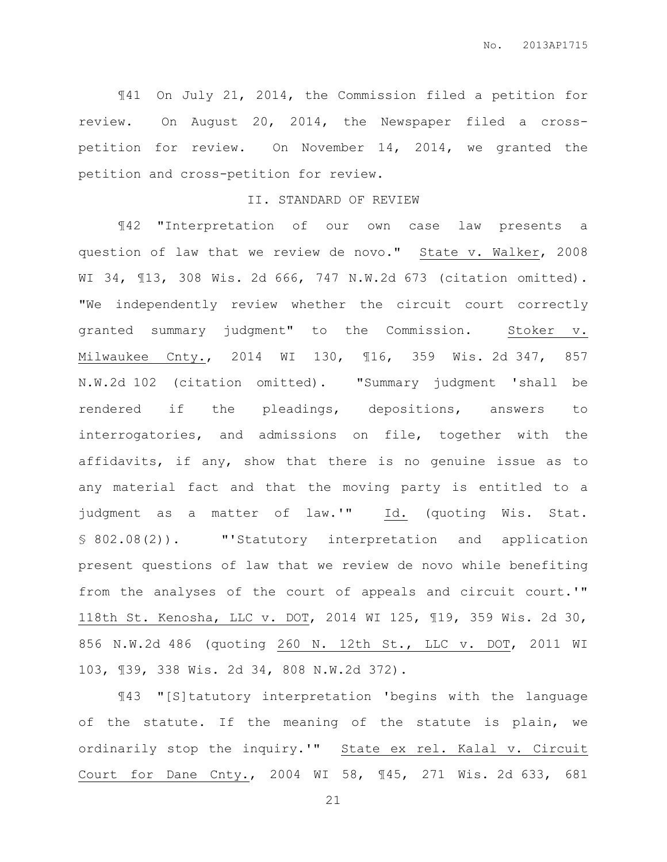¶41 On July 21, 2014, the Commission filed a petition for review. On August 20, 2014, the Newspaper filed a crosspetition for review. On November 14, 2014, we granted the petition and cross-petition for review.

# II. STANDARD OF REVIEW

¶42 "Interpretation of our own case law presents a question of law that we review de novo." State v. Walker, 2008 WI 34, ¶13, 308 Wis. 2d 666, 747 N.W.2d 673 (citation omitted). "We independently review whether the circuit court correctly granted summary judgment" to the Commission. Stoker v. Milwaukee Cnty., 2014 WI 130, ¶16, 359 Wis. 2d 347, 857 N.W.2d 102 (citation omitted). "Summary judgment 'shall be rendered if the pleadings, depositions, answers to interrogatories, and admissions on file, together with the affidavits, if any, show that there is no genuine issue as to any material fact and that the moving party is entitled to a judgment as a matter of law.'" Id. (quoting Wis. Stat. § 802.08(2)). "'Statutory interpretation and application present questions of law that we review de novo while benefiting from the analyses of the court of appeals and circuit court.'" 118th St. Kenosha, LLC v. DOT, 2014 WI 125, ¶19, 359 Wis. 2d 30, 856 N.W.2d 486 (quoting 260 N. 12th St., LLC v. DOT, 2011 WI 103, ¶39, 338 Wis. 2d 34, 808 N.W.2d 372).

¶43 "[S]tatutory interpretation 'begins with the language of the statute. If the meaning of the statute is plain, we ordinarily stop the inquiry.'" State ex rel. Kalal v. Circuit Court for Dane Cnty., 2004 WI 58, ¶45, 271 Wis. 2d 633, 681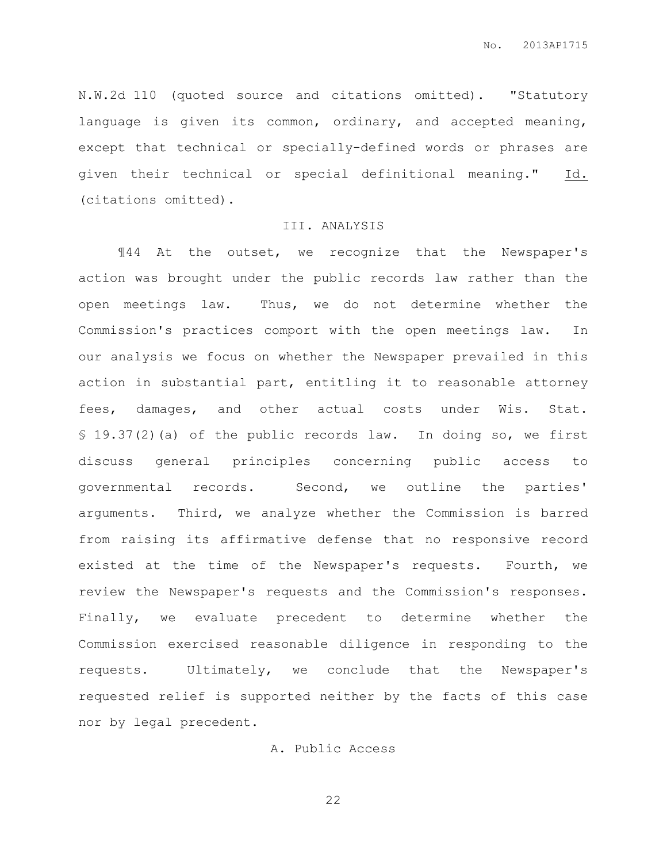N.W.2d 110 (quoted source and citations omitted). "Statutory language is given its common, ordinary, and accepted meaning, except that technical or specially-defined words or phrases are given their technical or special definitional meaning." Id. (citations omitted).

#### III. ANALYSIS

¶44 At the outset, we recognize that the Newspaper's action was brought under the public records law rather than the open meetings law. Thus, we do not determine whether the Commission's practices comport with the open meetings law. In our analysis we focus on whether the Newspaper prevailed in this action in substantial part, entitling it to reasonable attorney fees, damages, and other actual costs under Wis. Stat. § 19.37(2)(a) of the public records law. In doing so, we first discuss general principles concerning public access to governmental records. Second, we outline the parties' arguments. Third, we analyze whether the Commission is barred from raising its affirmative defense that no responsive record existed at the time of the Newspaper's requests. Fourth, we review the Newspaper's requests and the Commission's responses. Finally, we evaluate precedent to determine whether the Commission exercised reasonable diligence in responding to the requests. Ultimately, we conclude that the Newspaper's requested relief is supported neither by the facts of this case nor by legal precedent.

## A. Public Access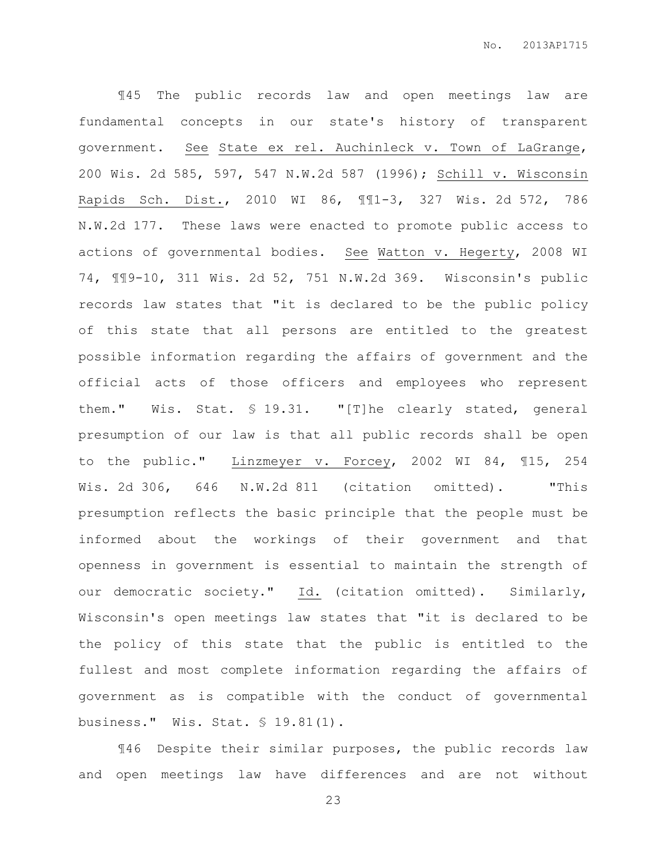¶45 The public records law and open meetings law are fundamental concepts in our state's history of transparent government. See State ex rel. Auchinleck v. Town of LaGrange, 200 Wis. 2d 585, 597, 547 N.W.2d 587 (1996); Schill v. Wisconsin Rapids Sch. Dist., 2010 WI 86, ¶¶1-3, 327 Wis. 2d 572, 786 N.W.2d 177. These laws were enacted to promote public access to actions of governmental bodies. See Watton v. Hegerty, 2008 WI 74, ¶¶9-10, 311 Wis. 2d 52, 751 N.W.2d 369. Wisconsin's public records law states that "it is declared to be the public policy of this state that all persons are entitled to the greatest possible information regarding the affairs of government and the official acts of those officers and employees who represent them." Wis. Stat. § 19.31. "[T]he clearly stated, general presumption of our law is that all public records shall be open to the public." Linzmeyer v. Forcey, 2002 WI 84, ¶15, 254 Wis. 2d 306, 646 N.W.2d 811 (citation omitted). "This presumption reflects the basic principle that the people must be informed about the workings of their government and that openness in government is essential to maintain the strength of our democratic society." Id. (citation omitted). Similarly, Wisconsin's open meetings law states that "it is declared to be the policy of this state that the public is entitled to the fullest and most complete information regarding the affairs of government as is compatible with the conduct of governmental business." Wis. Stat. § 19.81(1).

¶46 Despite their similar purposes, the public records law and open meetings law have differences and are not without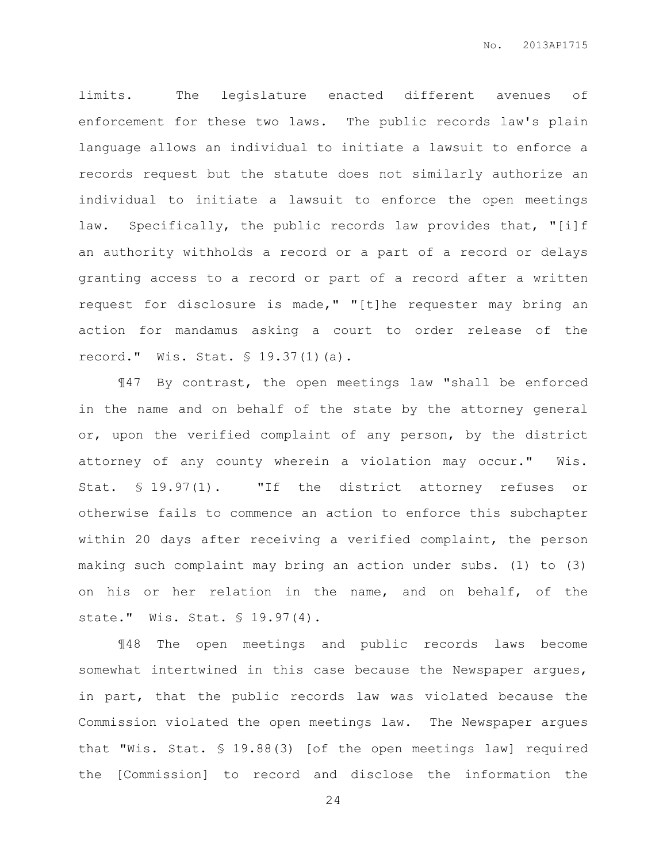limits. The legislature enacted different avenues of enforcement for these two laws. The public records law's plain language allows an individual to initiate a lawsuit to enforce a records request but the statute does not similarly authorize an individual to initiate a lawsuit to enforce the open meetings law. Specifically, the public records law provides that, "[i]f an authority withholds a record or a part of a record or delays granting access to a record or part of a record after a written request for disclosure is made," "[t]he requester may bring an action for mandamus asking a court to order release of the record." Wis. Stat. § 19.37(1)(a).

¶47 By contrast, the open meetings law "shall be enforced in the name and on behalf of the state by the attorney general or, upon the verified complaint of any person, by the district attorney of any county wherein a violation may occur." Wis. Stat. § 19.97(1). "If the district attorney refuses or otherwise fails to commence an action to enforce this subchapter within 20 days after receiving a verified complaint, the person making such complaint may bring an action under subs. (1) to (3) on his or her relation in the name, and on behalf, of the state." Wis. Stat. § 19.97(4).

¶48 The open meetings and public records laws become somewhat intertwined in this case because the Newspaper argues, in part, that the public records law was violated because the Commission violated the open meetings law. The Newspaper argues that "Wis. Stat. § 19.88(3) [of the open meetings law] required the [Commission] to record and disclose the information the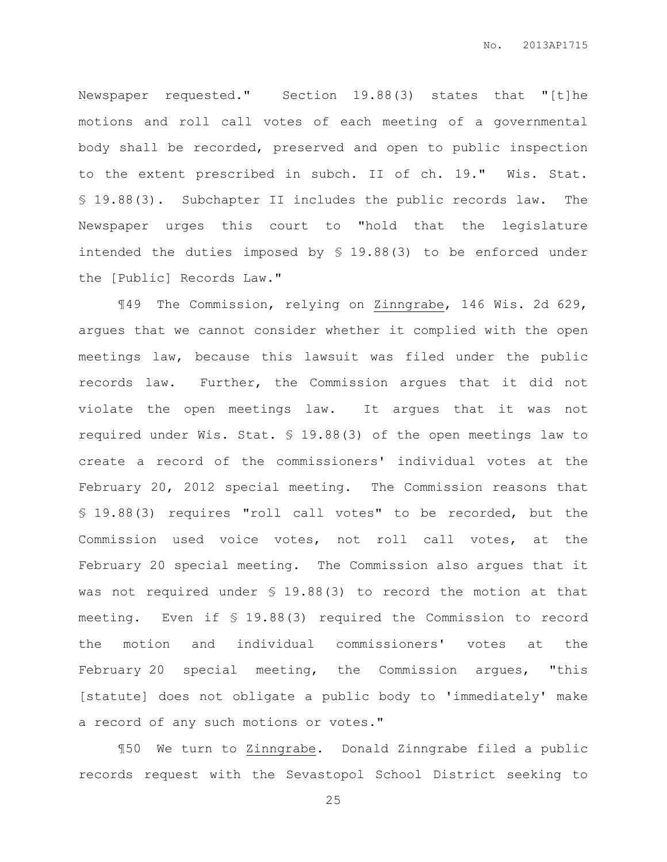Newspaper requested." Section 19.88(3) states that "[t]he motions and roll call votes of each meeting of a governmental body shall be recorded, preserved and open to public inspection to the extent prescribed in subch. II of ch. 19." Wis. Stat. § 19.88(3). Subchapter II includes the public records law. The Newspaper urges this court to "hold that the legislature intended the duties imposed by § 19.88(3) to be enforced under the [Public] Records Law."

¶49 The Commission, relying on Zinngrabe, 146 Wis. 2d 629, argues that we cannot consider whether it complied with the open meetings law, because this lawsuit was filed under the public records law. Further, the Commission argues that it did not violate the open meetings law. It argues that it was not required under Wis. Stat. § 19.88(3) of the open meetings law to create a record of the commissioners' individual votes at the February 20, 2012 special meeting. The Commission reasons that § 19.88(3) requires "roll call votes" to be recorded, but the Commission used voice votes, not roll call votes, at the February 20 special meeting. The Commission also argues that it was not required under § 19.88(3) to record the motion at that meeting. Even if § 19.88(3) required the Commission to record the motion and individual commissioners' votes at the February 20 special meeting, the Commission argues, "this [statute] does not obligate a public body to 'immediately' make a record of any such motions or votes."

¶50 We turn to Zinngrabe. Donald Zinngrabe filed a public records request with the Sevastopol School District seeking to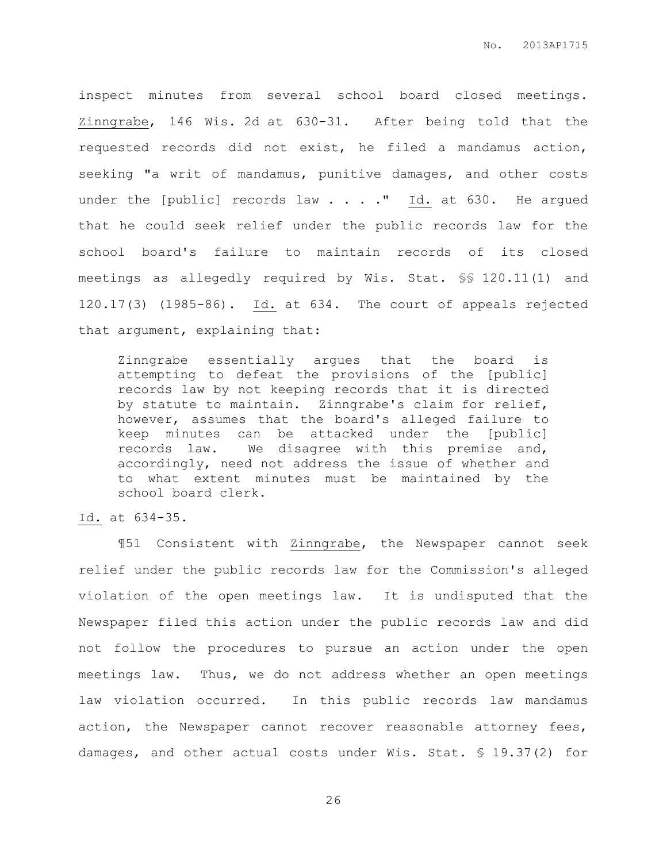inspect minutes from several school board closed meetings. Zinngrabe, 146 Wis. 2d at 630-31. After being told that the requested records did not exist, he filed a mandamus action, seeking "a writ of mandamus, punitive damages, and other costs under the [public] records law  $\ldots$  . . " Id. at 630. He argued that he could seek relief under the public records law for the school board's failure to maintain records of its closed meetings as allegedly required by Wis. Stat. §§ 120.11(1) and 120.17(3) (1985-86). Id. at 634. The court of appeals rejected that argument, explaining that:

Zinngrabe essentially argues that the board is attempting to defeat the provisions of the [public] records law by not keeping records that it is directed by statute to maintain. Zinngrabe's claim for relief, however, assumes that the board's alleged failure to keep minutes can be attacked under the [public] records law. We disagree with this premise and, accordingly, need not address the issue of whether and to what extent minutes must be maintained by the school board clerk.

Id. at 634-35.

¶51 Consistent with Zinngrabe, the Newspaper cannot seek relief under the public records law for the Commission's alleged violation of the open meetings law. It is undisputed that the Newspaper filed this action under the public records law and did not follow the procedures to pursue an action under the open meetings law. Thus, we do not address whether an open meetings law violation occurred. In this public records law mandamus action, the Newspaper cannot recover reasonable attorney fees, damages, and other actual costs under Wis. Stat. § 19.37(2) for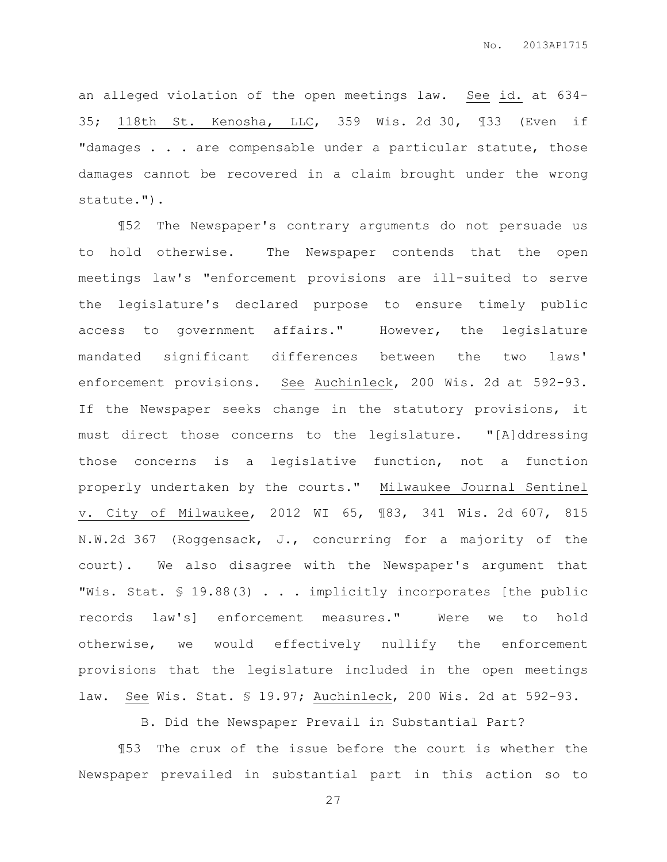an alleged violation of the open meetings law. See id. at 634- 35; 118th St. Kenosha, LLC, 359 Wis. 2d 30, ¶33 (Even if "damages . . . are compensable under a particular statute, those damages cannot be recovered in a claim brought under the wrong statute.").

¶52 The Newspaper's contrary arguments do not persuade us to hold otherwise. The Newspaper contends that the open meetings law's "enforcement provisions are ill-suited to serve the legislature's declared purpose to ensure timely public access to government affairs." However, the legislature mandated significant differences between the two laws' enforcement provisions. See Auchinleck, 200 Wis. 2d at 592-93. If the Newspaper seeks change in the statutory provisions, it must direct those concerns to the legislature. "[A]ddressing those concerns is a legislative function, not a function properly undertaken by the courts." Milwaukee Journal Sentinel v. City of Milwaukee, 2012 WI 65, ¶83, 341 Wis. 2d 607, 815 N.W.2d 367 (Roggensack, J., concurring for a majority of the court). We also disagree with the Newspaper's argument that "Wis. Stat. § 19.88(3) . . . implicitly incorporates [the public records law's] enforcement measures." Were we to hold otherwise, we would effectively nullify the enforcement provisions that the legislature included in the open meetings law. See Wis. Stat. § 19.97; Auchinleck, 200 Wis. 2d at 592-93.

B. Did the Newspaper Prevail in Substantial Part?

¶53 The crux of the issue before the court is whether the Newspaper prevailed in substantial part in this action so to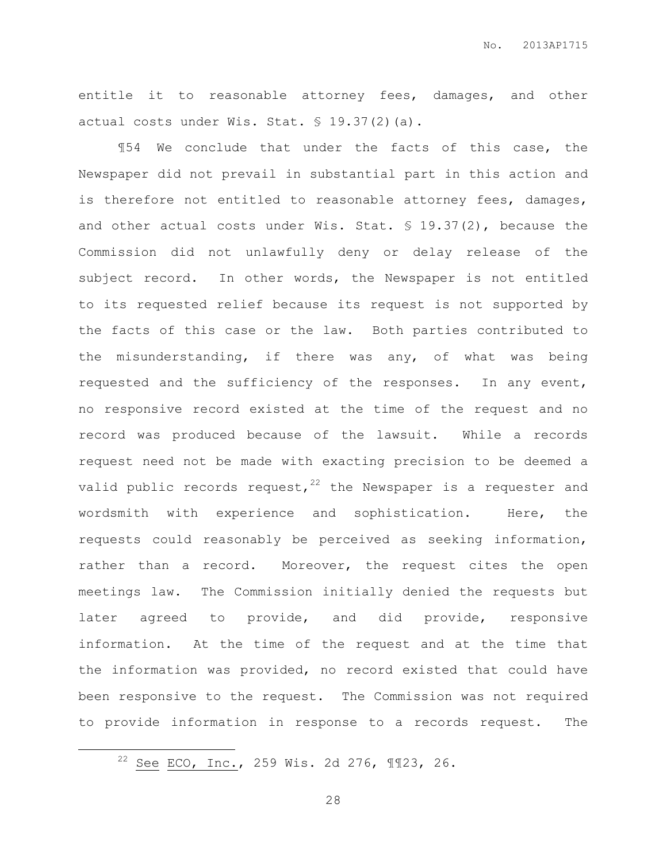entitle it to reasonable attorney fees, damages, and other actual costs under Wis. Stat. § 19.37(2)(a).

¶54 We conclude that under the facts of this case, the Newspaper did not prevail in substantial part in this action and is therefore not entitled to reasonable attorney fees, damages, and other actual costs under Wis. Stat.  $$ 19.37(2)$ , because the Commission did not unlawfully deny or delay release of the subject record. In other words, the Newspaper is not entitled to its requested relief because its request is not supported by the facts of this case or the law. Both parties contributed to the misunderstanding, if there was any, of what was being requested and the sufficiency of the responses. In any event, no responsive record existed at the time of the request and no record was produced because of the lawsuit. While a records request need not be made with exacting precision to be deemed a valid public records request,  $22$  the Newspaper is a requester and wordsmith with experience and sophistication. Here, the requests could reasonably be perceived as seeking information, rather than a record. Moreover, the request cites the open meetings law. The Commission initially denied the requests but later agreed to provide, and did provide, responsive information. At the time of the request and at the time that the information was provided, no record existed that could have been responsive to the request. The Commission was not required to provide information in response to a records request. The

 $\overline{a}$ 

<sup>&</sup>lt;sup>22</sup> See ECO, Inc., 259 Wis. 2d 276,  $\P$ *I23*, 26.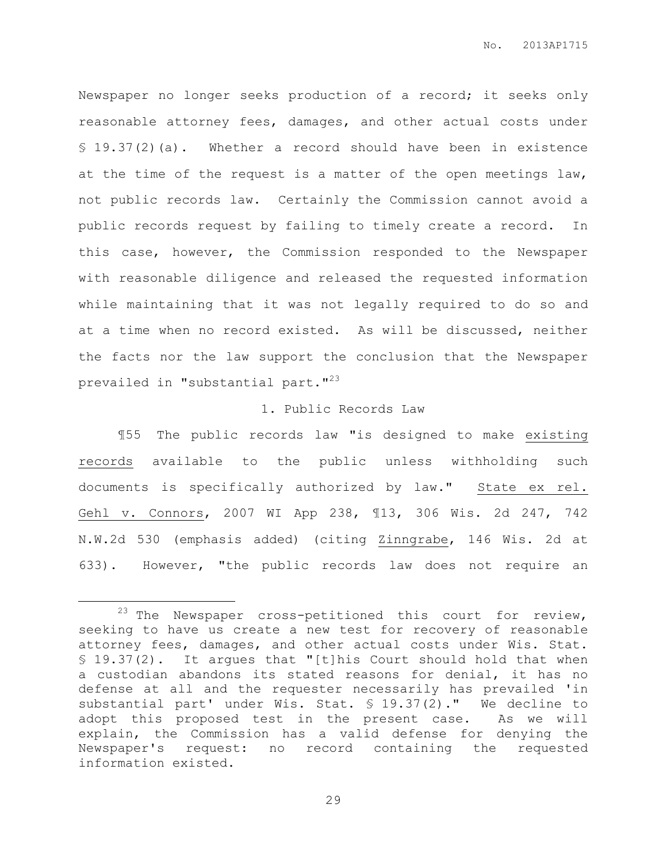Newspaper no longer seeks production of a record; it seeks only reasonable attorney fees, damages, and other actual costs under § 19.37(2)(a). Whether a record should have been in existence at the time of the request is a matter of the open meetings law, not public records law. Certainly the Commission cannot avoid a public records request by failing to timely create a record. In this case, however, the Commission responded to the Newspaper with reasonable diligence and released the requested information while maintaining that it was not legally required to do so and at a time when no record existed. As will be discussed, neither the facts nor the law support the conclusion that the Newspaper prevailed in "substantial part."<sup>23</sup>

# 1. Public Records Law

¶55 The public records law "is designed to make existing records available to the public unless withholding such documents is specifically authorized by law." State ex rel. Gehl v. Connors, 2007 WI App 238, ¶13, 306 Wis. 2d 247, 742 N.W.2d 530 (emphasis added) (citing Zinngrabe, 146 Wis. 2d at 633). However, "the public records law does not require an

 $\overline{a}$ 

 $23$  The Newspaper cross-petitioned this court for review, seeking to have us create a new test for recovery of reasonable attorney fees, damages, and other actual costs under Wis. Stat. § 19.37(2). It argues that "[t]his Court should hold that when a custodian abandons its stated reasons for denial, it has no defense at all and the requester necessarily has prevailed 'in substantial part' under Wis. Stat. § 19.37(2)." We decline to adopt this proposed test in the present case. As we will explain, the Commission has a valid defense for denying the Newspaper's request: no record containing the requested information existed.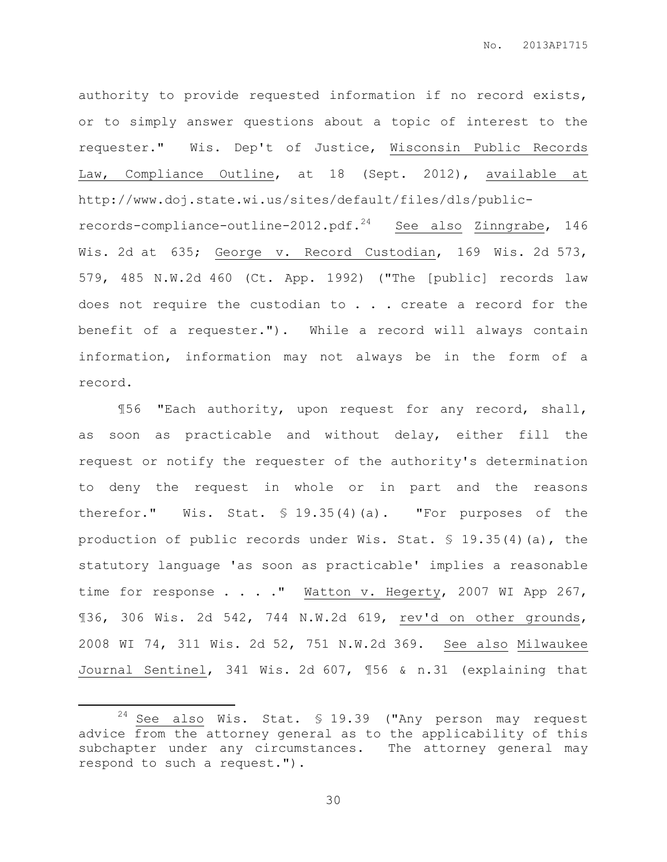authority to provide requested information if no record exists, or to simply answer questions about a topic of interest to the requester." Wis. Dep't of Justice, Wisconsin Public Records Law, Compliance Outline, at 18 (Sept. 2012), available at http://www.doj.state.wi.us/sites/default/files/dls/publicrecords-compliance-outline-2012.pdf. $24$  See also Zinngrabe, 146 Wis. 2d at 635; George v. Record Custodian, 169 Wis. 2d 573, 579, 485 N.W.2d 460 (Ct. App. 1992) ("The [public] records law does not require the custodian to . . . create a record for the benefit of a requester."). While a record will always contain information, information may not always be in the form of a record.

¶56 "Each authority, upon request for any record, shall, as soon as practicable and without delay, either fill the request or notify the requester of the authority's determination to deny the request in whole or in part and the reasons therefor." Wis. Stat. § 19.35(4)(a). "For purposes of the production of public records under Wis. Stat. § 19.35(4)(a), the statutory language 'as soon as practicable' implies a reasonable time for response . . . . " Watton v. Hegerty, 2007 WI App 267, ¶36, 306 Wis. 2d 542, 744 N.W.2d 619, rev'd on other grounds, 2008 WI 74, 311 Wis. 2d 52, 751 N.W.2d 369. See also Milwaukee Journal Sentinel, 341 Wis. 2d 607, ¶56 & n.31 (explaining that

 $\overline{a}$ 

 $24$  See also Wis. Stat. § 19.39 ("Any person may request advice from the attorney general as to the applicability of this subchapter under any circumstances. The attorney general may respond to such a request.").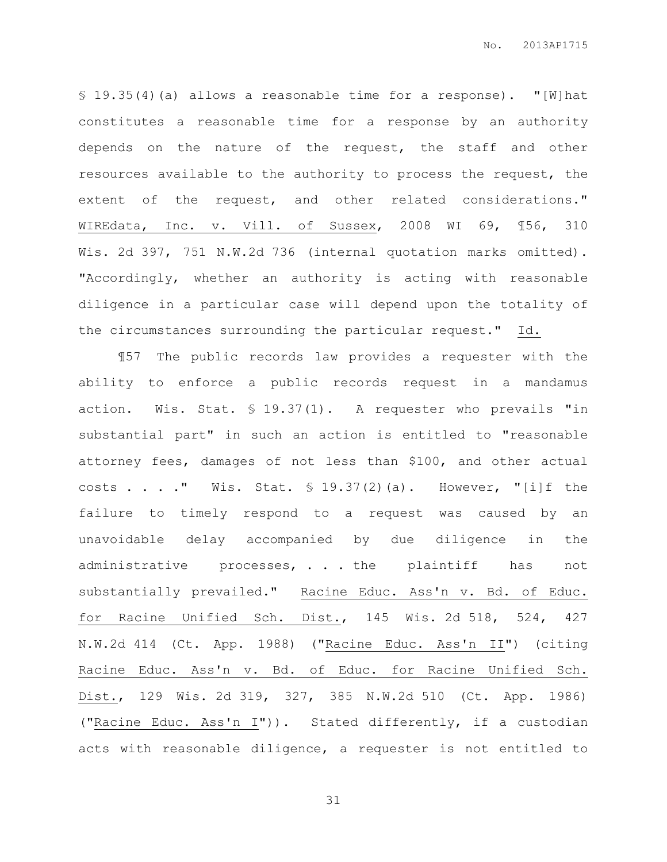§ 19.35(4)(a) allows a reasonable time for a response). "[W]hat constitutes a reasonable time for a response by an authority depends on the nature of the request, the staff and other resources available to the authority to process the request, the extent of the request, and other related considerations." WIREdata, Inc. v. Vill. of Sussex, 2008 WI 69, ¶56, 310 Wis. 2d 397, 751 N.W.2d 736 (internal quotation marks omitted). "Accordingly, whether an authority is acting with reasonable diligence in a particular case will depend upon the totality of the circumstances surrounding the particular request." Id.

¶57 The public records law provides a requester with the ability to enforce a public records request in a mandamus action. Wis. Stat. § 19.37(1). A requester who prevails "in substantial part" in such an action is entitled to "reasonable attorney fees, damages of not less than \$100, and other actual costs . . . . " Wis. Stat.  $\frac{1}{2}$  19.37(2)(a). However, "[i]f the failure to timely respond to a request was caused by an unavoidable delay accompanied by due diligence in the administrative processes, . . . the plaintiff has not substantially prevailed." Racine Educ. Ass'n v. Bd. of Educ. for Racine Unified Sch. Dist., 145 Wis. 2d 518, 524, 427 N.W.2d 414 (Ct. App. 1988) ("Racine Educ. Ass'n II") (citing Racine Educ. Ass'n v. Bd. of Educ. for Racine Unified Sch. Dist., 129 Wis. 2d 319, 327, 385 N.W.2d 510 (Ct. App. 1986) ("Racine Educ. Ass'n I")). Stated differently, if a custodian acts with reasonable diligence, a requester is not entitled to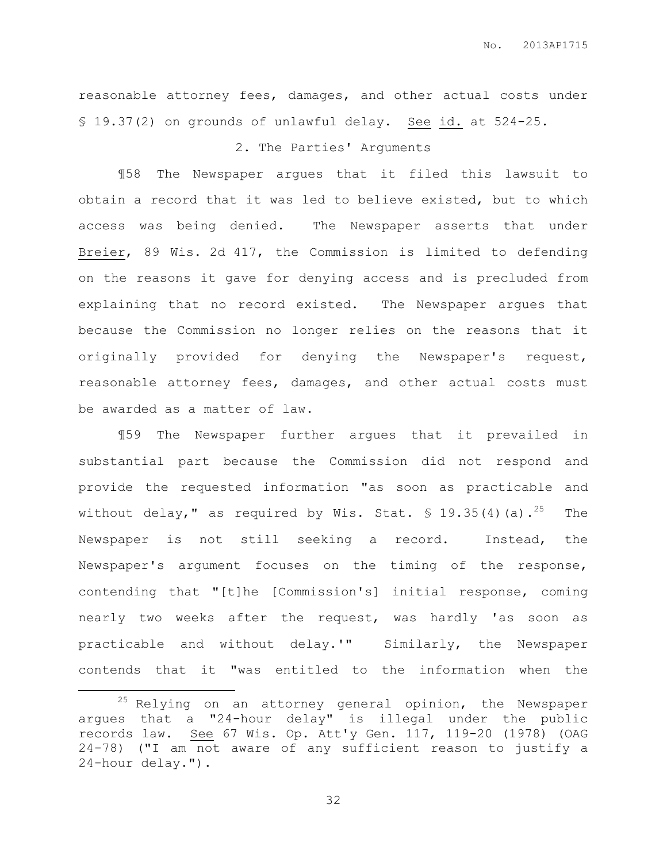reasonable attorney fees, damages, and other actual costs under § 19.37(2) on grounds of unlawful delay. See id. at 524-25.

# 2. The Parties' Arguments

¶58 The Newspaper argues that it filed this lawsuit to obtain a record that it was led to believe existed, but to which access was being denied. The Newspaper asserts that under Breier, 89 Wis. 2d 417, the Commission is limited to defending on the reasons it gave for denying access and is precluded from explaining that no record existed. The Newspaper argues that because the Commission no longer relies on the reasons that it originally provided for denying the Newspaper's request, reasonable attorney fees, damages, and other actual costs must be awarded as a matter of law.

¶59 The Newspaper further argues that it prevailed in substantial part because the Commission did not respond and provide the requested information "as soon as practicable and without delay," as required by Wis. Stat.  $\frac{1}{5}$  19.35(4)(a).<sup>25</sup> The Newspaper is not still seeking a record. Instead, the Newspaper's argument focuses on the timing of the response, contending that "[t]he [Commission's] initial response, coming nearly two weeks after the request, was hardly 'as soon as practicable and without delay.'" Similarly, the Newspaper contends that it "was entitled to the information when the

 $\overline{a}$ 

 $25$  Relying on an attorney general opinion, the Newspaper argues that a "24-hour delay" is illegal under the public records law. See 67 Wis. Op. Att'y Gen. 117, 119-20 (1978) (OAG 24-78) ("I am not aware of any sufficient reason to justify a 24-hour delay.").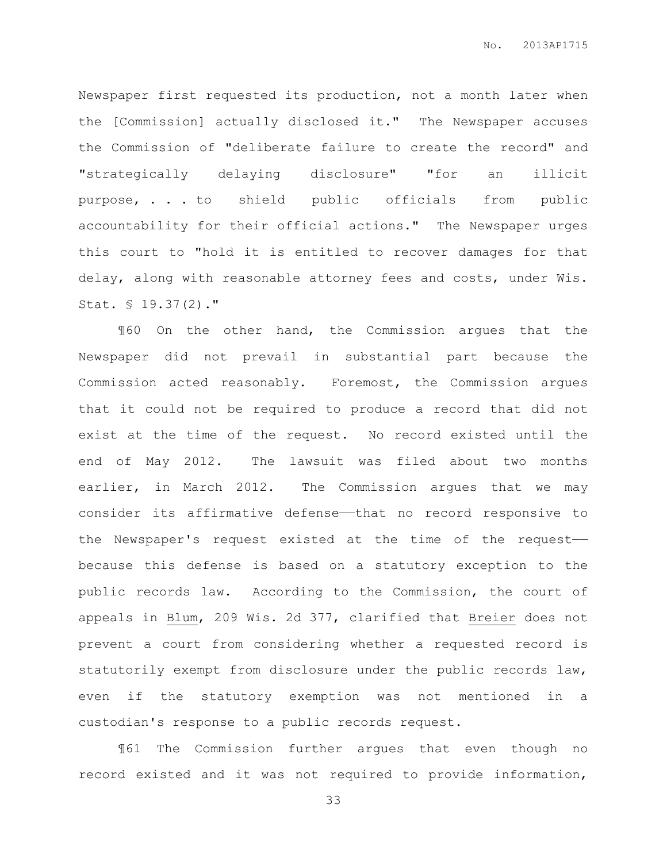Newspaper first requested its production, not a month later when the [Commission] actually disclosed it." The Newspaper accuses the Commission of "deliberate failure to create the record" and "strategically delaying disclosure" "for an illicit purpose, . . . to shield public officials from public accountability for their official actions." The Newspaper urges this court to "hold it is entitled to recover damages for that delay, along with reasonable attorney fees and costs, under Wis. Stat. § 19.37(2)."

¶60 On the other hand, the Commission argues that the Newspaper did not prevail in substantial part because the Commission acted reasonably. Foremost, the Commission argues that it could not be required to produce a record that did not exist at the time of the request. No record existed until the end of May 2012. The lawsuit was filed about two months earlier, in March 2012. The Commission argues that we may consider its affirmative defense——that no record responsive to the Newspaper's request existed at the time of the request— because this defense is based on a statutory exception to the public records law. According to the Commission, the court of appeals in Blum, 209 Wis. 2d 377, clarified that Breier does not prevent a court from considering whether a requested record is statutorily exempt from disclosure under the public records law, even if the statutory exemption was not mentioned in a custodian's response to a public records request.

¶61 The Commission further argues that even though no record existed and it was not required to provide information,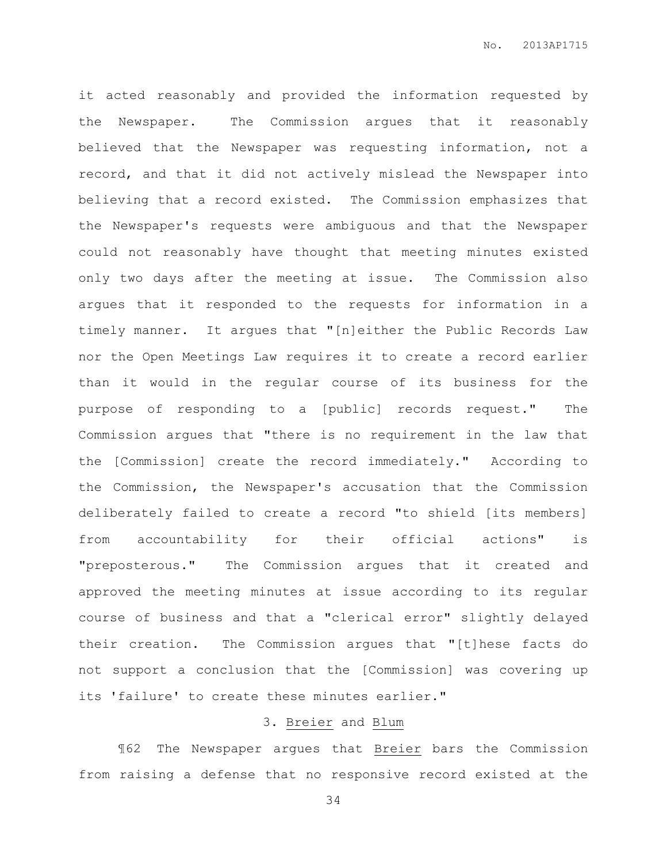it acted reasonably and provided the information requested by the Newspaper. The Commission argues that it reasonably believed that the Newspaper was requesting information, not a record, and that it did not actively mislead the Newspaper into believing that a record existed. The Commission emphasizes that the Newspaper's requests were ambiguous and that the Newspaper could not reasonably have thought that meeting minutes existed only two days after the meeting at issue. The Commission also argues that it responded to the requests for information in a timely manner. It argues that "[n]either the Public Records Law nor the Open Meetings Law requires it to create a record earlier than it would in the regular course of its business for the purpose of responding to a [public] records request." The Commission argues that "there is no requirement in the law that the [Commission] create the record immediately." According to the Commission, the Newspaper's accusation that the Commission deliberately failed to create a record "to shield [its members] from accountability for their official actions" is "preposterous." The Commission argues that it created and approved the meeting minutes at issue according to its regular course of business and that a "clerical error" slightly delayed their creation. The Commission argues that "[t]hese facts do not support a conclusion that the [Commission] was covering up its 'failure' to create these minutes earlier."

# 3. Breier and Blum

¶62 The Newspaper argues that Breier bars the Commission from raising a defense that no responsive record existed at the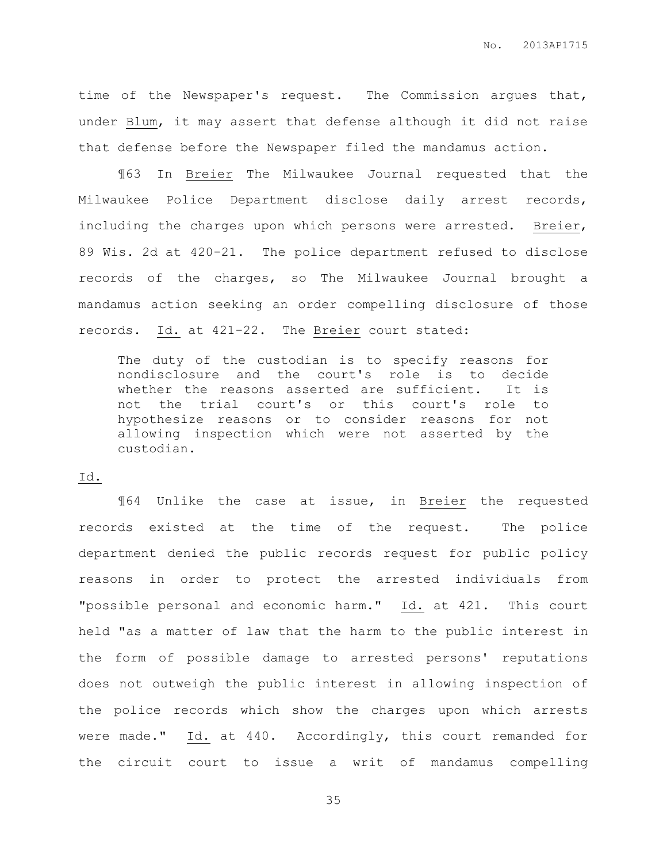time of the Newspaper's request. The Commission argues that, under Blum, it may assert that defense although it did not raise that defense before the Newspaper filed the mandamus action.

¶63 In Breier The Milwaukee Journal requested that the Milwaukee Police Department disclose daily arrest records, including the charges upon which persons were arrested. Breier, 89 Wis. 2d at 420-21. The police department refused to disclose records of the charges, so The Milwaukee Journal brought a mandamus action seeking an order compelling disclosure of those records. Id. at 421-22. The Breier court stated:

The duty of the custodian is to specify reasons for nondisclosure and the court's role is to decide whether the reasons asserted are sufficient. It is not the trial court's or this court's role to hypothesize reasons or to consider reasons for not allowing inspection which were not asserted by the custodian.

## Id.

¶64 Unlike the case at issue, in Breier the requested records existed at the time of the request. The police department denied the public records request for public policy reasons in order to protect the arrested individuals from "possible personal and economic harm." Id. at 421. This court held "as a matter of law that the harm to the public interest in the form of possible damage to arrested persons' reputations does not outweigh the public interest in allowing inspection of the police records which show the charges upon which arrests were made." Id. at 440. Accordingly, this court remanded for the circuit court to issue a writ of mandamus compelling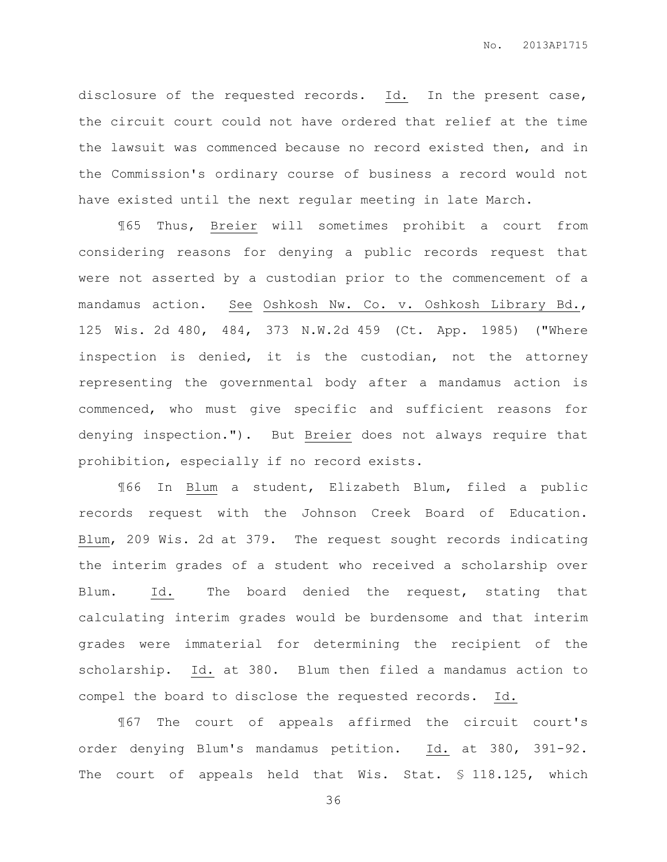disclosure of the requested records. Id. In the present case, the circuit court could not have ordered that relief at the time the lawsuit was commenced because no record existed then, and in the Commission's ordinary course of business a record would not have existed until the next regular meeting in late March.

¶65 Thus, Breier will sometimes prohibit a court from considering reasons for denying a public records request that were not asserted by a custodian prior to the commencement of a mandamus action. See Oshkosh Nw. Co. v. Oshkosh Library Bd., 125 Wis. 2d 480, 484, 373 N.W.2d 459 (Ct. App. 1985) ("Where inspection is denied, it is the custodian, not the attorney representing the governmental body after a mandamus action is commenced, who must give specific and sufficient reasons for denying inspection."). But Breier does not always require that prohibition, especially if no record exists.

¶66 In Blum a student, Elizabeth Blum, filed a public records request with the Johnson Creek Board of Education. Blum, 209 Wis. 2d at 379. The request sought records indicating the interim grades of a student who received a scholarship over Blum. Id. The board denied the request, stating that calculating interim grades would be burdensome and that interim grades were immaterial for determining the recipient of the scholarship. Id. at 380. Blum then filed a mandamus action to compel the board to disclose the requested records. Id.

¶67 The court of appeals affirmed the circuit court's order denying Blum's mandamus petition. Id. at 380, 391-92. The court of appeals held that Wis. Stat. § 118.125, which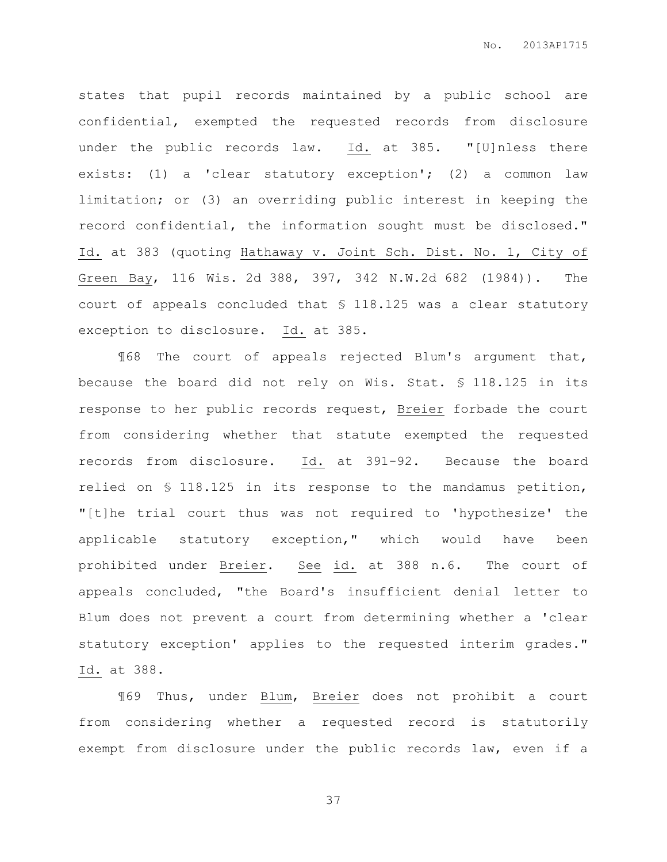states that pupil records maintained by a public school are confidential, exempted the requested records from disclosure under the public records law. Id. at 385. "[U]nless there exists: (1) a 'clear statutory exception'; (2) a common law limitation; or (3) an overriding public interest in keeping the record confidential, the information sought must be disclosed." Id. at 383 (quoting Hathaway v. Joint Sch. Dist. No. 1, City of Green Bay, 116 Wis. 2d 388, 397, 342 N.W.2d 682 (1984)). The court of appeals concluded that § 118.125 was a clear statutory exception to disclosure. Id. at 385.

¶68 The court of appeals rejected Blum's argument that, because the board did not rely on Wis. Stat. § 118.125 in its response to her public records request, Breier forbade the court from considering whether that statute exempted the requested records from disclosure. Id. at 391-92. Because the board relied on § 118.125 in its response to the mandamus petition, "[t]he trial court thus was not required to 'hypothesize' the applicable statutory exception," which would have been prohibited under Breier. See id. at 388 n.6. The court of appeals concluded, "the Board's insufficient denial letter to Blum does not prevent a court from determining whether a 'clear statutory exception' applies to the requested interim grades." Id. at 388.

¶69 Thus, under Blum, Breier does not prohibit a court from considering whether a requested record is statutorily exempt from disclosure under the public records law, even if a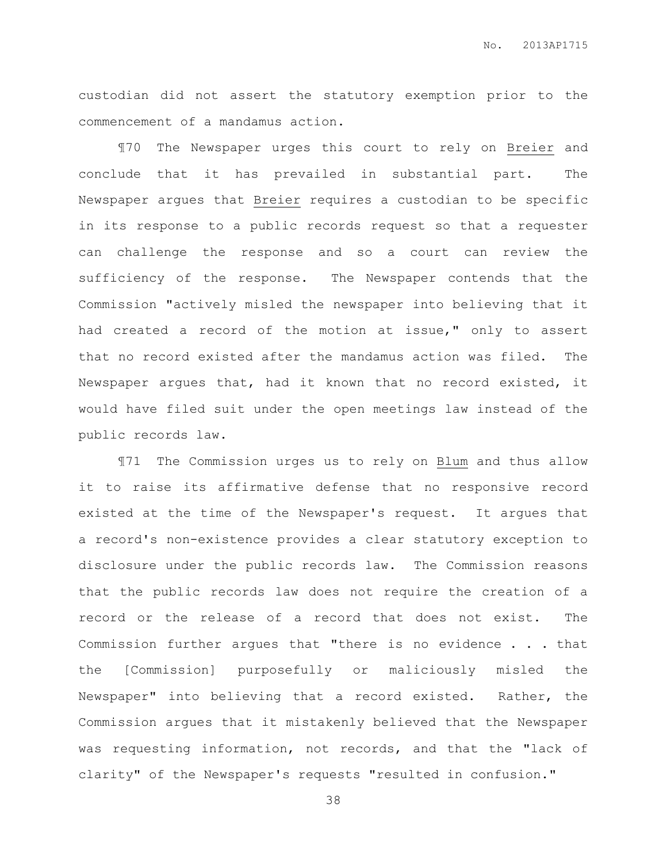custodian did not assert the statutory exemption prior to the commencement of a mandamus action.

¶70 The Newspaper urges this court to rely on Breier and conclude that it has prevailed in substantial part. The Newspaper argues that Breier requires a custodian to be specific in its response to a public records request so that a requester can challenge the response and so a court can review the sufficiency of the response. The Newspaper contends that the Commission "actively misled the newspaper into believing that it had created a record of the motion at issue," only to assert that no record existed after the mandamus action was filed. The Newspaper argues that, had it known that no record existed, it would have filed suit under the open meetings law instead of the public records law.

¶71 The Commission urges us to rely on Blum and thus allow it to raise its affirmative defense that no responsive record existed at the time of the Newspaper's request. It argues that a record's non-existence provides a clear statutory exception to disclosure under the public records law. The Commission reasons that the public records law does not require the creation of a record or the release of a record that does not exist. The Commission further argues that "there is no evidence . . . that the [Commission] purposefully or maliciously misled the Newspaper" into believing that a record existed. Rather, the Commission argues that it mistakenly believed that the Newspaper was requesting information, not records, and that the "lack of clarity" of the Newspaper's requests "resulted in confusion."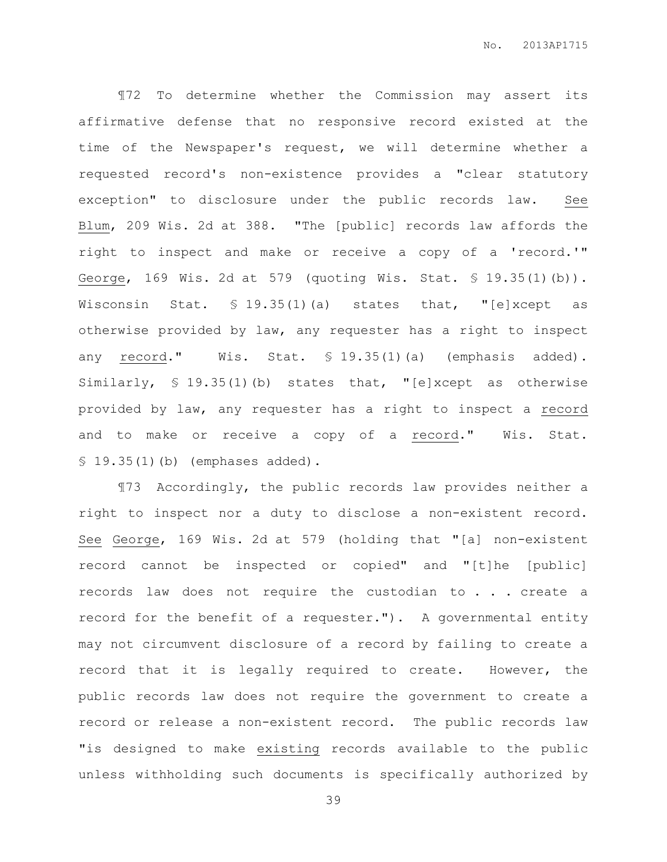¶72 To determine whether the Commission may assert its affirmative defense that no responsive record existed at the time of the Newspaper's request, we will determine whether a requested record's non-existence provides a "clear statutory exception" to disclosure under the public records law. See Blum, 209 Wis. 2d at 388. "The [public] records law affords the right to inspect and make or receive a copy of a 'record.'" George, 169 Wis. 2d at 579 (quoting Wis. Stat. § 19.35(1)(b)). Wisconsin Stat. § 19.35(1)(a) states that, "[e]xcept as otherwise provided by law, any requester has a right to inspect any record." Wis. Stat. § 19.35(1)(a) (emphasis added). Similarly, § 19.35(1)(b) states that, "[e]xcept as otherwise provided by law, any requester has a right to inspect a record and to make or receive a copy of a record." Wis. Stat. § 19.35(1)(b) (emphases added).

¶73 Accordingly, the public records law provides neither a right to inspect nor a duty to disclose a non-existent record. See George, 169 Wis. 2d at 579 (holding that "[a] non-existent record cannot be inspected or copied" and "[t]he [public] records law does not require the custodian to . . . create a record for the benefit of a requester."). A governmental entity may not circumvent disclosure of a record by failing to create a record that it is legally required to create. However, the public records law does not require the government to create a record or release a non-existent record. The public records law "is designed to make existing records available to the public unless withholding such documents is specifically authorized by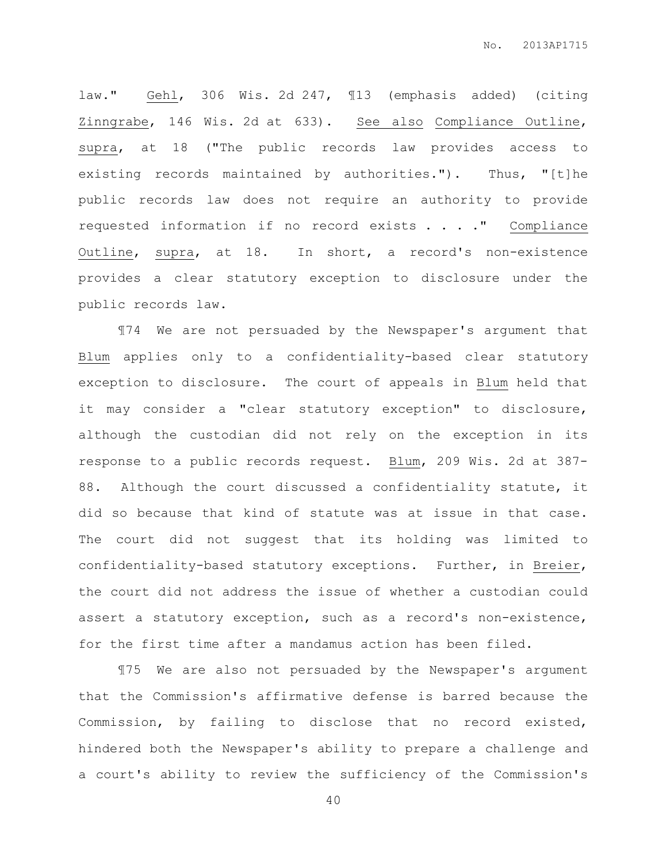law." Gehl, 306 Wis. 2d 247, ¶13 (emphasis added) (citing Zinngrabe, 146 Wis. 2d at 633). See also Compliance Outline, supra, at 18 ("The public records law provides access to existing records maintained by authorities."). Thus, "[t]he public records law does not require an authority to provide requested information if no record exists . . . ." Compliance Outline, supra, at 18. In short, a record's non-existence provides a clear statutory exception to disclosure under the public records law.

¶74 We are not persuaded by the Newspaper's argument that Blum applies only to a confidentiality-based clear statutory exception to disclosure. The court of appeals in Blum held that it may consider a "clear statutory exception" to disclosure, although the custodian did not rely on the exception in its response to a public records request. Blum, 209 Wis. 2d at 387- 88. Although the court discussed a confidentiality statute, it did so because that kind of statute was at issue in that case. The court did not suggest that its holding was limited to confidentiality-based statutory exceptions. Further, in Breier, the court did not address the issue of whether a custodian could assert a statutory exception, such as a record's non-existence, for the first time after a mandamus action has been filed.

¶75 We are also not persuaded by the Newspaper's argument that the Commission's affirmative defense is barred because the Commission, by failing to disclose that no record existed, hindered both the Newspaper's ability to prepare a challenge and a court's ability to review the sufficiency of the Commission's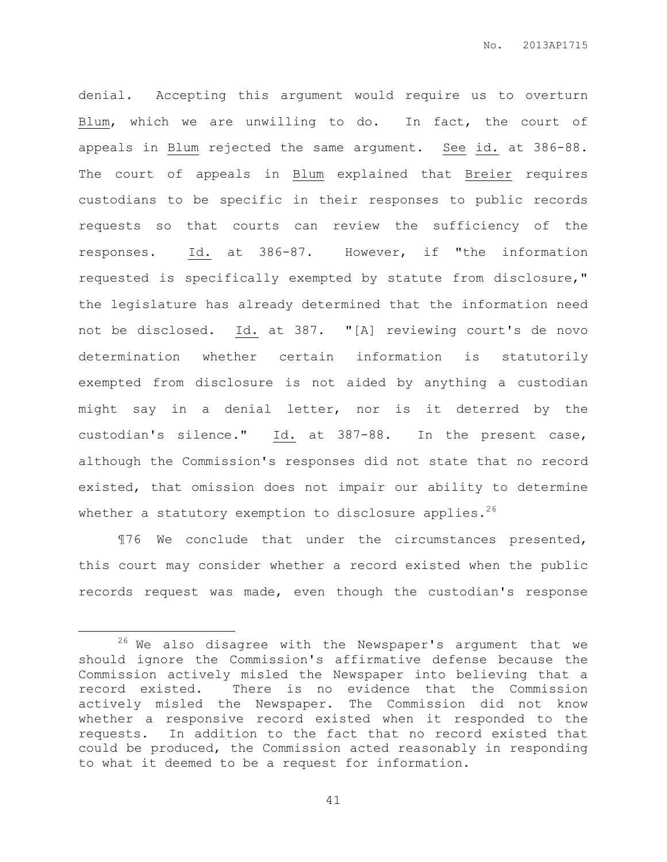denial. Accepting this argument would require us to overturn Blum, which we are unwilling to do. In fact, the court of appeals in Blum rejected the same argument. See id. at 386-88. The court of appeals in Blum explained that Breier requires custodians to be specific in their responses to public records requests so that courts can review the sufficiency of the responses. Id. at 386-87. However, if "the information requested is specifically exempted by statute from disclosure," the legislature has already determined that the information need not be disclosed. Id. at 387. "[A] reviewing court's de novo determination whether certain information is statutorily exempted from disclosure is not aided by anything a custodian might say in a denial letter, nor is it deterred by the custodian's silence." Id. at 387-88. In the present case, although the Commission's responses did not state that no record existed, that omission does not impair our ability to determine whether a statutory exemption to disclosure applies. $^{26}$ 

¶76 We conclude that under the circumstances presented, this court may consider whether a record existed when the public records request was made, even though the custodian's response

 $\overline{a}$ 

 $26$  We also disagree with the Newspaper's argument that we should ignore the Commission's affirmative defense because the Commission actively misled the Newspaper into believing that a record existed. There is no evidence that the Commission actively misled the Newspaper. The Commission did not know whether a responsive record existed when it responded to the requests. In addition to the fact that no record existed that could be produced, the Commission acted reasonably in responding to what it deemed to be a request for information.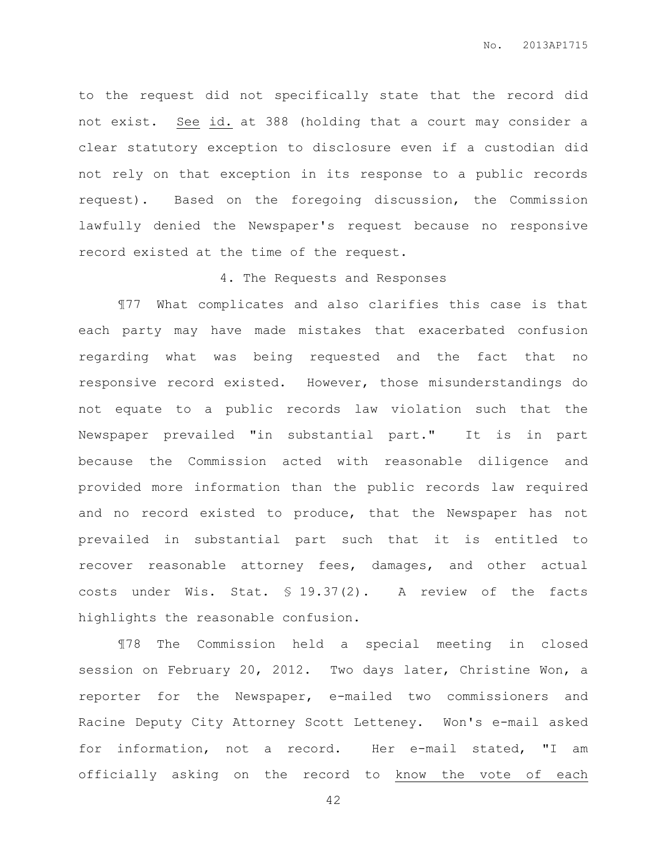to the request did not specifically state that the record did not exist. See id. at 388 (holding that a court may consider a clear statutory exception to disclosure even if a custodian did not rely on that exception in its response to a public records request). Based on the foregoing discussion, the Commission lawfully denied the Newspaper's request because no responsive record existed at the time of the request.

## 4. The Requests and Responses

¶77 What complicates and also clarifies this case is that each party may have made mistakes that exacerbated confusion regarding what was being requested and the fact that no responsive record existed. However, those misunderstandings do not equate to a public records law violation such that the Newspaper prevailed "in substantial part." It is in part because the Commission acted with reasonable diligence and provided more information than the public records law required and no record existed to produce, that the Newspaper has not prevailed in substantial part such that it is entitled to recover reasonable attorney fees, damages, and other actual costs under Wis. Stat. § 19.37(2). A review of the facts highlights the reasonable confusion.

¶78 The Commission held a special meeting in closed session on February 20, 2012. Two days later, Christine Won, a reporter for the Newspaper, e-mailed two commissioners and Racine Deputy City Attorney Scott Letteney. Won's e-mail asked for information, not a record. Her e-mail stated, "I am officially asking on the record to know the vote of each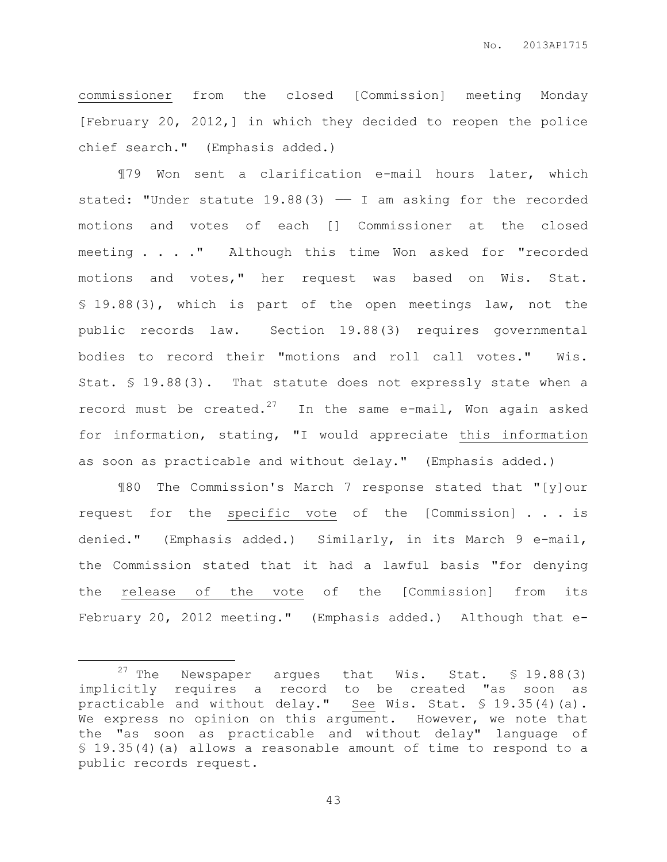commissioner from the closed [Commission] meeting Monday [February 20, 2012,] in which they decided to reopen the police chief search." (Emphasis added.)

¶79 Won sent a clarification e-mail hours later, which stated: "Under statute  $19.88(3)$  - I am asking for the recorded motions and votes of each [] Commissioner at the closed meeting . . . ." Although this time Won asked for "recorded motions and votes," her request was based on Wis. Stat. § 19.88(3), which is part of the open meetings law, not the public records law. Section 19.88(3) requires governmental bodies to record their "motions and roll call votes." Wis. Stat. § 19.88(3). That statute does not expressly state when a record must be created.<sup>27</sup> In the same e-mail, Won again asked for information, stating, "I would appreciate this information as soon as practicable and without delay." (Emphasis added.)

¶80 The Commission's March 7 response stated that "[y]our request for the specific vote of the [Commission] . . . is denied." (Emphasis added.) Similarly, in its March 9 e-mail, the Commission stated that it had a lawful basis "for denying the release of the vote of the [Commission] from its February 20, 2012 meeting." (Emphasis added.) Although that e-

 $\overline{a}$ 

<sup>&</sup>lt;sup>27</sup> The Newspaper argues that Wis. Stat.  $$ 19.88(3)$ implicitly requires a record to be created "as soon as practicable and without delay." See Wis. Stat. § 19.35(4)(a). We express no opinion on this argument. However, we note that the "as soon as practicable and without delay" language of § 19.35(4)(a) allows a reasonable amount of time to respond to a public records request.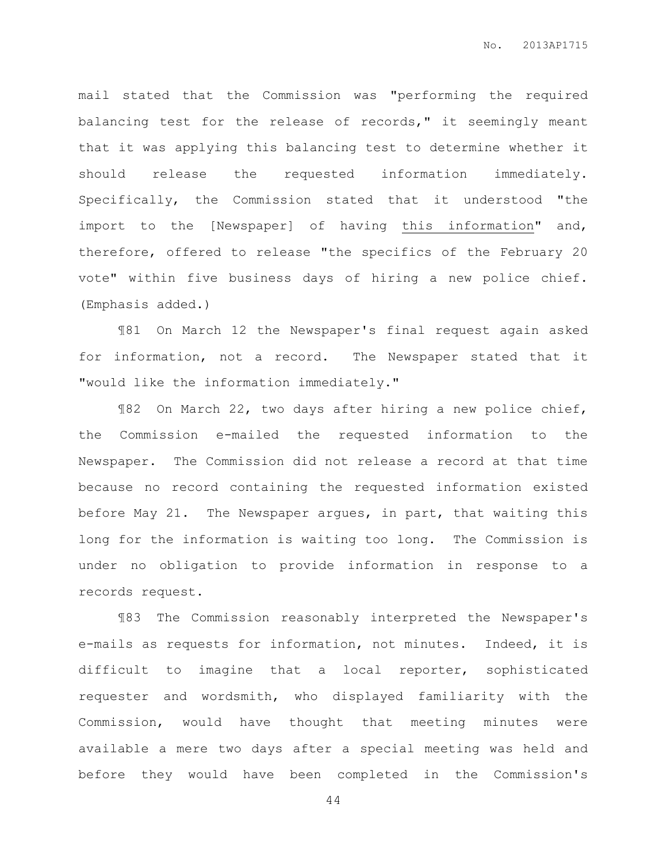mail stated that the Commission was "performing the required balancing test for the release of records," it seemingly meant that it was applying this balancing test to determine whether it should release the requested information immediately. Specifically, the Commission stated that it understood "the import to the [Newspaper] of having this information" and, therefore, offered to release "the specifics of the February 20 vote" within five business days of hiring a new police chief. (Emphasis added.)

¶81 On March 12 the Newspaper's final request again asked for information, not a record. The Newspaper stated that it "would like the information immediately."

¶82 On March 22, two days after hiring a new police chief, the Commission e-mailed the requested information to the Newspaper. The Commission did not release a record at that time because no record containing the requested information existed before May 21. The Newspaper argues, in part, that waiting this long for the information is waiting too long. The Commission is under no obligation to provide information in response to a records request.

¶83 The Commission reasonably interpreted the Newspaper's e-mails as requests for information, not minutes. Indeed, it is difficult to imagine that a local reporter, sophisticated requester and wordsmith, who displayed familiarity with the Commission, would have thought that meeting minutes were available a mere two days after a special meeting was held and before they would have been completed in the Commission's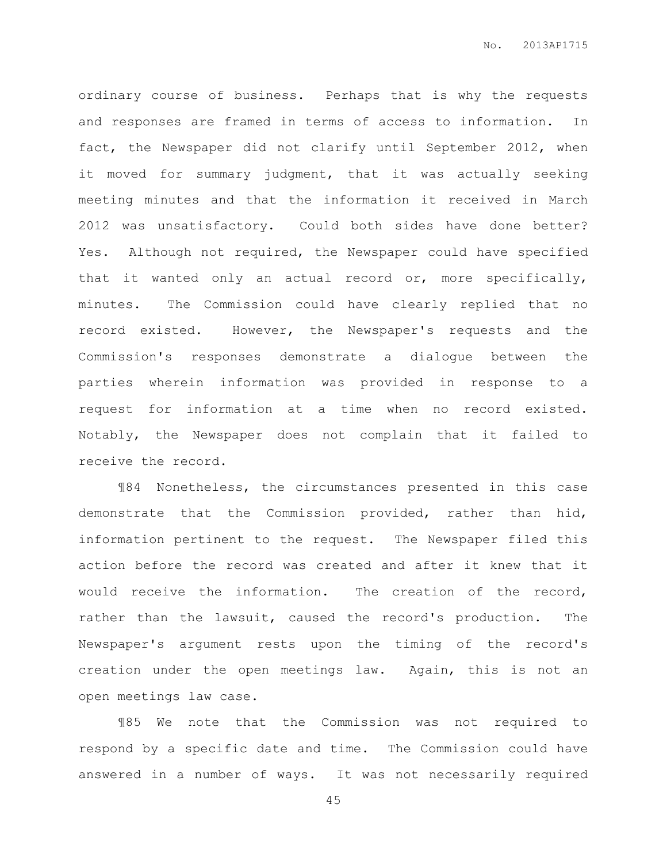ordinary course of business. Perhaps that is why the requests and responses are framed in terms of access to information. In fact, the Newspaper did not clarify until September 2012, when it moved for summary judgment, that it was actually seeking meeting minutes and that the information it received in March 2012 was unsatisfactory. Could both sides have done better? Yes. Although not required, the Newspaper could have specified that it wanted only an actual record or, more specifically, minutes. The Commission could have clearly replied that no record existed. However, the Newspaper's requests and the Commission's responses demonstrate a dialogue between the parties wherein information was provided in response to a request for information at a time when no record existed. Notably, the Newspaper does not complain that it failed to receive the record.

¶84 Nonetheless, the circumstances presented in this case demonstrate that the Commission provided, rather than hid, information pertinent to the request. The Newspaper filed this action before the record was created and after it knew that it would receive the information. The creation of the record, rather than the lawsuit, caused the record's production. The Newspaper's argument rests upon the timing of the record's creation under the open meetings law. Again, this is not an open meetings law case.

¶85 We note that the Commission was not required to respond by a specific date and time. The Commission could have answered in a number of ways. It was not necessarily required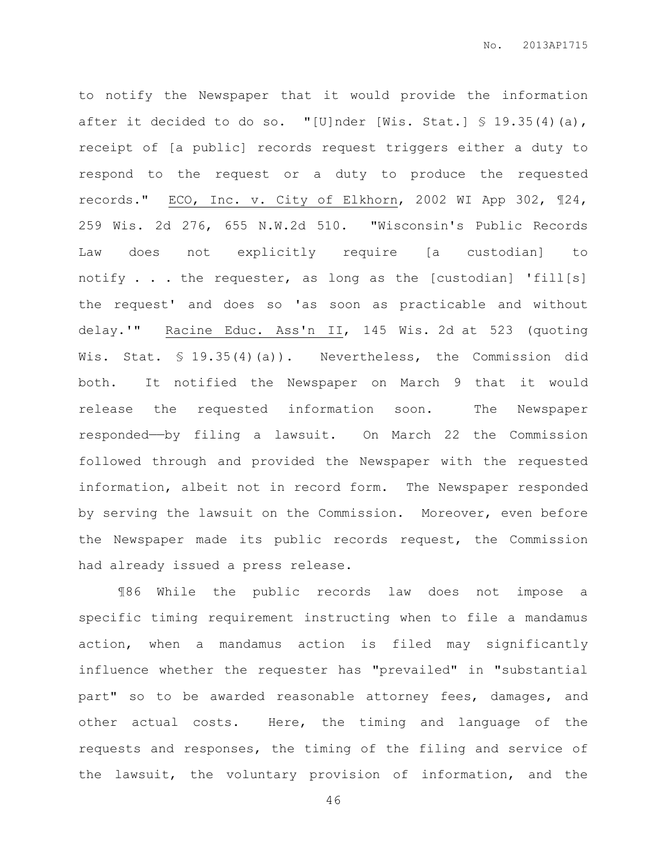to notify the Newspaper that it would provide the information after it decided to do so. "[U]nder [Wis. Stat.]  $\$$  19.35(4)(a), receipt of [a public] records request triggers either a duty to respond to the request or a duty to produce the requested records." ECO, Inc. v. City of Elkhorn, 2002 WI App 302, ¶24, 259 Wis. 2d 276, 655 N.W.2d 510. "Wisconsin's Public Records Law does not explicitly require [a custodian] to notify . . . the requester, as long as the [custodian] 'fill[s] the request' and does so 'as soon as practicable and without delay.'" Racine Educ. Ass'n II, 145 Wis. 2d at 523 (quoting Wis. Stat. § 19.35(4)(a)). Nevertheless, the Commission did both. It notified the Newspaper on March 9 that it would release the requested information soon. The Newspaper responded——by filing a lawsuit. On March 22 the Commission followed through and provided the Newspaper with the requested information, albeit not in record form. The Newspaper responded by serving the lawsuit on the Commission. Moreover, even before the Newspaper made its public records request, the Commission had already issued a press release.

¶86 While the public records law does not impose a specific timing requirement instructing when to file a mandamus action, when a mandamus action is filed may significantly influence whether the requester has "prevailed" in "substantial part" so to be awarded reasonable attorney fees, damages, and other actual costs. Here, the timing and language of the requests and responses, the timing of the filing and service of the lawsuit, the voluntary provision of information, and the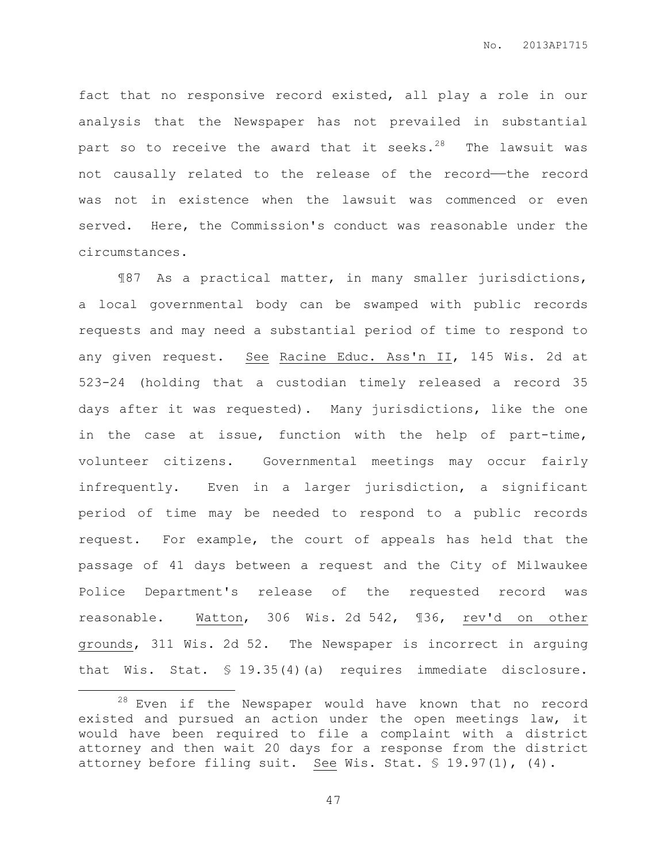fact that no responsive record existed, all play a role in our analysis that the Newspaper has not prevailed in substantial part so to receive the award that it seeks.<sup>28</sup> The lawsuit was not causally related to the release of the record-the record was not in existence when the lawsuit was commenced or even served. Here, the Commission's conduct was reasonable under the circumstances.

¶87 As a practical matter, in many smaller jurisdictions, a local governmental body can be swamped with public records requests and may need a substantial period of time to respond to any given request. See Racine Educ. Ass'n II, 145 Wis. 2d at 523-24 (holding that a custodian timely released a record 35 days after it was requested). Many jurisdictions, like the one in the case at issue, function with the help of part-time, volunteer citizens. Governmental meetings may occur fairly infrequently. Even in a larger jurisdiction, a significant period of time may be needed to respond to a public records request. For example, the court of appeals has held that the passage of 41 days between a request and the City of Milwaukee Police Department's release of the requested record was reasonable. Watton, 306 Wis. 2d 542, ¶36, rev'd on other grounds, 311 Wis. 2d 52. The Newspaper is incorrect in arguing that Wis. Stat. § 19.35(4)(a) requires immediate disclosure.

l.

<sup>28</sup> Even if the Newspaper would have known that no record existed and pursued an action under the open meetings law, it would have been required to file a complaint with a district attorney and then wait 20 days for a response from the district attorney before filing suit. See Wis. Stat. § 19.97(1), (4).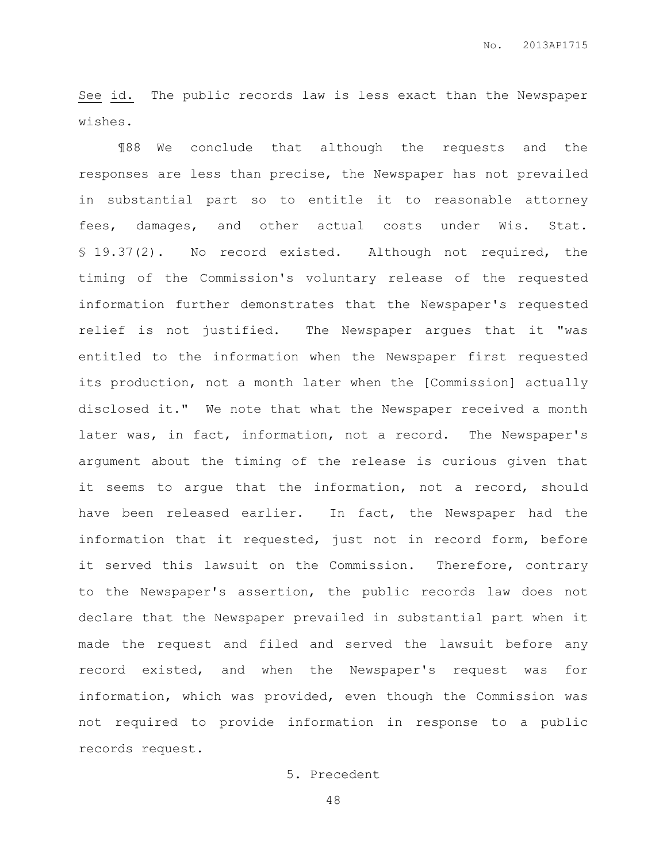See id. The public records law is less exact than the Newspaper wishes.

¶88 We conclude that although the requests and the responses are less than precise, the Newspaper has not prevailed in substantial part so to entitle it to reasonable attorney fees, damages, and other actual costs under Wis. Stat. § 19.37(2). No record existed. Although not required, the timing of the Commission's voluntary release of the requested information further demonstrates that the Newspaper's requested relief is not justified. The Newspaper argues that it "was entitled to the information when the Newspaper first requested its production, not a month later when the [Commission] actually disclosed it." We note that what the Newspaper received a month later was, in fact, information, not a record. The Newspaper's argument about the timing of the release is curious given that it seems to argue that the information, not a record, should have been released earlier. In fact, the Newspaper had the information that it requested, just not in record form, before it served this lawsuit on the Commission. Therefore, contrary to the Newspaper's assertion, the public records law does not declare that the Newspaper prevailed in substantial part when it made the request and filed and served the lawsuit before any record existed, and when the Newspaper's request was for information, which was provided, even though the Commission was not required to provide information in response to a public records request.

## 5. Precedent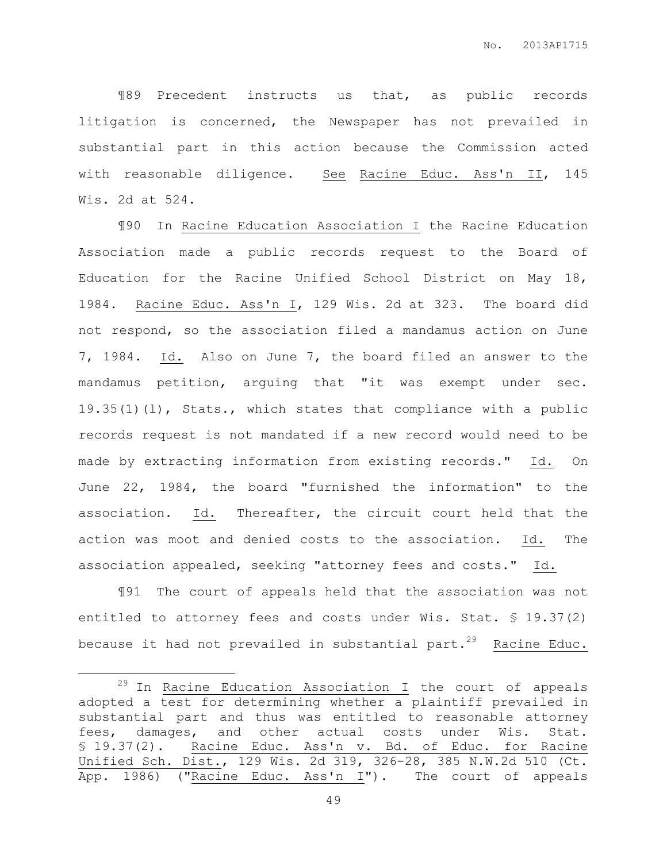¶89 Precedent instructs us that, as public records litigation is concerned, the Newspaper has not prevailed in substantial part in this action because the Commission acted with reasonable diligence. See Racine Educ. Ass'n II, 145 Wis. 2d at 524.

¶90 In Racine Education Association I the Racine Education Association made a public records request to the Board of Education for the Racine Unified School District on May 18, 1984. Racine Educ. Ass'n I, 129 Wis. 2d at 323. The board did not respond, so the association filed a mandamus action on June 7, 1984. Id. Also on June 7, the board filed an answer to the mandamus petition, arguing that "it was exempt under sec. 19.35(1)(l), Stats., which states that compliance with a public records request is not mandated if a new record would need to be made by extracting information from existing records." Id. On June 22, 1984, the board "furnished the information" to the association. Id. Thereafter, the circuit court held that the action was moot and denied costs to the association. Id. The association appealed, seeking "attorney fees and costs." Id.

¶91 The court of appeals held that the association was not entitled to attorney fees and costs under Wis. Stat. § 19.37(2) because it had not prevailed in substantial part.<sup>29</sup> Racine Educ.

 $\overline{a}$ 

 $29$  In Racine Education Association I the court of appeals adopted a test for determining whether a plaintiff prevailed in substantial part and thus was entitled to reasonable attorney fees, damages, and other actual costs under Wis. Stat. § 19.37(2). Racine Educ. Ass'n v. Bd. of Educ. for Racine Unified Sch. Dist., 129 Wis. 2d 319, 326-28, 385 N.W.2d 510 (Ct. App. 1986) ("Racine Educ. Ass'n I"). The court of appeals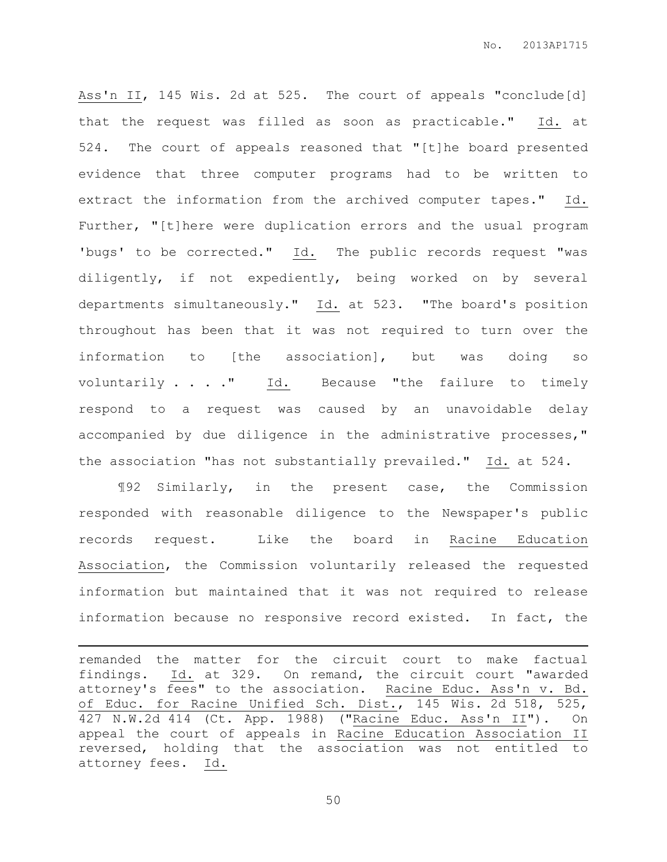Ass'n II, 145 Wis. 2d at 525. The court of appeals "conclude[d] that the request was filled as soon as practicable." Id. at 524. The court of appeals reasoned that "[t]he board presented evidence that three computer programs had to be written to extract the information from the archived computer tapes." Id. Further, "[t]here were duplication errors and the usual program 'bugs' to be corrected." Id. The public records request "was diligently, if not expediently, being worked on by several departments simultaneously." Id. at 523. "The board's position throughout has been that it was not required to turn over the information to [the association], but was doing so voluntarily . . . . " Id. Because "the failure to timely respond to a request was caused by an unavoidable delay accompanied by due diligence in the administrative processes," the association "has not substantially prevailed." Id. at 524.

¶92 Similarly, in the present case, the Commission responded with reasonable diligence to the Newspaper's public records request. Like the board in Racine Education Association, the Commission voluntarily released the requested information but maintained that it was not required to release information because no responsive record existed. In fact, the

remanded the matter for the circuit court to make factual findings. Id. at 329. On remand, the circuit court "awarded attorney's fees" to the association. Racine Educ. Ass'n v. Bd. of Educ. for Racine Unified Sch. Dist., 145 Wis. 2d 518, 525, 427 N.W.2d 414 (Ct. App. 1988) ("Racine Educ. Ass'n II"). On appeal the court of appeals in Racine Education Association II reversed, holding that the association was not entitled to attorney fees. Id.

 $\overline{a}$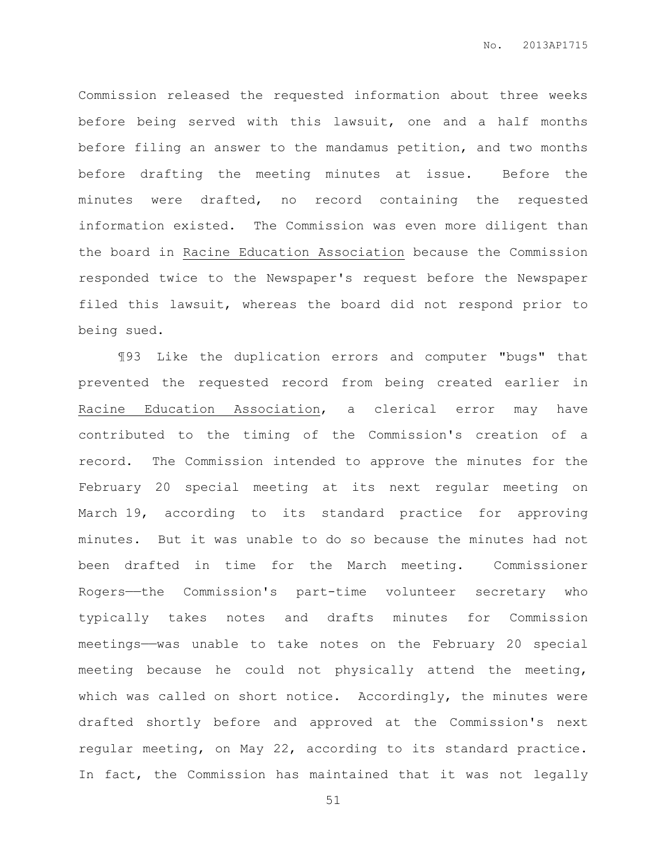Commission released the requested information about three weeks before being served with this lawsuit, one and a half months before filing an answer to the mandamus petition, and two months before drafting the meeting minutes at issue. Before the minutes were drafted, no record containing the requested information existed. The Commission was even more diligent than the board in Racine Education Association because the Commission responded twice to the Newspaper's request before the Newspaper filed this lawsuit, whereas the board did not respond prior to being sued.

¶93 Like the duplication errors and computer "bugs" that prevented the requested record from being created earlier in Racine Education Association, a clerical error may have contributed to the timing of the Commission's creation of a record. The Commission intended to approve the minutes for the February 20 special meeting at its next regular meeting on March 19, according to its standard practice for approving minutes. But it was unable to do so because the minutes had not been drafted in time for the March meeting. Commissioner Rogers——the Commission's part-time volunteer secretary who typically takes notes and drafts minutes for Commission meetings——was unable to take notes on the February 20 special meeting because he could not physically attend the meeting, which was called on short notice. Accordingly, the minutes were drafted shortly before and approved at the Commission's next regular meeting, on May 22, according to its standard practice. In fact, the Commission has maintained that it was not legally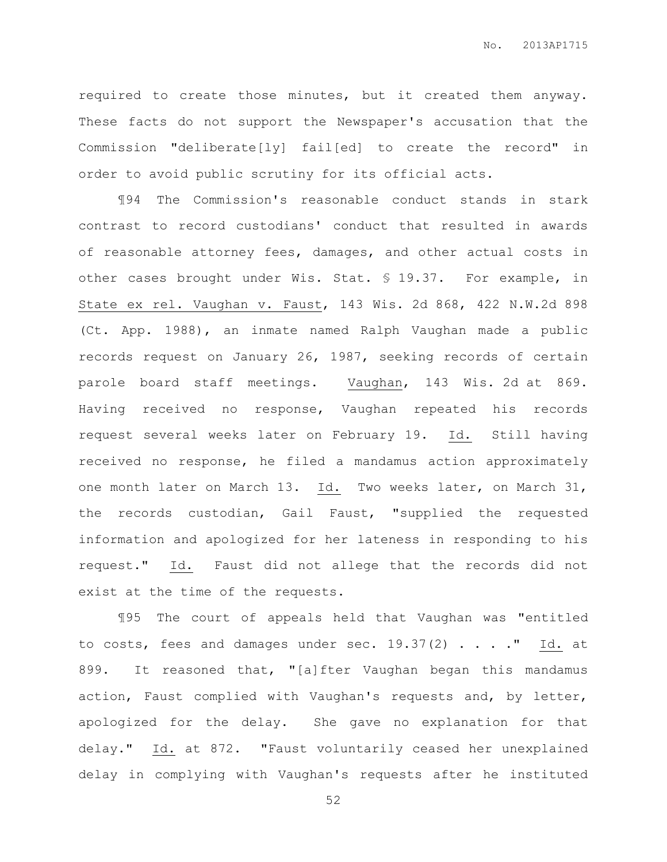required to create those minutes, but it created them anyway. These facts do not support the Newspaper's accusation that the Commission "deliberate[ly] fail[ed] to create the record" in order to avoid public scrutiny for its official acts.

¶94 The Commission's reasonable conduct stands in stark contrast to record custodians' conduct that resulted in awards of reasonable attorney fees, damages, and other actual costs in other cases brought under Wis. Stat. § 19.37. For example, in State ex rel. Vaughan v. Faust, 143 Wis. 2d 868, 422 N.W.2d 898 (Ct. App. 1988), an inmate named Ralph Vaughan made a public records request on January 26, 1987, seeking records of certain parole board staff meetings. Vaughan, 143 Wis. 2d at 869. Having received no response, Vaughan repeated his records request several weeks later on February 19. Id. Still having received no response, he filed a mandamus action approximately one month later on March 13. Id. Two weeks later, on March 31, the records custodian, Gail Faust, "supplied the requested information and apologized for her lateness in responding to his request." Id. Faust did not allege that the records did not exist at the time of the requests.

¶95 The court of appeals held that Vaughan was "entitled to costs, fees and damages under sec.  $19.37(2)$  . . . . " Id. at 899. It reasoned that, "[a]fter Vaughan began this mandamus action, Faust complied with Vaughan's requests and, by letter, apologized for the delay. She gave no explanation for that delay." Id. at 872. "Faust voluntarily ceased her unexplained delay in complying with Vaughan's requests after he instituted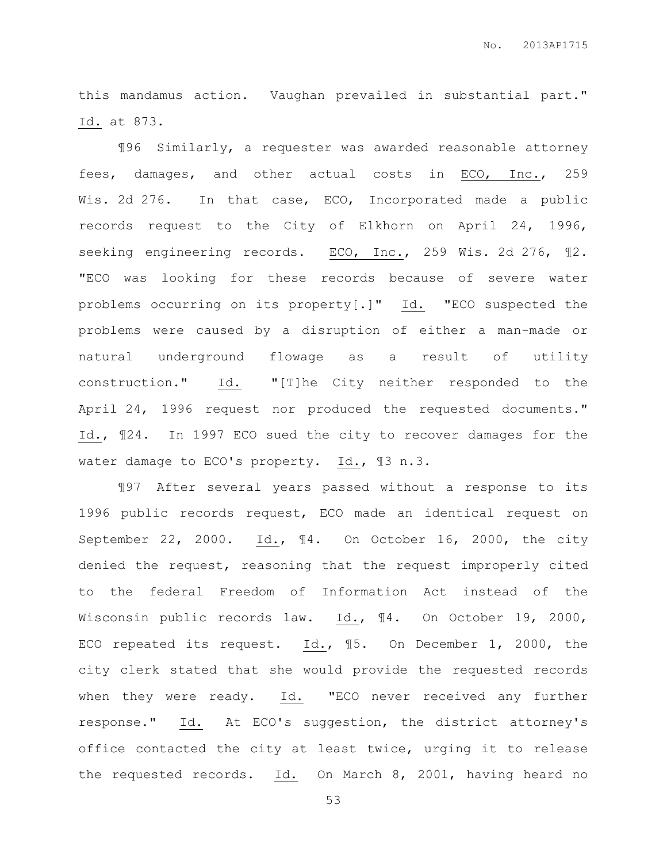this mandamus action. Vaughan prevailed in substantial part." Id. at 873.

¶96 Similarly, a requester was awarded reasonable attorney fees, damages, and other actual costs in ECO, Inc., 259 Wis. 2d 276. In that case, ECO, Incorporated made a public records request to the City of Elkhorn on April 24, 1996, seeking engineering records. ECO, Inc., 259 Wis. 2d 276, 12. "ECO was looking for these records because of severe water problems occurring on its property[.]" Id. "ECO suspected the problems were caused by a disruption of either a man-made or natural underground flowage as a result of utility construction." Id. "[T]he City neither responded to the April 24, 1996 request nor produced the requested documents." Id., ¶24. In 1997 ECO sued the city to recover damages for the water damage to ECO's property. Id., ¶3 n.3.

¶97 After several years passed without a response to its 1996 public records request, ECO made an identical request on September 22, 2000. Id., ¶4. On October 16, 2000, the city denied the request, reasoning that the request improperly cited to the federal Freedom of Information Act instead of the Wisconsin public records law. Id., ¶4. On October 19, 2000, ECO repeated its request. Id., ¶5. On December 1, 2000, the city clerk stated that she would provide the requested records when they were ready. Id. "ECO never received any further response." Id. At ECO's suggestion, the district attorney's office contacted the city at least twice, urging it to release the requested records.  $\underline{Id}$ . On March 8, 2001, having heard no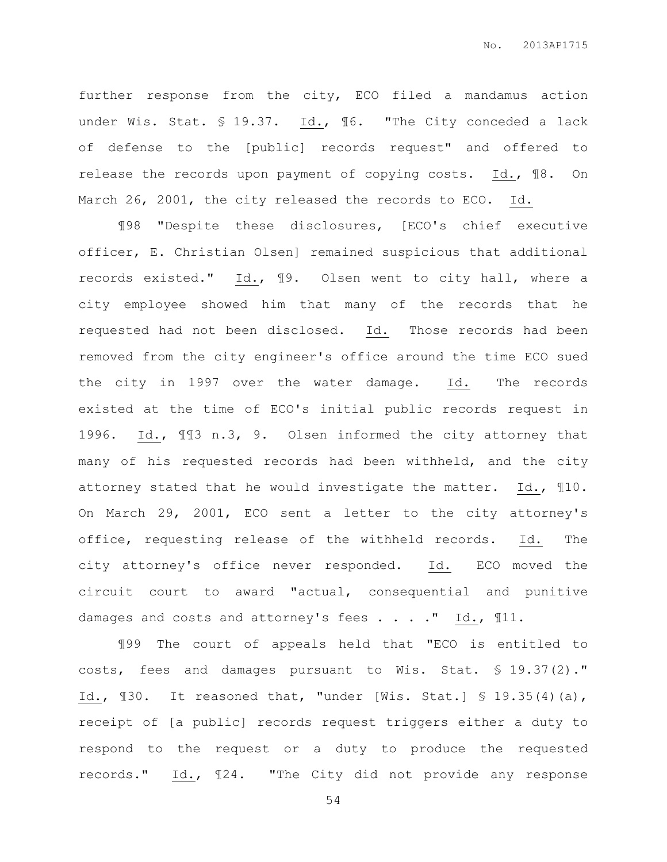further response from the city, ECO filed a mandamus action under Wis. Stat. § 19.37. Id., 16. "The City conceded a lack of defense to the [public] records request" and offered to release the records upon payment of copying costs. Id., ¶8. On March 26, 2001, the city released the records to ECO. Id.

¶98 "Despite these disclosures, [ECO's chief executive officer, E. Christian Olsen] remained suspicious that additional records existed." Id., ¶9. Olsen went to city hall, where a city employee showed him that many of the records that he requested had not been disclosed. Id. Those records had been removed from the city engineer's office around the time ECO sued the city in 1997 over the water damage. Id. The records existed at the time of ECO's initial public records request in 1996. Id., ¶¶3 n.3, 9. Olsen informed the city attorney that many of his requested records had been withheld, and the city attorney stated that he would investigate the matter. Id., ¶10. On March 29, 2001, ECO sent a letter to the city attorney's office, requesting release of the withheld records. Id. The city attorney's office never responded. Id. ECO moved the circuit court to award "actual, consequential and punitive damages and costs and attorney's fees . . . . " Id., 111.

¶99 The court of appeals held that "ECO is entitled to costs, fees and damages pursuant to Wis. Stat. § 19.37(2)." Id., ¶30. It reasoned that, "under [Wis. Stat.] § 19.35(4)(a), receipt of [a public] records request triggers either a duty to respond to the request or a duty to produce the requested records." Id., ¶24. "The City did not provide any response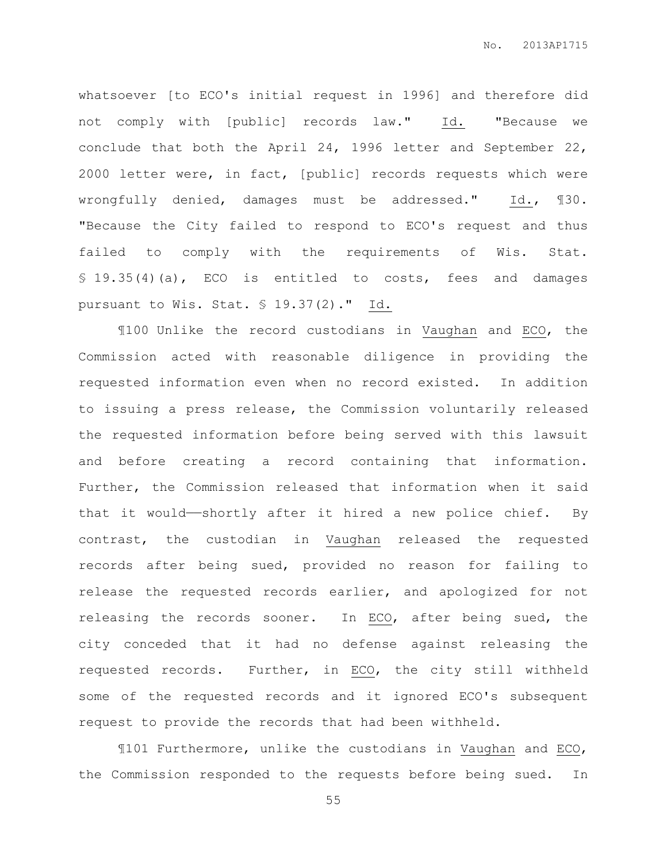whatsoever [to ECO's initial request in 1996] and therefore did not comply with [public] records law." Id. "Because we conclude that both the April 24, 1996 letter and September 22, 2000 letter were, in fact, [public] records requests which were wrongfully denied, damages must be addressed." Id., ¶30. "Because the City failed to respond to ECO's request and thus failed to comply with the requirements of Wis. Stat. § 19.35(4)(a), ECO is entitled to costs, fees and damages pursuant to Wis. Stat. § 19.37(2)." Id.

¶100 Unlike the record custodians in Vaughan and ECO, the Commission acted with reasonable diligence in providing the requested information even when no record existed. In addition to issuing a press release, the Commission voluntarily released the requested information before being served with this lawsuit and before creating a record containing that information. Further, the Commission released that information when it said that it would——shortly after it hired a new police chief. By contrast, the custodian in Vaughan released the requested records after being sued, provided no reason for failing to release the requested records earlier, and apologized for not releasing the records sooner. In ECO, after being sued, the city conceded that it had no defense against releasing the requested records. Further, in ECO, the city still withheld some of the requested records and it ignored ECO's subsequent request to provide the records that had been withheld.

¶101 Furthermore, unlike the custodians in Vaughan and ECO, the Commission responded to the requests before being sued. In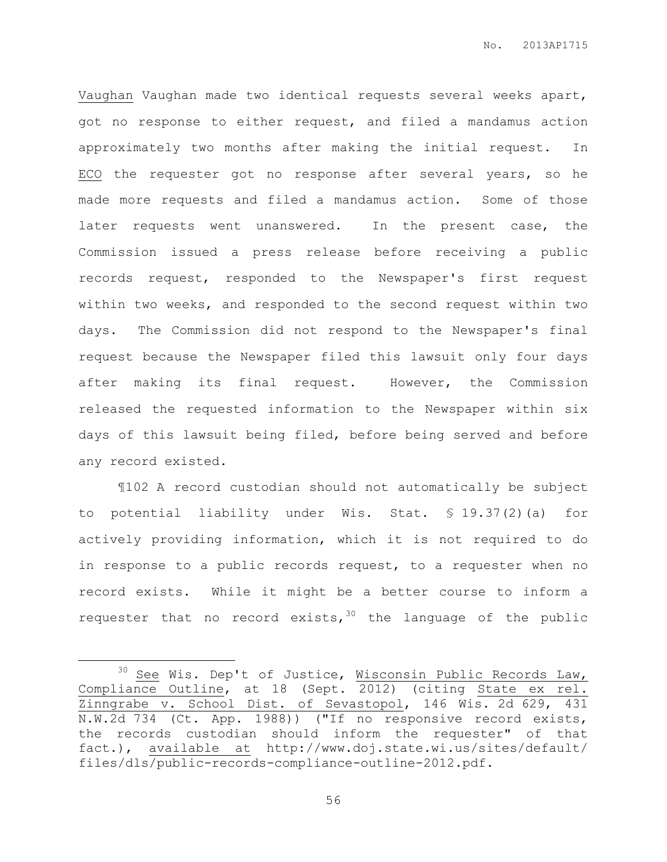Vaughan Vaughan made two identical requests several weeks apart, got no response to either request, and filed a mandamus action approximately two months after making the initial request. In ECO the requester got no response after several years, so he made more requests and filed a mandamus action. Some of those later requests went unanswered. In the present case, the Commission issued a press release before receiving a public records request, responded to the Newspaper's first request within two weeks, and responded to the second request within two days. The Commission did not respond to the Newspaper's final request because the Newspaper filed this lawsuit only four days after making its final request. However, the Commission released the requested information to the Newspaper within six days of this lawsuit being filed, before being served and before any record existed.

¶102 A record custodian should not automatically be subject to potential liability under Wis. Stat. § 19.37(2)(a) for actively providing information, which it is not required to do in response to a public records request, to a requester when no record exists. While it might be a better course to inform a requester that no record exists,  $30$  the language of the public

 $\overline{a}$ 

<sup>&</sup>lt;sup>30</sup> See Wis. Dep't of Justice, Wisconsin Public Records Law, Compliance Outline, at 18 (Sept. 2012) (citing State ex rel. Zinngrabe v. School Dist. of Sevastopol, 146 Wis. 2d 629, 431 N.W.2d 734 (Ct. App. 1988)) ("If no responsive record exists, the records custodian should inform the requester" of that fact.), available at http://www.doj.state.wi.us/sites/default/ files/dls/public-records-compliance-outline-2012.pdf.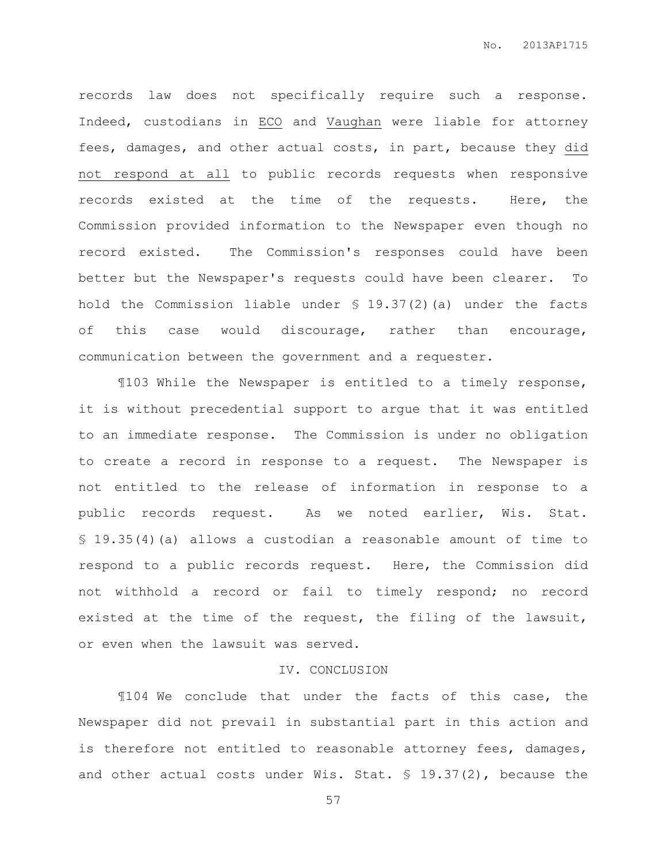records law does not specifically require such a response. Indeed, custodians in ECO and Vaughan were liable for attorney fees, damages, and other actual costs, in part, because they did not respond at all to public records requests when responsive records existed at the time of the requests. Here, the Commission provided information to the Newspaper even though no record existed. The Commission's responses could have been better but the Newspaper's requests could have been clearer. To hold the Commission liable under § 19.37(2)(a) under the facts of this case would discourage, rather than encourage, communication between the government and a requester.

¶103 While the Newspaper is entitled to a timely response, it is without precedential support to argue that it was entitled to an immediate response. The Commission is under no obligation to create a record in response to a request. The Newspaper is not entitled to the release of information in response to a public records request. As we noted earlier, Wis. Stat. § 19.35(4)(a) allows a custodian a reasonable amount of time to respond to a public records request. Here, the Commission did not withhold a record or fail to timely respond; no record existed at the time of the request, the filing of the lawsuit, or even when the lawsuit was served.

## IV. CONCLUSION

¶104 We conclude that under the facts of this case, the Newspaper did not prevail in substantial part in this action and is therefore not entitled to reasonable attorney fees, damages, and other actual costs under Wis. Stat. § 19.37(2), because the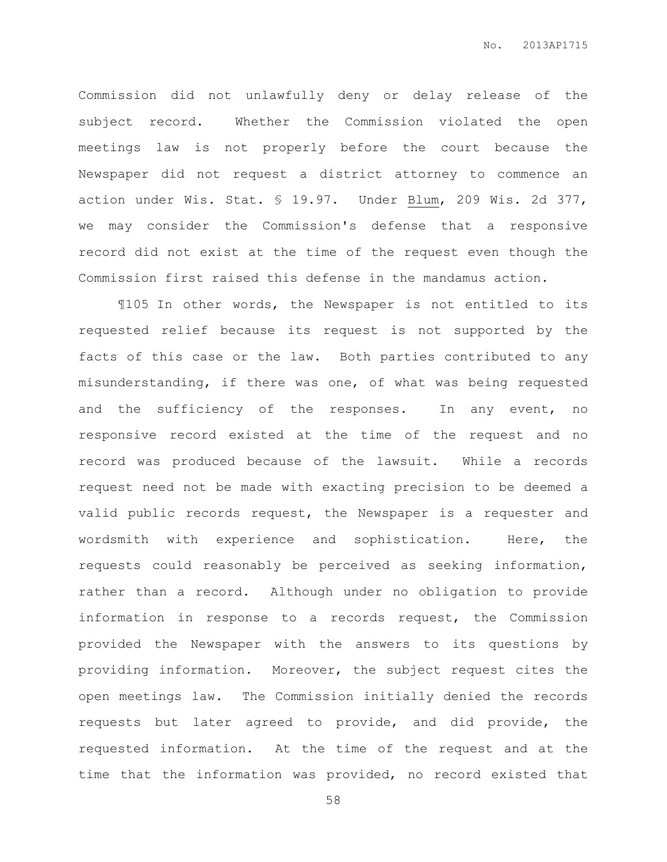Commission did not unlawfully deny or delay release of the subject record. Whether the Commission violated the open meetings law is not properly before the court because the Newspaper did not request a district attorney to commence an action under Wis. Stat. § 19.97. Under Blum, 209 Wis. 2d 377, we may consider the Commission's defense that a responsive record did not exist at the time of the request even though the Commission first raised this defense in the mandamus action.

¶105 In other words, the Newspaper is not entitled to its requested relief because its request is not supported by the facts of this case or the law. Both parties contributed to any misunderstanding, if there was one, of what was being requested and the sufficiency of the responses. In any event, no responsive record existed at the time of the request and no record was produced because of the lawsuit. While a records request need not be made with exacting precision to be deemed a valid public records request, the Newspaper is a requester and wordsmith with experience and sophistication. Here, the requests could reasonably be perceived as seeking information, rather than a record. Although under no obligation to provide information in response to a records request, the Commission provided the Newspaper with the answers to its questions by providing information. Moreover, the subject request cites the open meetings law. The Commission initially denied the records requests but later agreed to provide, and did provide, the requested information. At the time of the request and at the time that the information was provided, no record existed that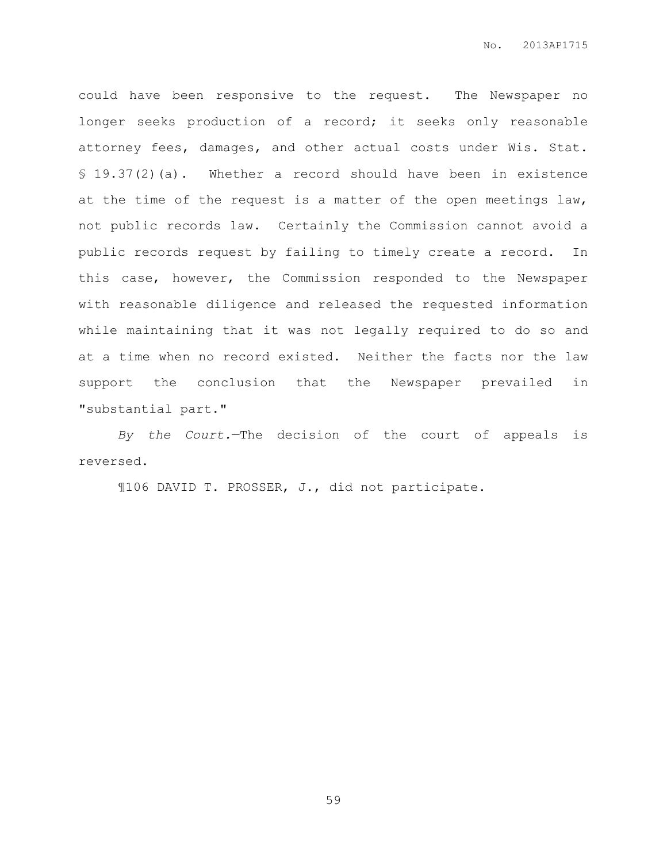could have been responsive to the request. The Newspaper no longer seeks production of a record; it seeks only reasonable attorney fees, damages, and other actual costs under Wis. Stat. § 19.37(2)(a). Whether a record should have been in existence at the time of the request is a matter of the open meetings law, not public records law. Certainly the Commission cannot avoid a public records request by failing to timely create a record. In this case, however, the Commission responded to the Newspaper with reasonable diligence and released the requested information while maintaining that it was not legally required to do so and at a time when no record existed. Neither the facts nor the law support the conclusion that the Newspaper prevailed in "substantial part."

*By the Court.*—The decision of the court of appeals is reversed.

¶106 DAVID T. PROSSER, J., did not participate.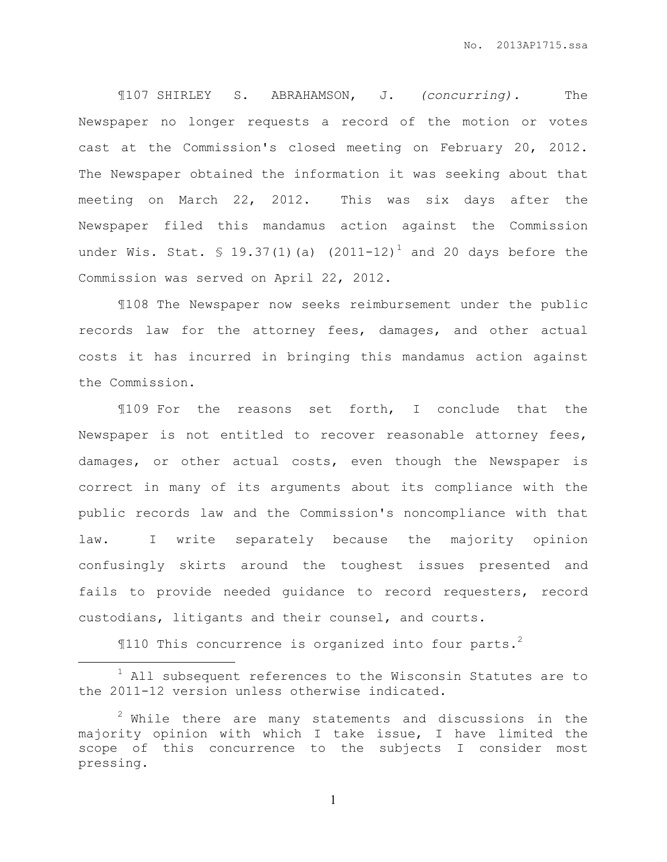¶107 SHIRLEY S. ABRAHAMSON, J. *(concurring).* The Newspaper no longer requests a record of the motion or votes cast at the Commission's closed meeting on February 20, 2012. The Newspaper obtained the information it was seeking about that meeting on March 22, 2012. This was six days after the Newspaper filed this mandamus action against the Commission under Wis. Stat.  $\frac{19.37(1)}{a}$  (2011-12)<sup>1</sup> and 20 days before the Commission was served on April 22, 2012.

¶108 The Newspaper now seeks reimbursement under the public records law for the attorney fees, damages, and other actual costs it has incurred in bringing this mandamus action against the Commission.

¶109 For the reasons set forth, I conclude that the Newspaper is not entitled to recover reasonable attorney fees, damages, or other actual costs, even though the Newspaper is correct in many of its arguments about its compliance with the public records law and the Commission's noncompliance with that law. I write separately because the majority opinion confusingly skirts around the toughest issues presented and fails to provide needed guidance to record requesters, record custodians, litigants and their counsel, and courts.

 $$110$  This concurrence is organized into four parts.<sup>2</sup>

 $\overline{a}$ 

 $1$  All subsequent references to the Wisconsin Statutes are to the 2011-12 version unless otherwise indicated.

 $2$  While there are many statements and discussions in the majority opinion with which I take issue, I have limited the scope of this concurrence to the subjects I consider most pressing.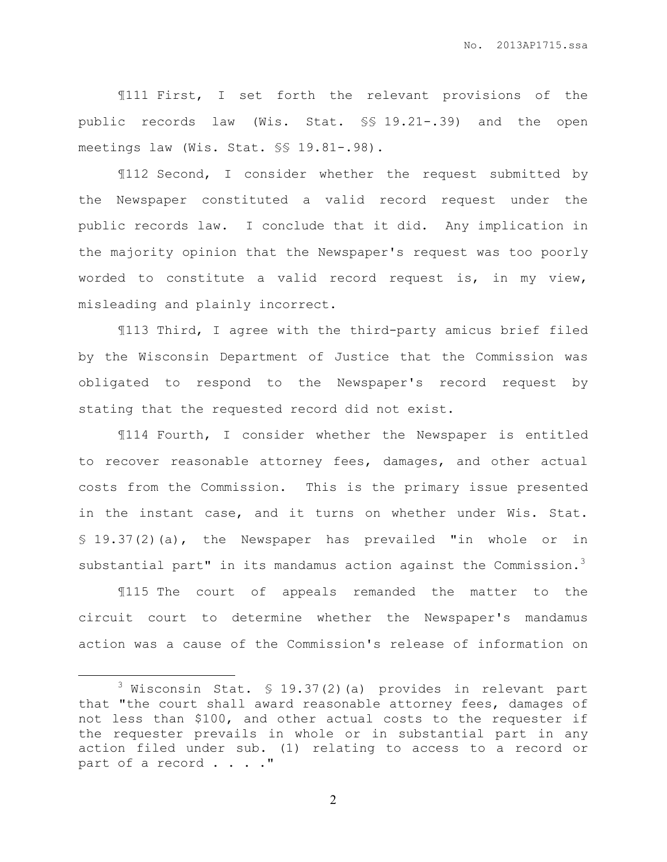¶111 First, I set forth the relevant provisions of the public records law (Wis. Stat. §§ 19.21-.39) and the open meetings law (Wis. Stat. §§ 19.81-.98).

¶112 Second, I consider whether the request submitted by the Newspaper constituted a valid record request under the public records law. I conclude that it did. Any implication in the majority opinion that the Newspaper's request was too poorly worded to constitute a valid record request is, in my view, misleading and plainly incorrect.

¶113 Third, I agree with the third-party amicus brief filed by the Wisconsin Department of Justice that the Commission was obligated to respond to the Newspaper's record request by stating that the requested record did not exist.

¶114 Fourth, I consider whether the Newspaper is entitled to recover reasonable attorney fees, damages, and other actual costs from the Commission. This is the primary issue presented in the instant case, and it turns on whether under Wis. Stat. § 19.37(2)(a), the Newspaper has prevailed "in whole or in substantial part" in its mandamus action against the Commission. $3$ 

¶115 The court of appeals remanded the matter to the circuit court to determine whether the Newspaper's mandamus action was a cause of the Commission's release of information on

l.

 $3$  Wisconsin Stat. § 19.37(2)(a) provides in relevant part that "the court shall award reasonable attorney fees, damages of not less than \$100, and other actual costs to the requester if the requester prevails in whole or in substantial part in any action filed under sub. (1) relating to access to a record or part of a record . . . . "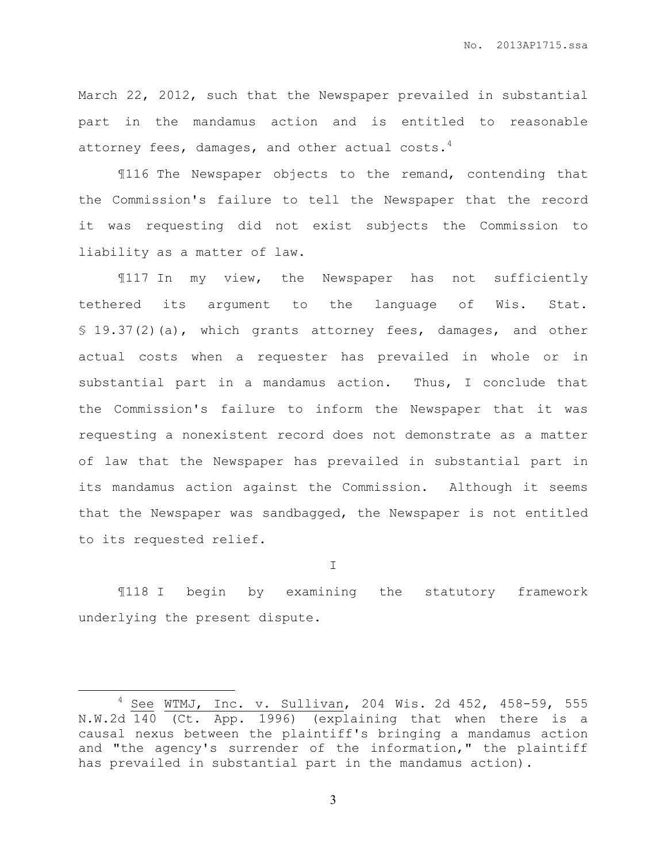March 22, 2012, such that the Newspaper prevailed in substantial part in the mandamus action and is entitled to reasonable attorney fees, damages, and other actual costs. $4$ 

¶116 The Newspaper objects to the remand, contending that the Commission's failure to tell the Newspaper that the record it was requesting did not exist subjects the Commission to liability as a matter of law.

¶117 In my view, the Newspaper has not sufficiently tethered its argument to the language of Wis. Stat. § 19.37(2)(a), which grants attorney fees, damages, and other actual costs when a requester has prevailed in whole or in substantial part in a mandamus action. Thus, I conclude that the Commission's failure to inform the Newspaper that it was requesting a nonexistent record does not demonstrate as a matter of law that the Newspaper has prevailed in substantial part in its mandamus action against the Commission. Although it seems that the Newspaper was sandbagged, the Newspaper is not entitled to its requested relief.

I

¶118 I begin by examining the statutory framework underlying the present dispute.

 $\overline{a}$ 

 $4$  See WTMJ, Inc. v. Sullivan, 204 Wis. 2d 452, 458-59, 555 N.W.2d 140 (Ct. App. 1996) (explaining that when there is a causal nexus between the plaintiff's bringing a mandamus action and "the agency's surrender of the information," the plaintiff has prevailed in substantial part in the mandamus action).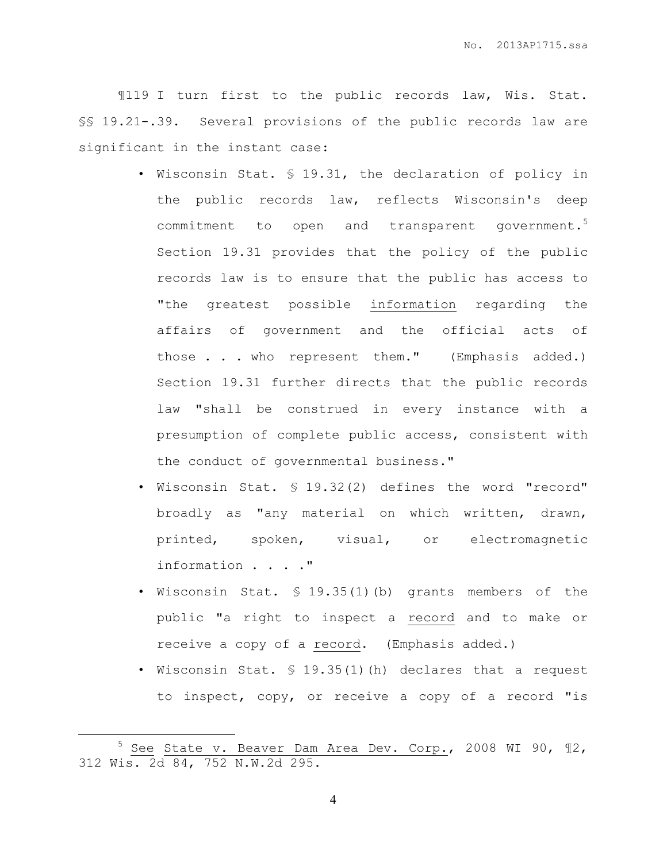¶119 I turn first to the public records law, Wis. Stat. §§ 19.21-.39. Several provisions of the public records law are significant in the instant case:

- Wisconsin Stat. § 19.31, the declaration of policy in the public records law, reflects Wisconsin's deep commitment to open and transparent government.<sup>5</sup> Section 19.31 provides that the policy of the public records law is to ensure that the public has access to "the greatest possible information regarding the affairs of government and the official acts of those . . . who represent them." (Emphasis added.) Section 19.31 further directs that the public records law "shall be construed in every instance with a presumption of complete public access, consistent with the conduct of governmental business."
- Wisconsin Stat. § 19.32(2) defines the word "record" broadly as "any material on which written, drawn, printed, spoken, visual, or electromagnetic information . . . ."
- Wisconsin Stat. § 19.35(1)(b) grants members of the public "a right to inspect a record and to make or receive a copy of a record. (Emphasis added.)
- Wisconsin Stat. § 19.35(1)(h) declares that a request to inspect, copy, or receive a copy of a record "is

 $\overline{a}$ 

<sup>5</sup> See State v. Beaver Dam Area Dev. Corp., 2008 WI 90, ¶2, 312 Wis. 2d 84, 752 N.W.2d 295.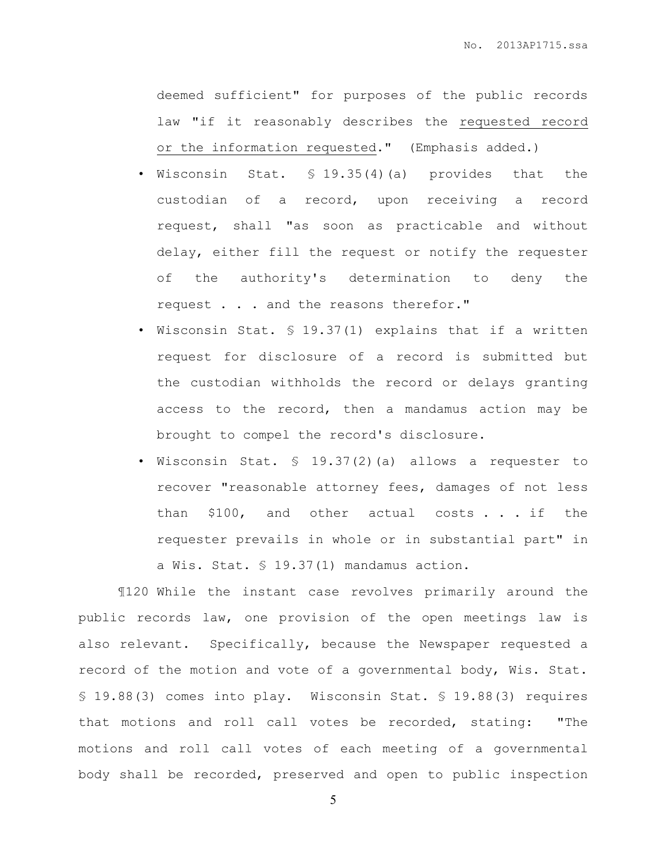deemed sufficient" for purposes of the public records law "if it reasonably describes the requested record or the information requested." (Emphasis added.)

- Wisconsin Stat.  $$ 19.35(4)(a)$  provides that the custodian of a record, upon receiving a record request, shall "as soon as practicable and without delay, either fill the request or notify the requester of the authority's determination to deny the request . . . and the reasons therefor."
- Wisconsin Stat. § 19.37(1) explains that if a written request for disclosure of a record is submitted but the custodian withholds the record or delays granting access to the record, then a mandamus action may be brought to compel the record's disclosure.
- Wisconsin Stat. § 19.37(2)(a) allows a requester to recover "reasonable attorney fees, damages of not less than \$100, and other actual costs . . . if the requester prevails in whole or in substantial part" in a Wis. Stat. § 19.37(1) mandamus action.

¶120 While the instant case revolves primarily around the public records law, one provision of the open meetings law is also relevant. Specifically, because the Newspaper requested a record of the motion and vote of a governmental body, Wis. Stat. § 19.88(3) comes into play. Wisconsin Stat. § 19.88(3) requires that motions and roll call votes be recorded, stating: "The motions and roll call votes of each meeting of a governmental body shall be recorded, preserved and open to public inspection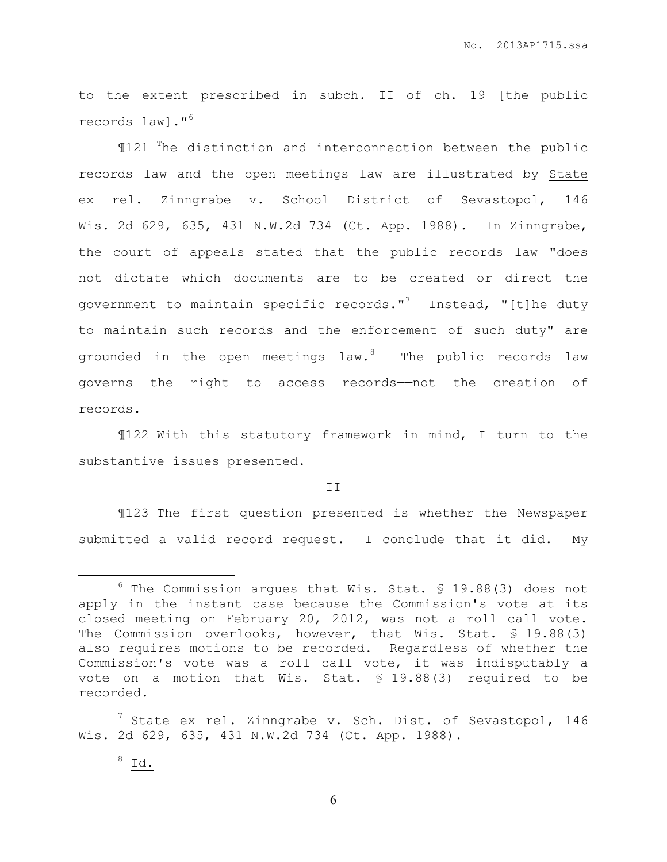to the extent prescribed in subch. II of ch. 19 [the public records law]."<sup>6</sup>

¶121 <sup>T</sup>he distinction and interconnection between the public records law and the open meetings law are illustrated by State ex rel. Zinngrabe v. School District of Sevastopol, 146 Wis. 2d 629, 635, 431 N.W.2d 734 (Ct. App. 1988). In Zinngrabe, the court of appeals stated that the public records law "does not dictate which documents are to be created or direct the government to maintain specific records."<sup>7</sup> Instead, "[t]he duty to maintain such records and the enforcement of such duty" are grounded in the open meetings law.<sup>8</sup> The public records law governs the right to access records——not the creation of records.

¶122 With this statutory framework in mind, I turn to the substantive issues presented.

II

¶123 The first question presented is whether the Newspaper submitted a valid record request. I conclude that it did. My

 $8$  Id.

 $\overline{a}$ 

 $6$  The Commission argues that Wis. Stat. § 19.88(3) does not apply in the instant case because the Commission's vote at its closed meeting on February 20, 2012, was not a roll call vote. The Commission overlooks, however, that Wis. Stat. § 19.88(3) also requires motions to be recorded. Regardless of whether the Commission's vote was a roll call vote, it was indisputably a vote on a motion that Wis. Stat. § 19.88(3) required to be recorded.

 $^7$  State ex rel. Zinngrabe v. Sch. Dist. of Sevastopol, 146 Wis. 2d 629, 635, 431 N.W.2d 734 (Ct. App. 1988).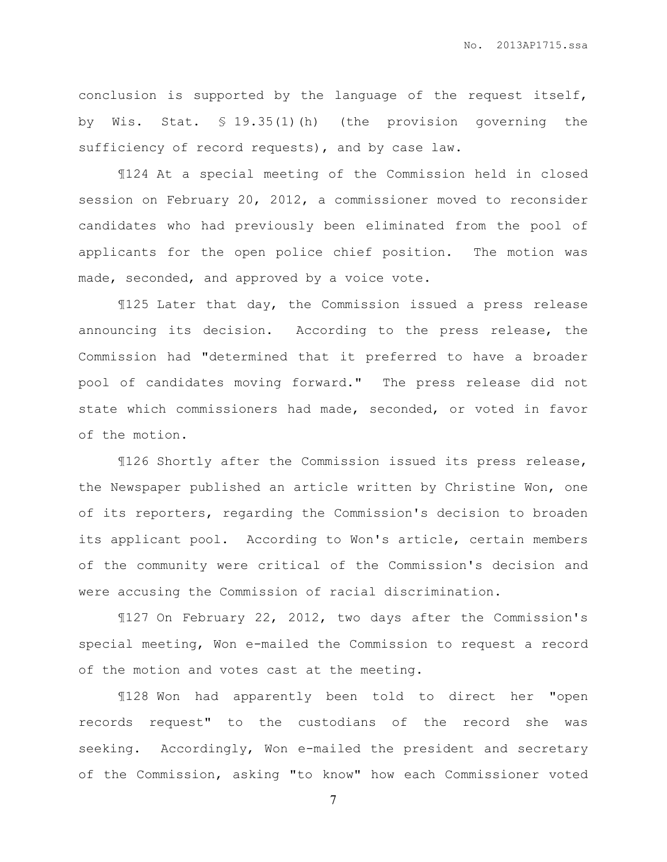conclusion is supported by the language of the request itself, by Wis. Stat. § 19.35(1)(h) (the provision governing the sufficiency of record requests), and by case law.

¶124 At a special meeting of the Commission held in closed session on February 20, 2012, a commissioner moved to reconsider candidates who had previously been eliminated from the pool of applicants for the open police chief position. The motion was made, seconded, and approved by a voice vote.

¶125 Later that day, the Commission issued a press release announcing its decision. According to the press release, the Commission had "determined that it preferred to have a broader pool of candidates moving forward." The press release did not state which commissioners had made, seconded, or voted in favor of the motion.

¶126 Shortly after the Commission issued its press release, the Newspaper published an article written by Christine Won, one of its reporters, regarding the Commission's decision to broaden its applicant pool. According to Won's article, certain members of the community were critical of the Commission's decision and were accusing the Commission of racial discrimination.

¶127 On February 22, 2012, two days after the Commission's special meeting, Won e-mailed the Commission to request a record of the motion and votes cast at the meeting.

¶128 Won had apparently been told to direct her "open records request" to the custodians of the record she was seeking. Accordingly, Won e-mailed the president and secretary of the Commission, asking "to know" how each Commissioner voted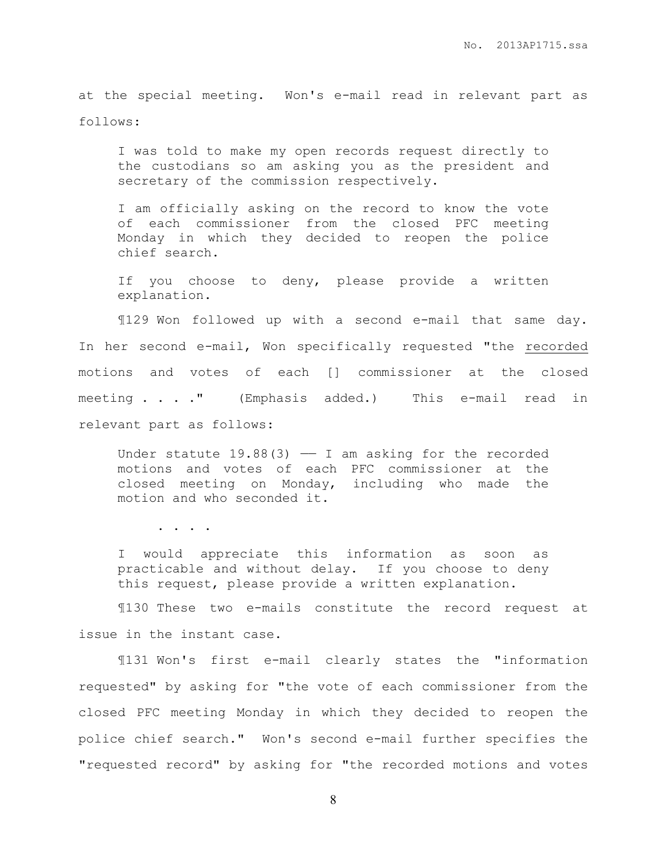at the special meeting. Won's e-mail read in relevant part as follows:

I was told to make my open records request directly to the custodians so am asking you as the president and secretary of the commission respectively.

I am officially asking on the record to know the vote of each commissioner from the closed PFC meeting Monday in which they decided to reopen the police chief search.

If you choose to deny, please provide a written explanation.

¶129 Won followed up with a second e-mail that same day. In her second e-mail, Won specifically requested "the recorded motions and votes of each [] commissioner at the closed meeting . . . " (Emphasis added.) This e-mail read in relevant part as follows:

Under statute  $19.88(3)$  - I am asking for the recorded motions and votes of each PFC commissioner at the closed meeting on Monday, including who made the motion and who seconded it.

. . . .

I would appreciate this information as soon as practicable and without delay. If you choose to deny this request, please provide a written explanation.

¶130 These two e-mails constitute the record request at issue in the instant case.

¶131 Won's first e-mail clearly states the "information requested" by asking for "the vote of each commissioner from the closed PFC meeting Monday in which they decided to reopen the police chief search." Won's second e-mail further specifies the "requested record" by asking for "the recorded motions and votes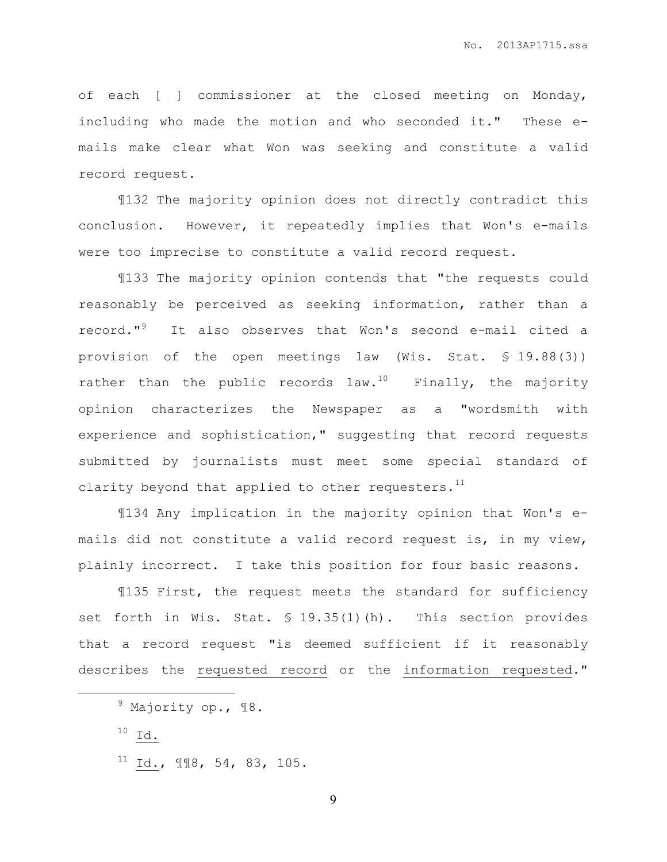of each [ ] commissioner at the closed meeting on Monday, including who made the motion and who seconded it." These emails make clear what Won was seeking and constitute a valid record request.

¶132 The majority opinion does not directly contradict this conclusion. However, it repeatedly implies that Won's e-mails were too imprecise to constitute a valid record request.

¶133 The majority opinion contends that "the requests could reasonably be perceived as seeking information, rather than a record."<sup>9</sup> It also observes that Won's second e-mail cited a provision of the open meetings law (Wis. Stat. § 19.88(3)) rather than the public records law.<sup>10</sup> Finally, the majority opinion characterizes the Newspaper as a "wordsmith with experience and sophistication," suggesting that record requests submitted by journalists must meet some special standard of clarity beyond that applied to other requesters. $<sup>11</sup>$ </sup>

¶134 Any implication in the majority opinion that Won's emails did not constitute a valid record request is, in my view, plainly incorrect. I take this position for four basic reasons.

¶135 First, the request meets the standard for sufficiency set forth in Wis. Stat. § 19.35(1)(h). This section provides that a record request "is deemed sufficient if it reasonably describes the requested record or the information requested."

 $\overline{a}$ 

 $9$  Majority op.,  $18.$ 

 $^{10}$  Id.

 $11$  Id.,  $118$ , 54, 83, 105.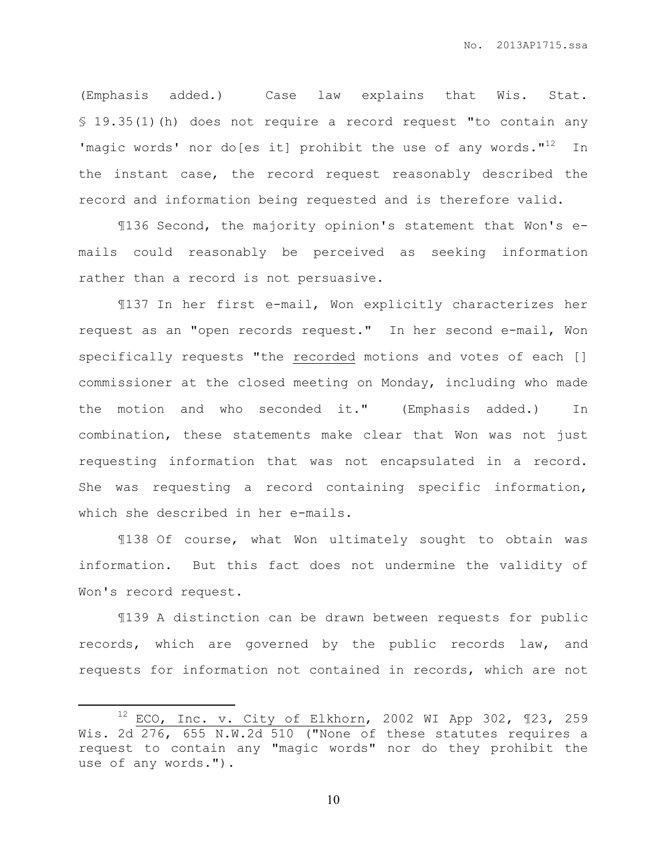(Emphasis added.) Case law explains that Wis. Stat. § 19.35(1)(h) does not require a record request "to contain any 'magic words' nor do[es it] prohibit the use of any words."<sup>12</sup> In the instant case, the record request reasonably described the record and information being requested and is therefore valid.

¶136 Second, the majority opinion's statement that Won's emails could reasonably be perceived as seeking information rather than a record is not persuasive.

¶137 In her first e-mail, Won explicitly characterizes her request as an "open records request." In her second e-mail, Won specifically requests "the recorded motions and votes of each [] commissioner at the closed meeting on Monday, including who made the motion and who seconded it." (Emphasis added.) In combination, these statements make clear that Won was not just requesting information that was not encapsulated in a record. She was requesting a record containing specific information, which she described in her e-mails.

¶138 Of course, what Won ultimately sought to obtain was information. But this fact does not undermine the validity of Won's record request.

¶139 A distinction can be drawn between requests for public records, which are governed by the public records law, and requests for information not contained in records, which are not

 $\overline{a}$ 

 $12$  ECO, Inc. v. City of Elkhorn, 2002 WI App 302, 123, 259 Wis. 2d 276, 655 N.W.2d 510 ("None of these statutes requires a request to contain any "magic words" nor do they prohibit the use of any words.").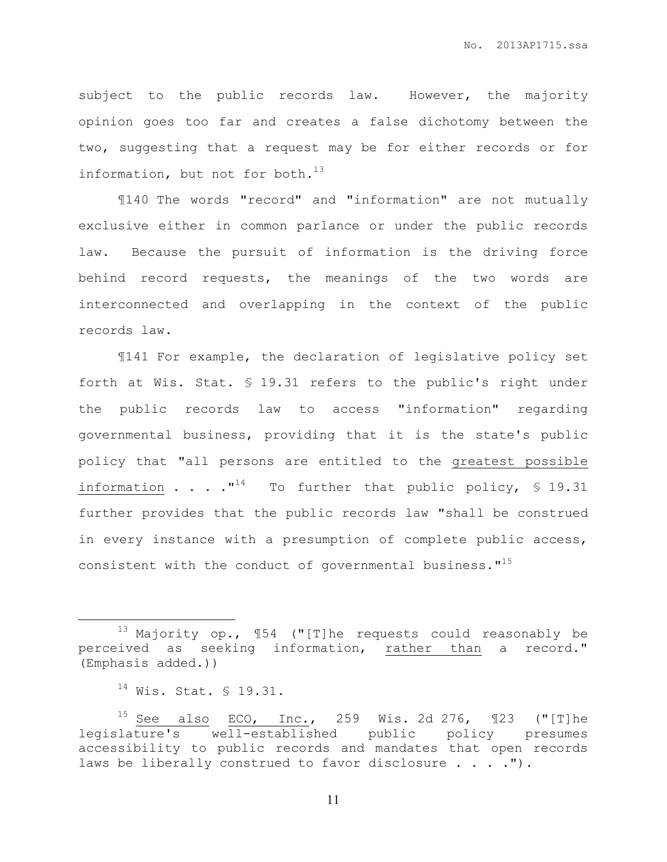subject to the public records law. However, the majority opinion goes too far and creates a false dichotomy between the two, suggesting that a request may be for either records or for information, but not for both. $^{13}$ 

¶140 The words "record" and "information" are not mutually exclusive either in common parlance or under the public records law. Because the pursuit of information is the driving force behind record requests, the meanings of the two words are interconnected and overlapping in the context of the public records law.

¶141 For example, the declaration of legislative policy set forth at Wis. Stat. § 19.31 refers to the public's right under the public records law to access "information" regarding governmental business, providing that it is the state's public policy that "all persons are entitled to the greatest possible information . . .  $\cdot$   $\cdot$   $\cdot$   $\cdot$  To further that public policy, § 19.31 further provides that the public records law "shall be construed in every instance with a presumption of complete public access, consistent with the conduct of governmental business. $1^{15}$ 

 $\overline{a}$ 

 $13$  Majority op.,  $154$  ("[T]he requests could reasonably be perceived as seeking information, rather than a record." (Emphasis added.))

<sup>14</sup> Wis. Stat. § 19.31.

<sup>&</sup>lt;sup>15</sup> See also ECO, Inc., 259 Wis. 2d 276,  $\mathbb{I}23$  ("[T]he legislature's well-established public policy presumes accessibility to public records and mandates that open records laws be liberally construed to favor disclosure . . . . ").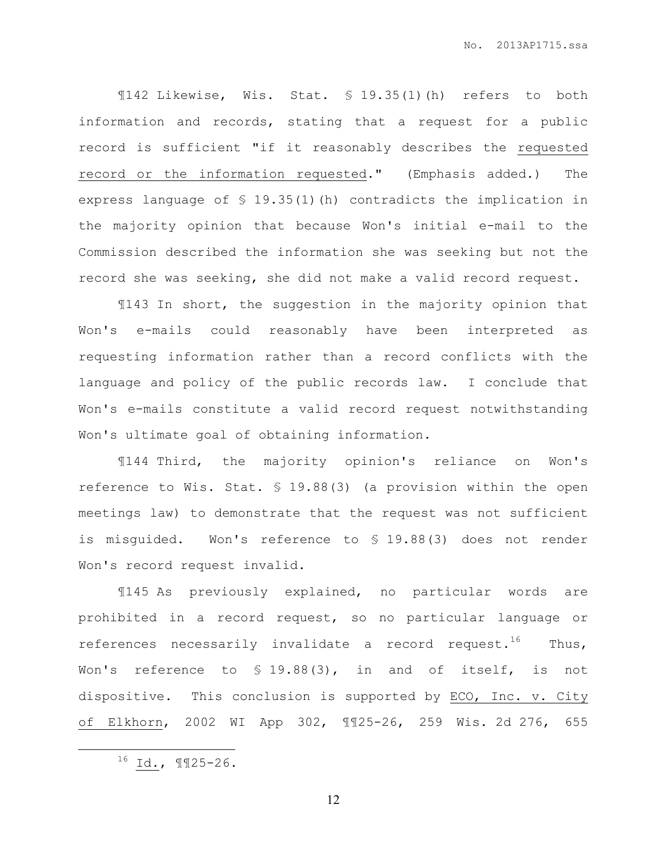¶142 Likewise, Wis. Stat. § 19.35(1)(h) refers to both information and records, stating that a request for a public record is sufficient "if it reasonably describes the requested record or the information requested." (Emphasis added.) The express language of § 19.35(1)(h) contradicts the implication in the majority opinion that because Won's initial e-mail to the Commission described the information she was seeking but not the record she was seeking, she did not make a valid record request.

¶143 In short, the suggestion in the majority opinion that Won's e-mails could reasonably have been interpreted as requesting information rather than a record conflicts with the language and policy of the public records law. I conclude that Won's e-mails constitute a valid record request notwithstanding Won's ultimate goal of obtaining information.

¶144 Third, the majority opinion's reliance on Won's reference to Wis. Stat. § 19.88(3) (a provision within the open meetings law) to demonstrate that the request was not sufficient is misguided. Won's reference to § 19.88(3) does not render Won's record request invalid.

¶145 As previously explained, no particular words are prohibited in a record request, so no particular language or references necessarily invalidate a record request.<sup>16</sup> Thus, Won's reference to § 19.88(3), in and of itself, is not dispositive. This conclusion is supported by ECO, Inc. v. City of Elkhorn, 2002 WI App 302, ¶¶25-26, 259 Wis. 2d 276, 655

l.

 $^{16}$  Id., 1125-26.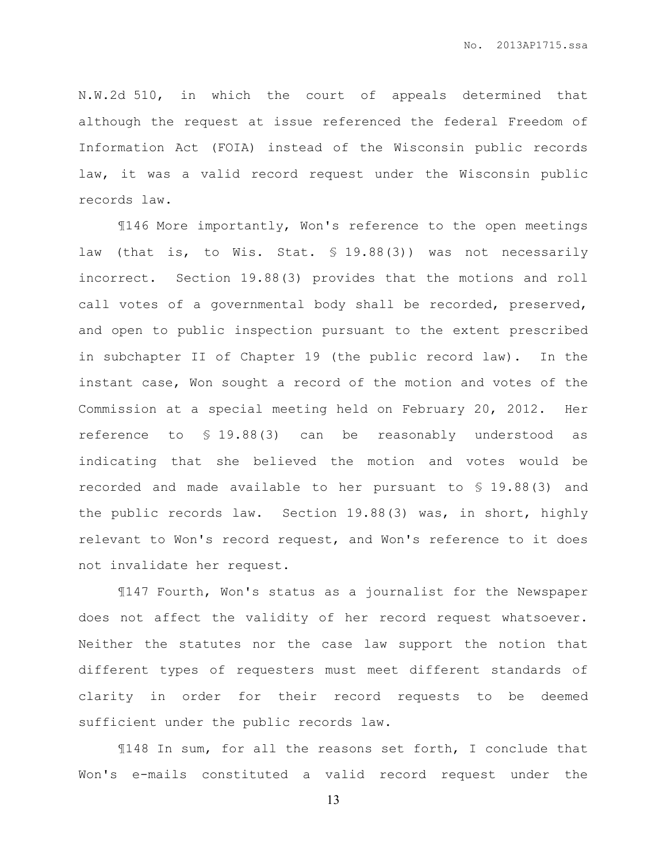N.W.2d 510, in which the court of appeals determined that although the request at issue referenced the federal Freedom of Information Act (FOIA) instead of the Wisconsin public records law, it was a valid record request under the Wisconsin public records law.

¶146 More importantly, Won's reference to the open meetings law (that is, to Wis. Stat. § 19.88(3)) was not necessarily incorrect. Section 19.88(3) provides that the motions and roll call votes of a governmental body shall be recorded, preserved, and open to public inspection pursuant to the extent prescribed in subchapter II of Chapter 19 (the public record law). In the instant case, Won sought a record of the motion and votes of the Commission at a special meeting held on February 20, 2012. Her reference to § 19.88(3) can be reasonably understood as indicating that she believed the motion and votes would be recorded and made available to her pursuant to § 19.88(3) and the public records law. Section 19.88(3) was, in short, highly relevant to Won's record request, and Won's reference to it does not invalidate her request.

¶147 Fourth, Won's status as a journalist for the Newspaper does not affect the validity of her record request whatsoever. Neither the statutes nor the case law support the notion that different types of requesters must meet different standards of clarity in order for their record requests to be deemed sufficient under the public records law.

¶148 In sum, for all the reasons set forth, I conclude that Won's e-mails constituted a valid record request under the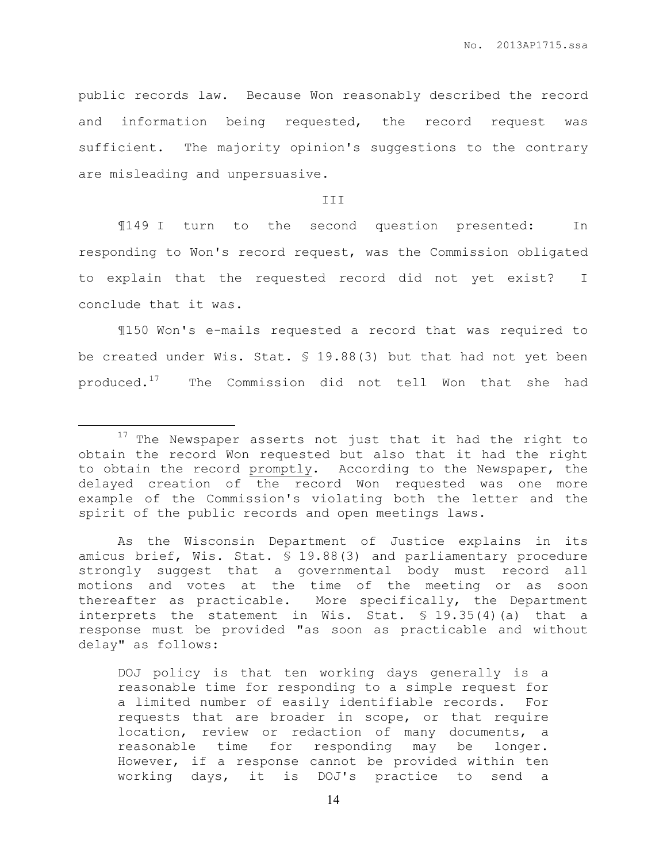public records law. Because Won reasonably described the record and information being requested, the record request was sufficient. The majority opinion's suggestions to the contrary are misleading and unpersuasive.

## III

¶149 I turn to the second question presented: In responding to Won's record request, was the Commission obligated to explain that the requested record did not yet exist? I conclude that it was.

¶150 Won's e-mails requested a record that was required to be created under Wis. Stat. § 19.88(3) but that had not yet been produced.<sup>17</sup> The Commission did not tell Won that she had

l.

DOJ policy is that ten working days generally is a reasonable time for responding to a simple request for a limited number of easily identifiable records. For requests that are broader in scope, or that require location, review or redaction of many documents, a reasonable time for responding may be longer. However, if a response cannot be provided within ten working days, it is DOJ's practice to send a

<sup>&</sup>lt;sup>17</sup> The Newspaper asserts not just that it had the right to obtain the record Won requested but also that it had the right to obtain the record promptly. According to the Newspaper, the delayed creation of the record Won requested was one more example of the Commission's violating both the letter and the spirit of the public records and open meetings laws.

As the Wisconsin Department of Justice explains in its amicus brief, Wis. Stat. § 19.88(3) and parliamentary procedure strongly suggest that a governmental body must record all motions and votes at the time of the meeting or as soon thereafter as practicable. More specifically, the Department interprets the statement in Wis. Stat. § 19.35(4)(a) that a response must be provided "as soon as practicable and without delay" as follows: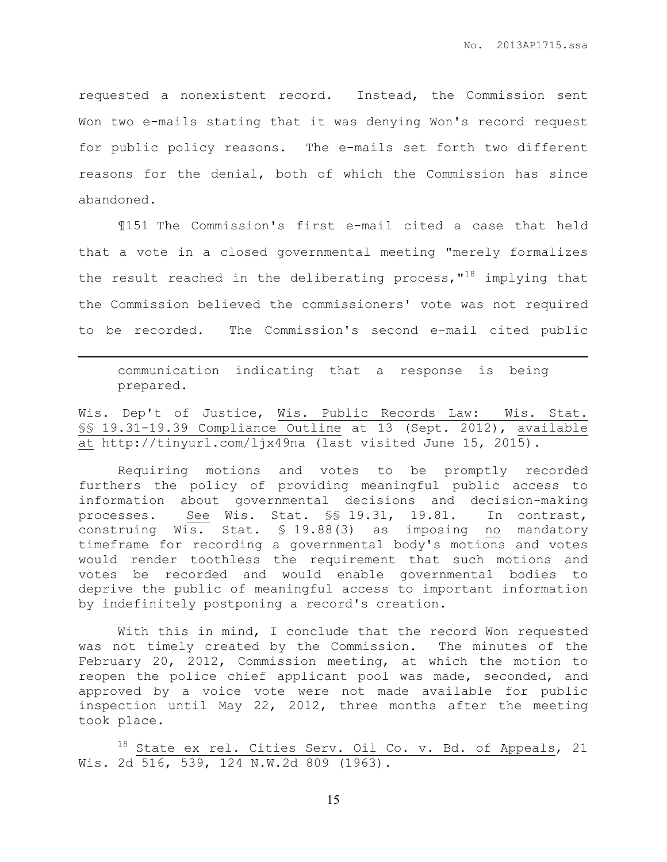requested a nonexistent record. Instead, the Commission sent Won two e-mails stating that it was denying Won's record request for public policy reasons. The e-mails set forth two different reasons for the denial, both of which the Commission has since abandoned.

¶151 The Commission's first e-mail cited a case that held that a vote in a closed governmental meeting "merely formalizes the result reached in the deliberating process,  $18$  implying that the Commission believed the commissioners' vote was not required to be recorded. The Commission's second e-mail cited public

communication indicating that a response is being prepared.

l.

Wis. Dep't of Justice, Wis. Public Records Law: Wis. Stat. §§ 19.31-19.39 Compliance Outline at 13 (Sept. 2012), available at http://tinyurl.com/ljx49na (last visited June 15, 2015).

Requiring motions and votes to be promptly recorded furthers the policy of providing meaningful public access to information about governmental decisions and decision-making processes. See Wis. Stat. §§ 19.31, 19.81. In contrast, construing Wis. Stat. § 19.88(3) as imposing no mandatory timeframe for recording a governmental body's motions and votes would render toothless the requirement that such motions and votes be recorded and would enable governmental bodies to deprive the public of meaningful access to important information by indefinitely postponing a record's creation.

With this in mind, I conclude that the record Won requested was not timely created by the Commission. The minutes of the February 20, 2012, Commission meeting, at which the motion to reopen the police chief applicant pool was made, seconded, and approved by a voice vote were not made available for public inspection until May 22, 2012, three months after the meeting took place.

18 State ex rel. Cities Serv. Oil Co. v. Bd. of Appeals, 21 Wis. 2d 516, 539, 124 N.W.2d 809 (1963).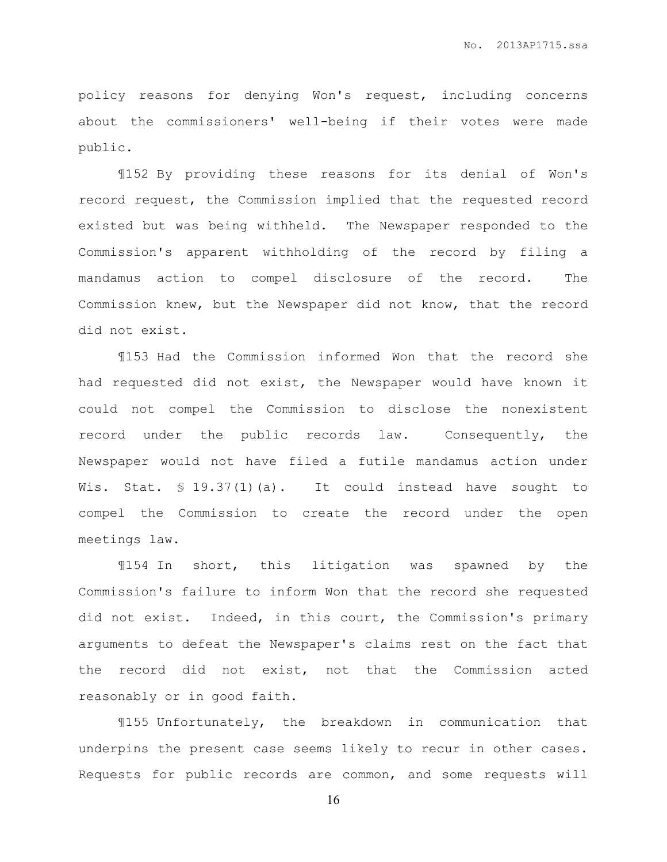policy reasons for denying Won's request, including concerns about the commissioners' well-being if their votes were made public.

¶152 By providing these reasons for its denial of Won's record request, the Commission implied that the requested record existed but was being withheld. The Newspaper responded to the Commission's apparent withholding of the record by filing a mandamus action to compel disclosure of the record. The Commission knew, but the Newspaper did not know, that the record did not exist.

¶153 Had the Commission informed Won that the record she had requested did not exist, the Newspaper would have known it could not compel the Commission to disclose the nonexistent record under the public records law. Consequently, the Newspaper would not have filed a futile mandamus action under Wis. Stat. § 19.37(1)(a). It could instead have sought to compel the Commission to create the record under the open meetings law.

¶154 In short, this litigation was spawned by the Commission's failure to inform Won that the record she requested did not exist. Indeed, in this court, the Commission's primary arguments to defeat the Newspaper's claims rest on the fact that the record did not exist, not that the Commission acted reasonably or in good faith.

¶155 Unfortunately, the breakdown in communication that underpins the present case seems likely to recur in other cases. Requests for public records are common, and some requests will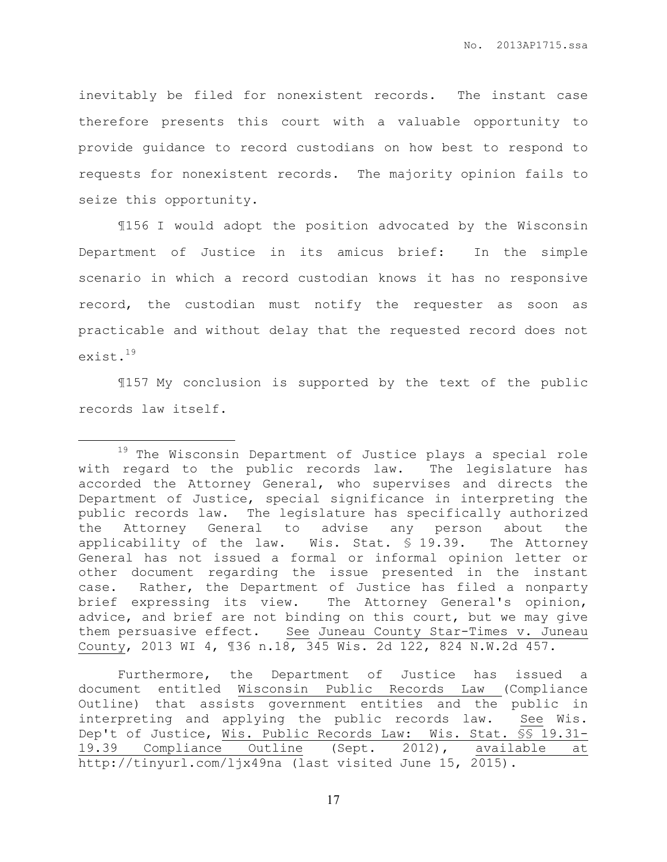inevitably be filed for nonexistent records. The instant case therefore presents this court with a valuable opportunity to provide guidance to record custodians on how best to respond to requests for nonexistent records. The majority opinion fails to seize this opportunity.

¶156 I would adopt the position advocated by the Wisconsin Department of Justice in its amicus brief: In the simple scenario in which a record custodian knows it has no responsive record, the custodian must notify the requester as soon as practicable and without delay that the requested record does not exist.<sup>19</sup>

¶157 My conclusion is supported by the text of the public records law itself.

 $\overline{a}$ 

<sup>&</sup>lt;sup>19</sup> The Wisconsin Department of Justice plays a special role with regard to the public records law. The legislature has accorded the Attorney General, who supervises and directs the Department of Justice, special significance in interpreting the public records law. The legislature has specifically authorized the Attorney General to advise any person about the applicability of the law. Wis. Stat. § 19.39. The Attorney General has not issued a formal or informal opinion letter or other document regarding the issue presented in the instant case. Rather, the Department of Justice has filed a nonparty brief expressing its view. The Attorney General's opinion, advice, and brief are not binding on this court, but we may give them persuasive effect. See Juneau County Star-Times v. Juneau County, 2013 WI 4, ¶36 n.18, 345 Wis. 2d 122, 824 N.W.2d 457.

Furthermore, the Department of Justice has issued a document entitled Wisconsin Public Records Law (Compliance Outline) that assists government entities and the public in interpreting and applying the public records law. See Wis. Dep't of Justice, Wis. Public Records Law: Wis. Stat. §§ 19.31- 19.39 Compliance Outline (Sept. 2012), available at http://tinyurl.com/ljx49na (last visited June 15, 2015).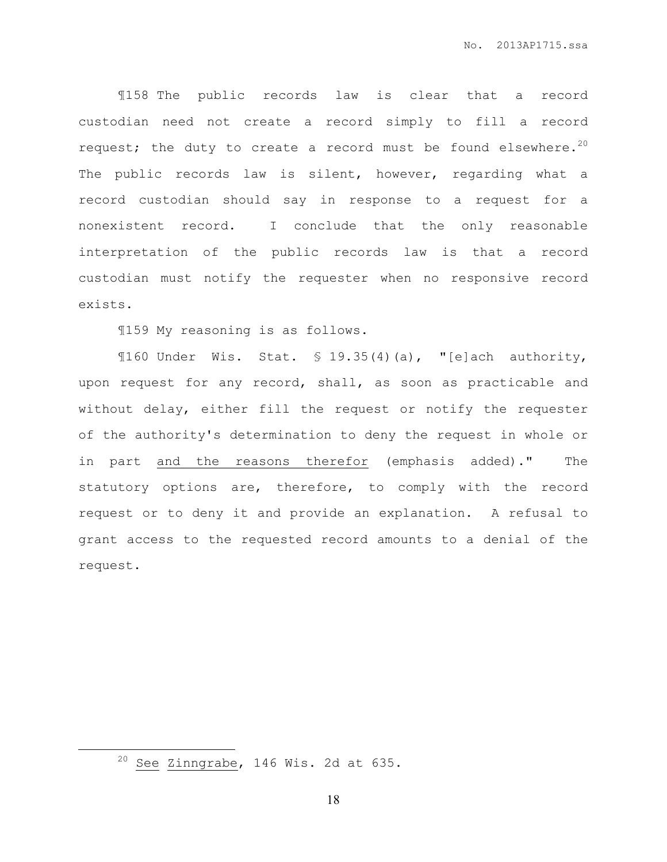¶158 The public records law is clear that a record custodian need not create a record simply to fill a record request; the duty to create a record must be found elsewhere.<sup>20</sup> The public records law is silent, however, regarding what a record custodian should say in response to a request for a nonexistent record. I conclude that the only reasonable interpretation of the public records law is that a record custodian must notify the requester when no responsive record exists.

¶159 My reasoning is as follows.

¶160 Under Wis. Stat. § 19.35(4)(a), "[e]ach authority, upon request for any record, shall, as soon as practicable and without delay, either fill the request or notify the requester of the authority's determination to deny the request in whole or in part and the reasons therefor (emphasis added)." The statutory options are, therefore, to comply with the record request or to deny it and provide an explanation. A refusal to grant access to the requested record amounts to a denial of the request.

l.

 $20$  See Zinngrabe, 146 Wis. 2d at 635.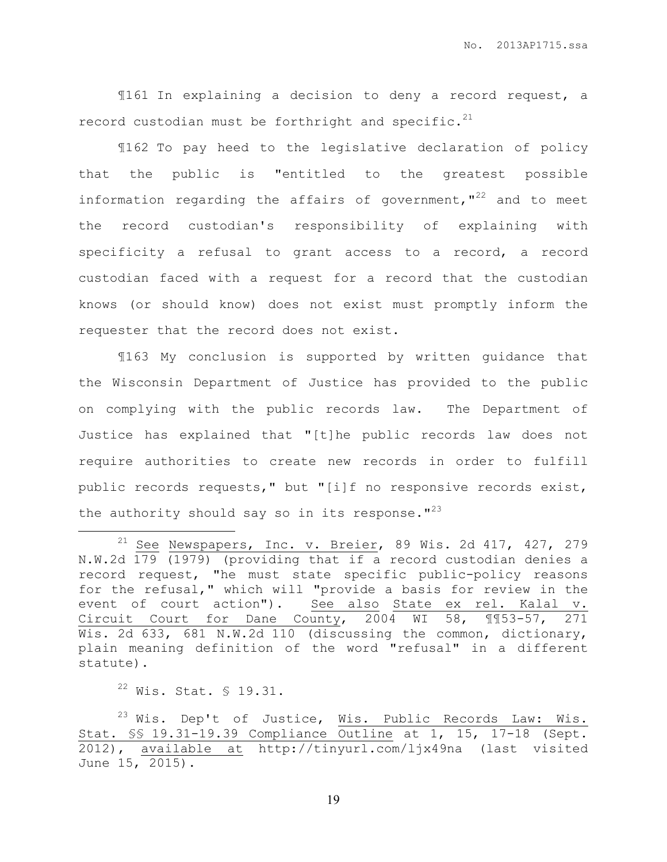¶161 In explaining a decision to deny a record request, a record custodian must be forthright and specific. $21$ 

¶162 To pay heed to the legislative declaration of policy that the public is "entitled to the greatest possible information regarding the affairs of government,  $1^{22}$  and to meet the record custodian's responsibility of explaining with specificity a refusal to grant access to a record, a record custodian faced with a request for a record that the custodian knows (or should know) does not exist must promptly inform the requester that the record does not exist.

¶163 My conclusion is supported by written guidance that the Wisconsin Department of Justice has provided to the public on complying with the public records law. The Department of Justice has explained that "[t]he public records law does not require authorities to create new records in order to fulfill public records requests," but "[i]f no responsive records exist, the authority should say so in its response.  $1^{23}$ 

 $22$  Wis. Stat. § 19.31.

l.

 $23$  Wis. Dep't of Justice, Wis. Public Records Law: Wis. Stat. §§ 19.31-19.39 Compliance Outline at 1, 15, 17-18 (Sept. 2012), available at http://tinyurl.com/ljx49na (last visited June 15, 2015).

<sup>&</sup>lt;sup>21</sup> See Newspapers, Inc. v. Breier, 89 Wis. 2d 417, 427, 279 N.W.2d 179 (1979) (providing that if a record custodian denies a record request, "he must state specific public-policy reasons for the refusal," which will "provide a basis for review in the event of court action"). See also State ex rel. Kalal v. Circuit Court for Dane County, 2004 WI 58, ¶¶53-57, 271 Wis. 2d 633, 681 N.W.2d 110 (discussing the common, dictionary, plain meaning definition of the word "refusal" in a different statute).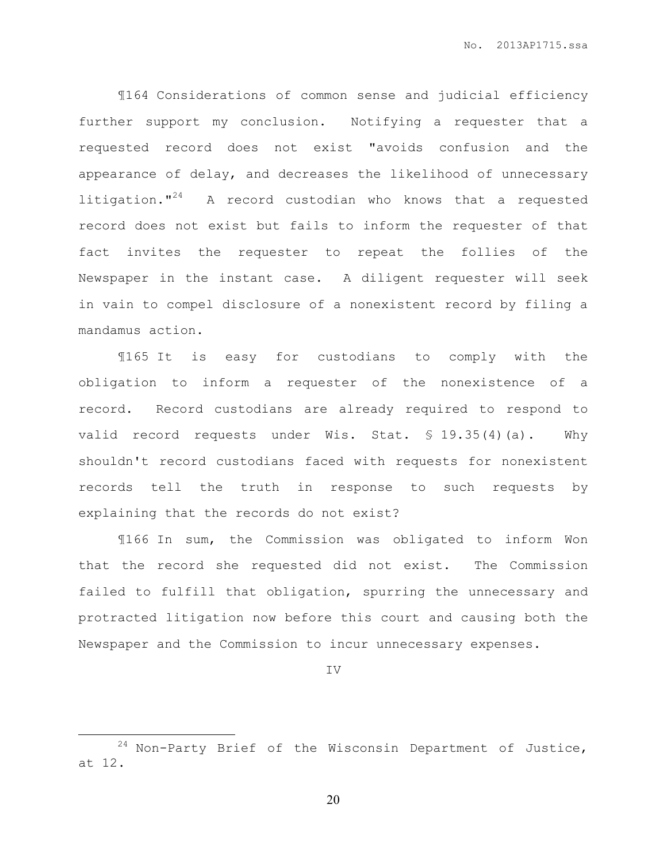¶164 Considerations of common sense and judicial efficiency further support my conclusion. Notifying a requester that a requested record does not exist "avoids confusion and the appearance of delay, and decreases the likelihood of unnecessary litigation."<sup>24</sup> A record custodian who knows that a requested record does not exist but fails to inform the requester of that fact invites the requester to repeat the follies of the Newspaper in the instant case. A diligent requester will seek in vain to compel disclosure of a nonexistent record by filing a mandamus action.

¶165 It is easy for custodians to comply with the obligation to inform a requester of the nonexistence of a record. Record custodians are already required to respond to valid record requests under Wis. Stat. § 19.35(4)(a). Why shouldn't record custodians faced with requests for nonexistent records tell the truth in response to such requests by explaining that the records do not exist?

¶166 In sum, the Commission was obligated to inform Won that the record she requested did not exist. The Commission failed to fulfill that obligation, spurring the unnecessary and protracted litigation now before this court and causing both the Newspaper and the Commission to incur unnecessary expenses.

IV

 $\overline{a}$ 

 $24$  Non-Party Brief of the Wisconsin Department of Justice, at 12.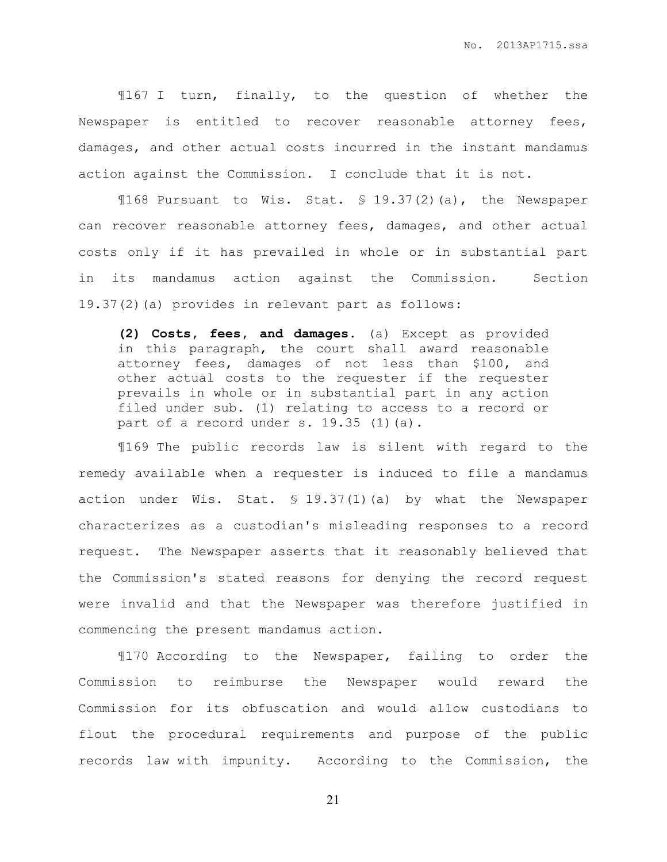¶167 I turn, finally, to the question of whether the Newspaper is entitled to recover reasonable attorney fees, damages, and other actual costs incurred in the instant mandamus action against the Commission. I conclude that it is not.

¶168 Pursuant to Wis. Stat. § 19.37(2)(a), the Newspaper can recover reasonable attorney fees, damages, and other actual costs only if it has prevailed in whole or in substantial part in its mandamus action against the Commission. Section 19.37(2)(a) provides in relevant part as follows:

**(2) Costs, fees, and damages.** (a) Except as provided in this paragraph, the court shall award reasonable attorney fees, damages of not less than \$100, and other actual costs to the requester if the requester prevails in whole or in substantial part in any action filed under sub. (1) relating to access to a record or part of a record under s. 19.35 (1)(a).

¶169 The public records law is silent with regard to the remedy available when a requester is induced to file a mandamus action under Wis. Stat. § 19.37(1)(a) by what the Newspaper characterizes as a custodian's misleading responses to a record request. The Newspaper asserts that it reasonably believed that the Commission's stated reasons for denying the record request were invalid and that the Newspaper was therefore justified in commencing the present mandamus action.

¶170 According to the Newspaper, failing to order the Commission to reimburse the Newspaper would reward the Commission for its obfuscation and would allow custodians to flout the procedural requirements and purpose of the public records law with impunity. According to the Commission, the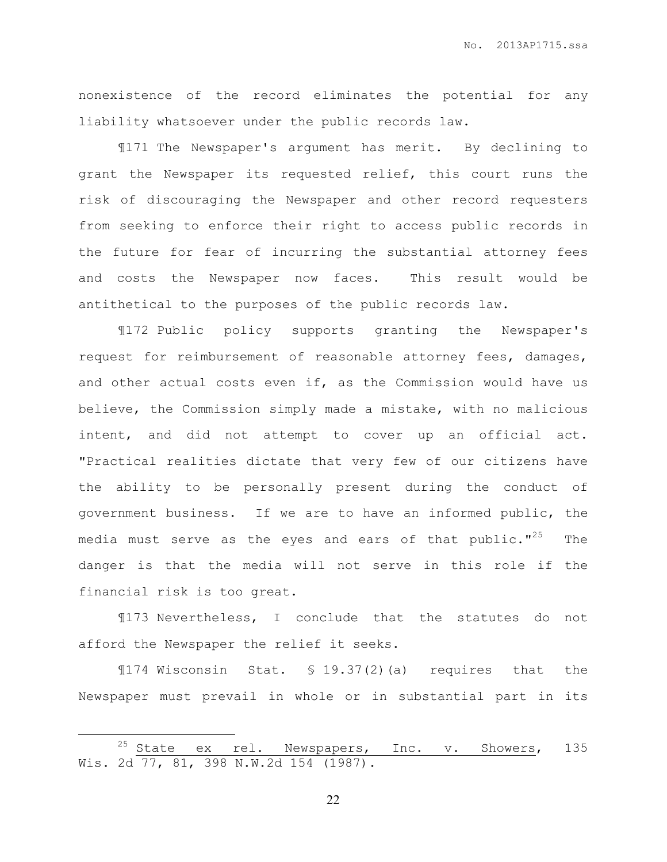nonexistence of the record eliminates the potential for any liability whatsoever under the public records law.

¶171 The Newspaper's argument has merit. By declining to grant the Newspaper its requested relief, this court runs the risk of discouraging the Newspaper and other record requesters from seeking to enforce their right to access public records in the future for fear of incurring the substantial attorney fees and costs the Newspaper now faces. This result would be antithetical to the purposes of the public records law.

¶172 Public policy supports granting the Newspaper's request for reimbursement of reasonable attorney fees, damages, and other actual costs even if, as the Commission would have us believe, the Commission simply made a mistake, with no malicious intent, and did not attempt to cover up an official act. "Practical realities dictate that very few of our citizens have the ability to be personally present during the conduct of government business. If we are to have an informed public, the media must serve as the eyes and ears of that public."<sup>25</sup> The danger is that the media will not serve in this role if the financial risk is too great.

¶173 Nevertheless, I conclude that the statutes do not afford the Newspaper the relief it seeks.

¶174 Wisconsin Stat. § 19.37(2)(a) requires that the Newspaper must prevail in whole or in substantial part in its

 $\overline{a}$ 

<sup>&</sup>lt;sup>25</sup> State ex rel. Newspapers, Inc. v. Showers, 135 Wis. 2d 77, 81, 398 N.W.2d 154 (1987).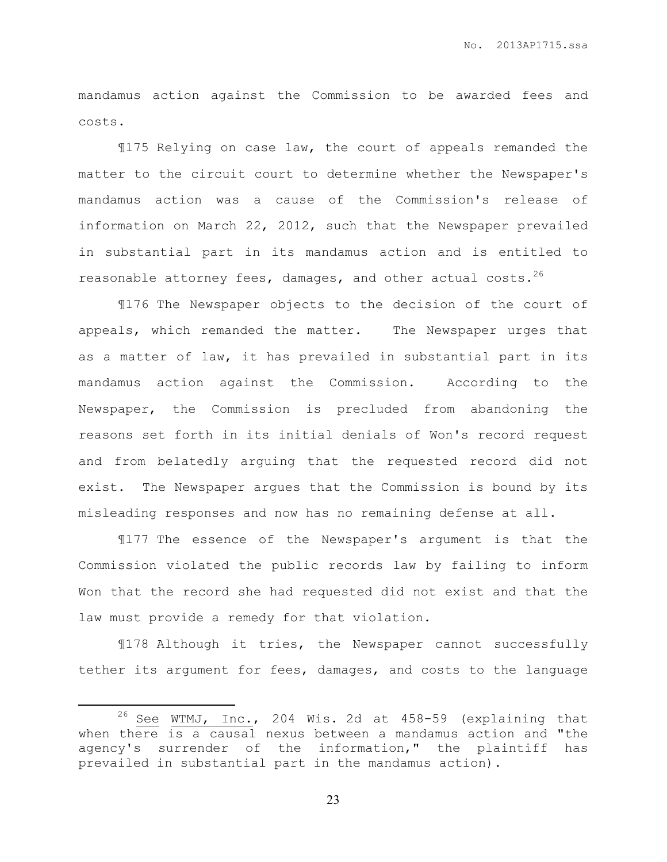mandamus action against the Commission to be awarded fees and costs.

¶175 Relying on case law, the court of appeals remanded the matter to the circuit court to determine whether the Newspaper's mandamus action was a cause of the Commission's release of information on March 22, 2012, such that the Newspaper prevailed in substantial part in its mandamus action and is entitled to reasonable attorney fees, damages, and other actual costs.<sup>26</sup>

¶176 The Newspaper objects to the decision of the court of appeals, which remanded the matter. The Newspaper urges that as a matter of law, it has prevailed in substantial part in its mandamus action against the Commission. According to the Newspaper, the Commission is precluded from abandoning the reasons set forth in its initial denials of Won's record request and from belatedly arguing that the requested record did not exist. The Newspaper argues that the Commission is bound by its misleading responses and now has no remaining defense at all.

¶177 The essence of the Newspaper's argument is that the Commission violated the public records law by failing to inform Won that the record she had requested did not exist and that the law must provide a remedy for that violation.

¶178 Although it tries, the Newspaper cannot successfully tether its argument for fees, damages, and costs to the language

 $\overline{a}$ 

 $26$  See WTMJ, Inc., 204 Wis. 2d at 458-59 (explaining that when there is a causal nexus between a mandamus action and "the agency's surrender of the information," the plaintiff has prevailed in substantial part in the mandamus action).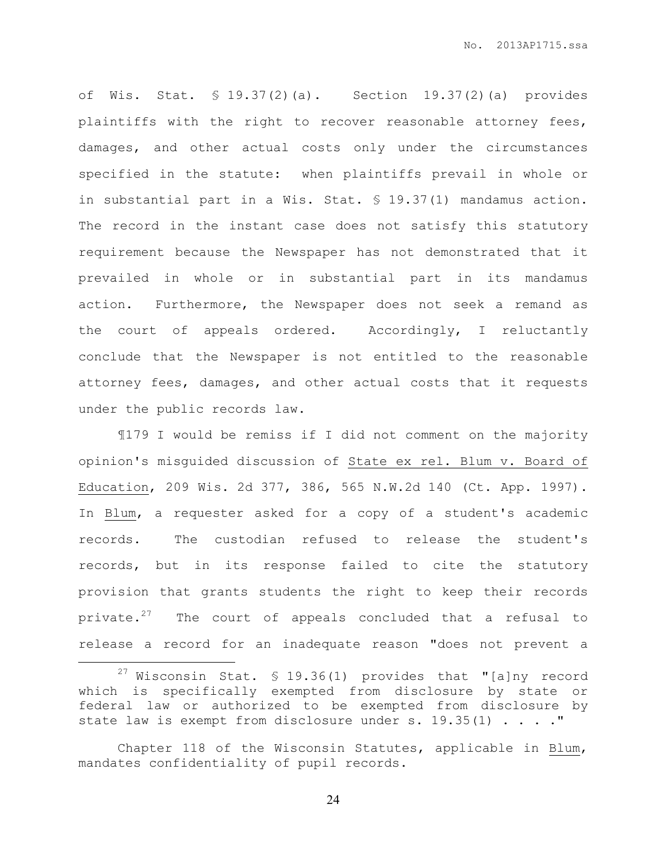of Wis. Stat. § 19.37(2)(a). Section 19.37(2)(a) provides plaintiffs with the right to recover reasonable attorney fees, damages, and other actual costs only under the circumstances specified in the statute: when plaintiffs prevail in whole or in substantial part in a Wis. Stat. § 19.37(1) mandamus action. The record in the instant case does not satisfy this statutory requirement because the Newspaper has not demonstrated that it prevailed in whole or in substantial part in its mandamus action. Furthermore, the Newspaper does not seek a remand as the court of appeals ordered. Accordingly, I reluctantly conclude that the Newspaper is not entitled to the reasonable attorney fees, damages, and other actual costs that it requests under the public records law.

¶179 I would be remiss if I did not comment on the majority opinion's misguided discussion of State ex rel. Blum v. Board of Education, 209 Wis. 2d 377, 386, 565 N.W.2d 140 (Ct. App. 1997). In Blum, a requester asked for a copy of a student's academic records. The custodian refused to release the student's records, but in its response failed to cite the statutory provision that grants students the right to keep their records private. $27$  The court of appeals concluded that a refusal to release a record for an inadequate reason "does not prevent a

l.

Chapter 118 of the Wisconsin Statutes, applicable in Blum, mandates confidentiality of pupil records.

 $27$  Wisconsin Stat. § 19.36(1) provides that "[a]ny record which is specifically exempted from disclosure by state or federal law or authorized to be exempted from disclosure by state law is exempt from disclosure under s.  $19.35(1)$  . . . . "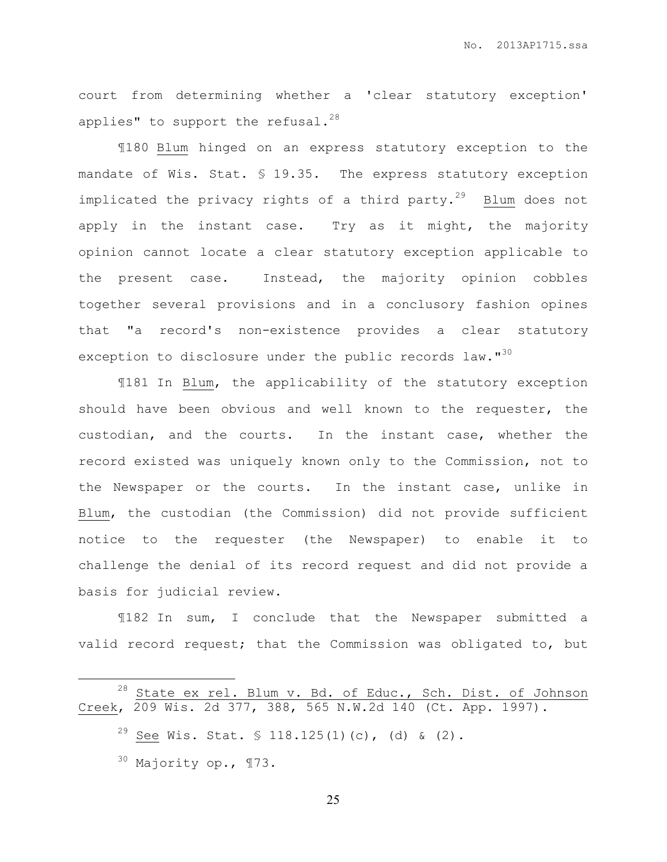court from determining whether a 'clear statutory exception' applies" to support the refusal. $^{28}$ 

¶180 Blum hinged on an express statutory exception to the mandate of Wis. Stat. § 19.35. The express statutory exception implicated the privacy rights of a third party. $29$  Blum does not apply in the instant case. Try as it might, the majority opinion cannot locate a clear statutory exception applicable to the present case. Instead, the majority opinion cobbles together several provisions and in a conclusory fashion opines that "a record's non-existence provides a clear statutory exception to disclosure under the public records law."<sup>30</sup>

¶181 In Blum, the applicability of the statutory exception should have been obvious and well known to the requester, the custodian, and the courts. In the instant case, whether the record existed was uniquely known only to the Commission, not to the Newspaper or the courts. In the instant case, unlike in Blum, the custodian (the Commission) did not provide sufficient notice to the requester (the Newspaper) to enable it to challenge the denial of its record request and did not provide a basis for judicial review.

¶182 In sum, I conclude that the Newspaper submitted a valid record request; that the Commission was obligated to, but

 $\overline{a}$ 

 $^{28}$  State ex rel. Blum v. Bd. of Educ., Sch. Dist. of Johnson Creek, 209 Wis. 2d 377, 388, 565 N.W.2d 140 (Ct. App. 1997).

<sup>&</sup>lt;sup>29</sup> See Wis. Stat. § 118.125(1)(c), (d) & (2).

 $30$  Majority op.,  $\P$ 73.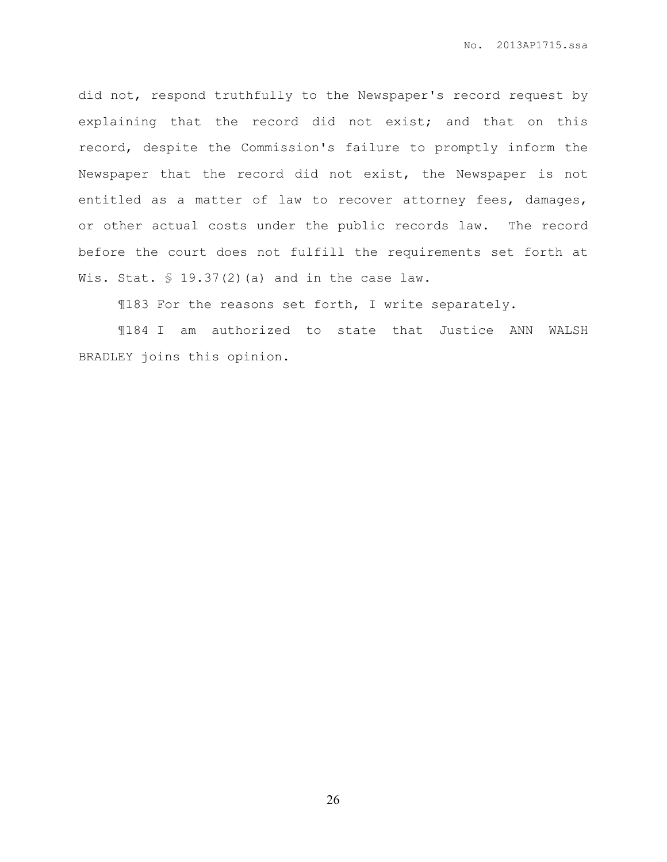did not, respond truthfully to the Newspaper's record request by explaining that the record did not exist; and that on this record, despite the Commission's failure to promptly inform the Newspaper that the record did not exist, the Newspaper is not entitled as a matter of law to recover attorney fees, damages, or other actual costs under the public records law. The record before the court does not fulfill the requirements set forth at Wis. Stat.  $\frac{19.37(2)}{a}$  and in the case law.

¶183 For the reasons set forth, I write separately.

¶184 I am authorized to state that Justice ANN WALSH BRADLEY joins this opinion.